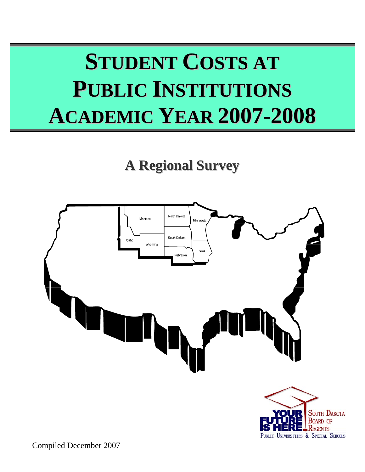# **STUDENT COSTS AT PUBLIC INSTITUTIONS ACADEMIC YEAR 2007-2008**

## **A Regional Survey**



Compiled December 2007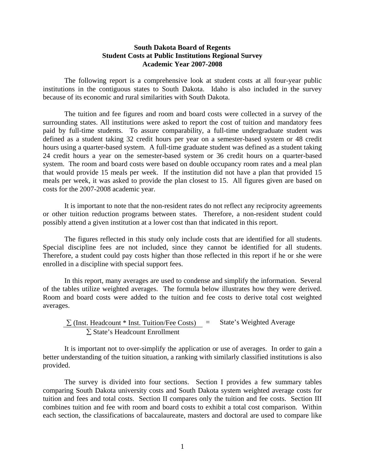#### **South Dakota Board of Regents Student Costs at Public Institutions Regional Survey Academic Year 2007-2008**

 The following report is a comprehensive look at student costs at all four-year public institutions in the contiguous states to South Dakota. Idaho is also included in the survey because of its economic and rural similarities with South Dakota.

 The tuition and fee figures and room and board costs were collected in a survey of the surrounding states. All institutions were asked to report the cost of tuition and mandatory fees paid by full-time students. To assure comparability, a full-time undergraduate student was defined as a student taking 32 credit hours per year on a semester-based system or 48 credit hours using a quarter-based system. A full-time graduate student was defined as a student taking 24 credit hours a year on the semester-based system or 36 credit hours on a quarter-based system. The room and board costs were based on double occupancy room rates and a meal plan that would provide 15 meals per week. If the institution did not have a plan that provided 15 meals per week, it was asked to provide the plan closest to 15. All figures given are based on costs for the 2007-2008 academic year.

 It is important to note that the non-resident rates do not reflect any reciprocity agreements or other tuition reduction programs between states. Therefore, a non-resident student could possibly attend a given institution at a lower cost than that indicated in this report.

 The figures reflected in this study only include costs that are identified for all students. Special discipline fees are not included, since they cannot be identified for all students. Therefore, a student could pay costs higher than those reflected in this report if he or she were enrolled in a discipline with special support fees.

 In this report, many averages are used to condense and simplify the information. Several of the tables utilize weighted averages. The formula below illustrates how they were derived. Room and board costs were added to the tuition and fee costs to derive total cost weighted averages.

$$
\frac{\sum (Inst. Headcount * Inst. Tution/Free Costs)}{\sum State's Headcount Enrollment}
$$
 = State's Weighted Average

It is important not to over-simplify the application or use of averages. In order to gain a better understanding of the tuition situation, a ranking with similarly classified institutions is also provided.

 The survey is divided into four sections. Section I provides a few summary tables comparing South Dakota university costs and South Dakota system weighted average costs for tuition and fees and total costs. Section II compares only the tuition and fee costs. Section III combines tuition and fee with room and board costs to exhibit a total cost comparison. Within each section, the classifications of baccalaureate, masters and doctoral are used to compare like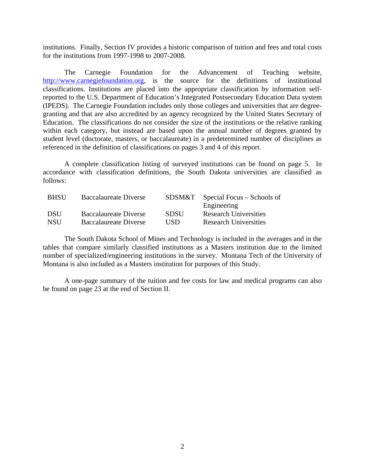institutions. Finally, Section IV provides a historic comparison of tuition and fees and total costs for the institutions from 1997-1998 to 2007-2008.

 The Carnegie Foundation for the Advancement of Teaching website, http://www.carnegiefoundation.org, is the source for the definitions of institutional classifications. Institutions are placed into the appropriate classification by information selfreported to the U.S. Department of Education's Integrated Postsecondary Education Data system (IPEDS). The Carnegie Foundation includes only those colleges and universities that are degreegranting and that are also accredited by an agency recognized by the United States Secretary of Education. The classifications do not consider the size of the institutions or the relative ranking within each category, but instead are based upon the annual number of degrees granted by student level (doctorate, masters, or baccalaureate) in a predetermined number of disciplines as referenced in the definition of classifications on pages 3 and 4 of this report.

A complete classification listing of surveyed institutions can be found on page 5. In accordance with classification definitions, the South Dakota universities are classified as follows:

| <b>BHSU</b> | <b>Baccalaureate Diverse</b> | SDSM&T      | Special Focus – Schools of   |
|-------------|------------------------------|-------------|------------------------------|
|             |                              |             | Engineering                  |
| <b>DSU</b>  | <b>Baccalaureate Diverse</b> | <b>SDSU</b> | <b>Research Universities</b> |
| <b>NSU</b>  | <b>Baccalaureate Diverse</b> | USD.        | <b>Research Universities</b> |

 The South Dakota School of Mines and Technology is included in the averages and in the tables that compare similarly classified institutions as a Masters institution due to the limited number of specialized/engineering institutions in the survey. Montana Tech of the University of Montana is also included as a Masters institution for purposes of this Study.

 A one-page summary of the tuition and fee costs for law and medical programs can also be found on page 23 at the end of Section II.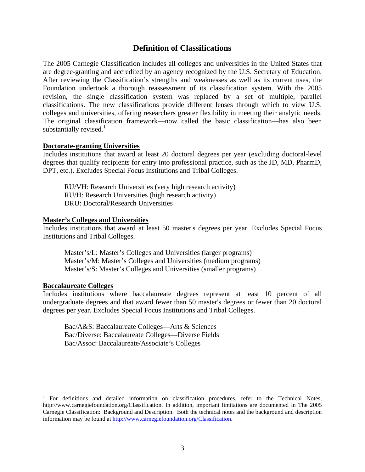#### **Definition of Classifications**

The 2005 Carnegie Classification includes all colleges and universities in the United States that are degree-granting and accredited by an agency recognized by the U.S. Secretary of Education. After reviewing the Classification's strengths and weaknesses as well as its current uses, the Foundation undertook a thorough reassessment of its classification system. With the 2005 revision, the single classification system was replaced by a set of multiple, parallel classifications. The new classifications provide different lenses through which to view U.S. colleges and universities, offering researchers greater flexibility in meeting their analytic needs. The original classification framework—now called the basic classification—has also been substantially revised. $<sup>1</sup>$ </sup>

#### **Doctorate-granting Universities**

Includes institutions that award at least 20 doctoral degrees per year (excluding doctoral-level degrees that qualify recipients for entry into professional practice, such as the JD, MD, PharmD, DPT, etc.). Excludes Special Focus Institutions and Tribal Colleges.

RU/VH: Research Universities (very high research activity) RU/H: Research Universities (high research activity) DRU: Doctoral/Research Universities

#### **Master's Colleges and Universities**

Includes institutions that award at least 50 master's degrees per year. Excludes Special Focus Institutions and Tribal Colleges.

Master's/L: Master's Colleges and Universities (larger programs) Master's/M: Master's Colleges and Universities (medium programs) Master's/S: Master's Colleges and Universities (smaller programs)

#### **Baccalaureate Colleges**

 $\overline{\phantom{a}}$ 

Includes institutions where baccalaureate degrees represent at least 10 percent of all undergraduate degrees and that award fewer than 50 master's degrees or fewer than 20 doctoral degrees per year. Excludes Special Focus Institutions and Tribal Colleges.

Bac/A&S: Baccalaureate Colleges—Arts & Sciences Bac/Diverse: Baccalaureate Colleges—Diverse Fields Bac/Assoc: Baccalaureate/Associate's Colleges

<sup>1</sup> For definitions and detailed information on classification procedures, refer to the Technical Notes, http://www.carnegiefoundation.org/Classification. In addition, important limitations are documented in The 2005 Carnegie Classification: Background and Description. Both the technical notes and the background and description information may be found at http://www.carnegiefoundation.org/Classification.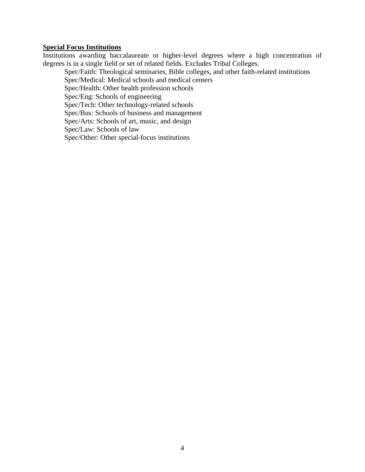#### **Special Focus Institutions**

Institutions awarding baccalaureate or higher-level degrees where a high concentration of degrees is in a single field or set of related fields. Excludes Tribal Colleges.

Spec/Faith: Theological seminaries, Bible colleges, and other faith-related institutions Spec/Medical: Medical schools and medical centers

Spec/Health: Other health profession schools

Spec/Eng: Schools of engineering

Spec/Tech: Other technology-related schools

Spec/Bus: Schools of business and management

Spec/Arts: Schools of art, music, and design

Spec/Law: Schools of law

Spec/Other: Other special-focus institutions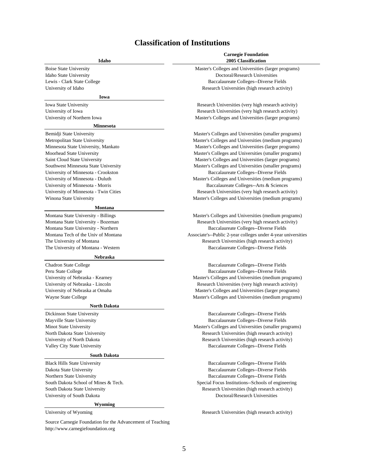### **Classification of Institutions**

| Idaho                                                                                           | <b>Carnegie Foundation</b><br><b>2005 Classification</b>                                                |
|-------------------------------------------------------------------------------------------------|---------------------------------------------------------------------------------------------------------|
| <b>Boise State University</b>                                                                   | Master's Colleges and Universities (larger programs)                                                    |
| Idaho State University                                                                          | Doctoral/Research Universities                                                                          |
| Lewis - Clark State College                                                                     | Baccalaureate Colleges--Diverse Fields                                                                  |
| University of Idaho                                                                             | Research Universities (high research activity)                                                          |
| Iowa                                                                                            |                                                                                                         |
| Iowa State University                                                                           | Research Universities (very high research activity)                                                     |
| University of Iowa                                                                              | Research Universities (very high research activity)                                                     |
| University of Northern Iowa                                                                     | Master's Colleges and Universities (larger programs)                                                    |
| <b>Minnesota</b>                                                                                |                                                                                                         |
| Bemidji State University                                                                        | Master's Colleges and Universities (smaller programs)                                                   |
| Metropolitan State University                                                                   | Master's Colleges and Universities (medium programs)                                                    |
| Minnesota State University, Mankato                                                             | Master's Colleges and Universities (larger programs)                                                    |
| Moorhead State University                                                                       | Master's Colleges and Universities (smaller programs)                                                   |
| Saint Cloud State University                                                                    | Master's Colleges and Universities (larger programs)                                                    |
| Southwest Minnesota State University                                                            | Master's Colleges and Universities (smaller programs)                                                   |
| University of Minnesota - Crookston                                                             | Baccalaureate Colleges--Diverse Fields                                                                  |
| University of Minnesota - Duluth                                                                | Master's Colleges and Universities (medium programs)                                                    |
| University of Minnesota - Morris                                                                | Baccalaureate Colleges--Arts & Sciences                                                                 |
| University of Minnesota - Twin Cities                                                           | Research Universities (very high research activity)                                                     |
| Winona State University                                                                         | Master's Colleges and Universities (medium programs)                                                    |
| <b>Montana</b>                                                                                  |                                                                                                         |
| Montana State University - Billings                                                             | Master's Colleges and Universities (medium programs)                                                    |
| Montana State University - Bozeman                                                              | Research Universities (very high research activity)                                                     |
| Montana State University - Northern                                                             | Baccalaureate Colleges--Diverse Fields                                                                  |
| Montana Tech of the Univ of Montana                                                             | Associate's--Public 2-year colleges under 4-year universities                                           |
| The University of Montana                                                                       | Research Universities (high research activity)                                                          |
| The University of Montana - Western                                                             | Baccalaureate Colleges--Diverse Fields                                                                  |
| <b>Nebraska</b>                                                                                 |                                                                                                         |
| Chadron State College                                                                           | Baccalaureate Colleges--Diverse Fields                                                                  |
| Peru State College                                                                              | Baccalaureate Colleges--Diverse Fields                                                                  |
| University of Nebraska - Kearney                                                                | Master's Colleges and Universities (medium programs)                                                    |
| University of Nebraska - Lincoln                                                                | Research Universities (very high research activity)                                                     |
| University of Nebraska at Omaha                                                                 | Master's Colleges and Universities (larger programs)                                                    |
| Wayne State College                                                                             | Master's Colleges and Universities (medium programs)                                                    |
| <b>North Dakota</b>                                                                             |                                                                                                         |
| Dickinson State University                                                                      | Baccalaureate Colleges--Diverse Fields                                                                  |
| Mayville State University                                                                       | Baccalaureate Colleges--Diverse Fields                                                                  |
| Minot State University<br>North Dakota State University                                         | Master's Colleges and Universities (smaller programs)<br>Research Universities (high research activity) |
| University of North Dakota                                                                      | Research Universities (high research activity)                                                          |
| Valley City State University                                                                    | Baccalaureate Colleges--Diverse Fields                                                                  |
| <b>South Dakota</b>                                                                             |                                                                                                         |
| <b>Black Hills State University</b>                                                             | Baccalaureate Colleges--Diverse Fields                                                                  |
|                                                                                                 | Baccalaureate Colleges--Diverse Fields                                                                  |
| Dakota State University<br>Northern State University                                            | Baccalaureate Colleges--Diverse Fields                                                                  |
| South Dakota School of Mines & Tech.                                                            | Special Focus Institutions--Schools of engineering                                                      |
| South Dakota State University                                                                   | Research Universities (high research activity)                                                          |
| University of South Dakota                                                                      | Doctoral/Research Universities                                                                          |
| Wyoming                                                                                         |                                                                                                         |
| University of Wyoming                                                                           | Research Universities (high research activity)                                                          |
|                                                                                                 |                                                                                                         |
| Source Carnegie Foundation for the Advancement of Teaching<br>http://www.carnegiefoundation.org |                                                                                                         |
|                                                                                                 |                                                                                                         |
|                                                                                                 |                                                                                                         |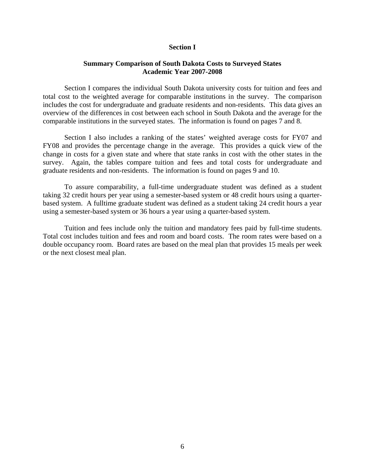#### **Section I**

#### **Summary Comparison of South Dakota Costs to Surveyed States Academic Year 2007-2008**

Section I compares the individual South Dakota university costs for tuition and fees and total cost to the weighted average for comparable institutions in the survey. The comparison includes the cost for undergraduate and graduate residents and non-residents. This data gives an overview of the differences in cost between each school in South Dakota and the average for the comparable institutions in the surveyed states. The information is found on pages 7 and 8.

 Section I also includes a ranking of the states' weighted average costs for FY07 and FY08 and provides the percentage change in the average. This provides a quick view of the change in costs for a given state and where that state ranks in cost with the other states in the survey. Again, the tables compare tuition and fees and total costs for undergraduate and graduate residents and non-residents. The information is found on pages 9 and 10.

 To assure comparability, a full-time undergraduate student was defined as a student taking 32 credit hours per year using a semester-based system or 48 credit hours using a quarterbased system. A fulltime graduate student was defined as a student taking 24 credit hours a year using a semester-based system or 36 hours a year using a quarter-based system.

 Tuition and fees include only the tuition and mandatory fees paid by full-time students. Total cost includes tuition and fees and room and board costs. The room rates were based on a double occupancy room. Board rates are based on the meal plan that provides 15 meals per week or the next closest meal plan.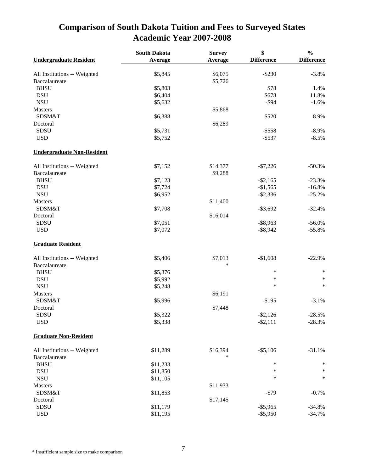### **Comparison of South Dakota Tuition and Fees to Surveyed States Academic Year 2007-2008**

|                                   | <b>South Dakota</b> | <b>Survey</b> | \$                | $\frac{0}{0}$     |
|-----------------------------------|---------------------|---------------|-------------------|-------------------|
| <b>Undergraduate Resident</b>     | Average             | Average       | <b>Difference</b> | <b>Difference</b> |
| All Institutions -- Weighted      | \$5,845             | \$6,075       | $-$ \$230         | $-3.8%$           |
| Baccalaureate                     |                     | \$5,726       |                   |                   |
| <b>BHSU</b>                       | \$5,803             |               | \$78              | 1.4%              |
| <b>DSU</b>                        | \$6,404             |               | \$678             | 11.8%             |
| <b>NSU</b>                        | \$5,632             |               | $-$ \$94          | $-1.6%$           |
| Masters                           |                     | \$5,868       |                   |                   |
| SDSM&T                            |                     |               | \$520             | 8.9%              |
| Doctoral                          | \$6,388             | \$6,289       |                   |                   |
|                                   |                     |               | $-$ \$558         | $-8.9\%$          |
| SDSU                              | \$5,731             |               |                   |                   |
| <b>USD</b>                        | \$5,752             |               | $-$ \$537         | $-8.5%$           |
| <b>Undergraduate Non-Resident</b> |                     |               |                   |                   |
| All Institutions -- Weighted      | \$7,152             | \$14,377      | $-$7,226$         | $-50.3%$          |
| Baccalaureate                     |                     | \$9,288       |                   |                   |
| <b>BHSU</b>                       | \$7,123             |               | $-$ \$2,165       | $-23.3%$          |
| <b>DSU</b>                        | \$7,724             |               | $-$1,565$         | $-16.8%$          |
| <b>NSU</b>                        | \$6,952             |               | $-$ \$2,336       | $-25.2%$          |
| Masters                           |                     | \$11,400      |                   |                   |
| SDSM&T                            | \$7,708             |               | $-$ \$3,692       | $-32.4%$          |
| Doctoral                          |                     | \$16,014      |                   |                   |
| <b>SDSU</b>                       | \$7,051             |               | $-$ \$8,963       | $-56.0%$          |
| <b>USD</b>                        | \$7,072             |               | $-$ \$8,942       | $-55.8%$          |
| <b>Graduate Resident</b>          |                     |               |                   |                   |
| All Institutions -- Weighted      | \$5,406             | \$7,013       | $-$1,608$         | $-22.9%$          |
| Baccalaureate                     |                     | $\ast$        |                   |                   |
| <b>BHSU</b>                       | \$5,376             |               | $\ast$            | $\ast$            |
| <b>DSU</b>                        | \$5,992             |               | $\ast$            | $\ast$            |
| <b>NSU</b>                        | \$5,248             |               | $\ast$            | $\ast$            |
| <b>Masters</b>                    |                     | \$6,191       |                   |                   |
| SDSM&T                            | \$5,996             |               | $-$195$           | $-3.1%$           |
| Doctoral                          |                     | \$7,448       |                   |                   |
| SDSU                              | \$5,322             |               | $-$ \$2,126       | $-28.5%$          |
| <b>USD</b>                        | \$5,338             |               | $-$ \$2,111       | $-28.3%$          |
| <b>Graduate Non-Resident</b>      |                     |               |                   |                   |
| All Institutions -- Weighted      | \$11,289            | \$16,394      | $- $5,106$        | $-31.1%$          |
| Baccalaureate                     |                     | *             |                   |                   |
| <b>BHSU</b>                       | \$11,233            |               | $\ast$            | $\ast$            |
| <b>DSU</b>                        | \$11,850            |               | $\ast$            | $\ast$            |
| <b>NSU</b>                        | \$11,105            |               | $\ast$            | $\ast$            |
| Masters                           |                     | \$11,933      |                   |                   |
| SDSM&T                            | \$11,853            |               | $-$ \$79          | $-0.7%$           |
| Doctoral                          |                     | \$17,145      |                   |                   |
| SDSU                              | \$11,179            |               | $-$ \$5,965       | $-34.8%$          |
| <b>USD</b>                        |                     |               | $-$ \$5,950       | $-34.7%$          |
|                                   | \$11,195            |               |                   |                   |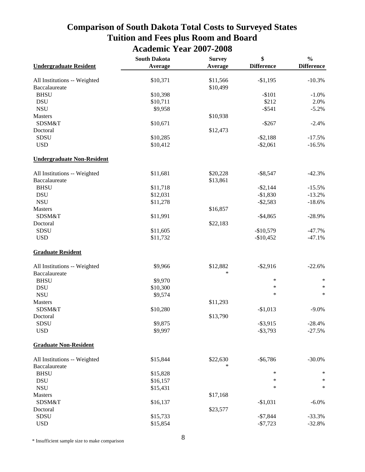### **Comparison of South Dakota Total Costs to Surveyed States Tuition and Fees plus Room and Board Academic Year 2007-2008**

|                                   | <b>South Dakota</b> | <b>Survey</b> | \$                | $\frac{0}{0}$<br><b>Difference</b> |
|-----------------------------------|---------------------|---------------|-------------------|------------------------------------|
| <b>Undergraduate Resident</b>     | Average             | Average       | <b>Difference</b> |                                    |
| All Institutions -- Weighted      | \$10,371            | \$11,566      | $-$1,195$         | $-10.3%$                           |
| Baccalaureate                     |                     | \$10,499      |                   |                                    |
| <b>BHSU</b>                       | \$10,398            |               | $-$101$           | $-1.0%$                            |
| <b>DSU</b>                        | \$10,711            |               | \$212             | 2.0%                               |
| <b>NSU</b>                        | \$9,958             |               | $-$ \$541         | $-5.2%$                            |
| Masters                           |                     | \$10,938      |                   |                                    |
| SDSM&T                            | \$10,671            |               | $-$267$           | $-2.4%$                            |
| Doctoral                          |                     | \$12,473      |                   |                                    |
| SDSU                              | \$10,285            |               | $- $2,188$        | $-17.5%$                           |
| <b>USD</b>                        | \$10,412            |               | $-$ \$2,061       | $-16.5%$                           |
| <b>Undergraduate Non-Resident</b> |                     |               |                   |                                    |
| All Institutions -- Weighted      | \$11,681            | \$20,228      | $-$ \$8,547       | $-42.3%$                           |
| Baccalaureate                     |                     | \$13,861      |                   |                                    |
| <b>BHSU</b>                       | \$11,718            |               | $-$2,144$         | $-15.5%$                           |
| <b>DSU</b>                        | \$12,031            |               | $-$1,830$         | $-13.2%$                           |
| <b>NSU</b>                        | \$11,278            |               | $-$2,583$         | $-18.6%$                           |
| Masters                           |                     | \$16,857      |                   |                                    |
| SDSM&T                            | \$11,991            |               | $-$4,865$         | $-28.9%$                           |
| Doctoral                          |                     | \$22,183      |                   |                                    |
| SDSU                              | \$11,605            |               | $-$10,579$        | $-47.7%$                           |
| <b>USD</b>                        | \$11,732            |               | $-$10,452$        | $-47.1%$                           |
| <b>Graduate Resident</b>          |                     |               |                   |                                    |
| All Institutions -- Weighted      | \$9,966             | \$12,882      | $-$ \$2,916       | $-22.6%$                           |
| Baccalaureate                     |                     | *             |                   |                                    |
| <b>BHSU</b>                       | \$9,970             |               | ∗                 | ∗                                  |
| <b>DSU</b>                        | \$10,300            |               | ∗                 | $\ast$                             |
| $\bf NSU$                         | \$9,574             |               | ∗                 | $\ast$                             |
| Masters                           |                     | \$11,293      |                   |                                    |
| SDSM&T                            | \$10,280            |               | $-$1,013$         | $-9.0\%$                           |
| Doctoral                          |                     | \$13,790      |                   |                                    |
| SDSU                              | \$9,875             |               | $-$ \$3,915       | $-28.4%$                           |
| <b>USD</b>                        | \$9,997             |               | $-$ \$3,793       | $-27.5%$                           |
| <b>Graduate Non-Resident</b>      |                     |               |                   |                                    |
| All Institutions -- Weighted      | \$15,844            | \$22,630      | $-$6,786$         | $-30.0%$                           |
| Baccalaureate                     |                     | *             |                   |                                    |
| <b>BHSU</b>                       | \$15,828            |               | $\ast$            | ∗                                  |
| <b>DSU</b>                        | \$16,157            |               | ∗                 | ∗                                  |
| <b>NSU</b>                        | \$15,431            |               | ∗                 | ∗                                  |
| Masters                           |                     | \$17,168      |                   |                                    |
| SDSM&T                            | \$16,137            |               | $-$1,031$         | $-6.0\%$                           |
| Doctoral                          |                     | \$23,577      |                   |                                    |
| SDSU                              | \$15,733            |               | $-$7,844$         | $-33.3%$                           |
| <b>USD</b>                        | \$15,854            |               | $-$7,723$         | $-32.8%$                           |

\* Insufficient sample size to make comparison 8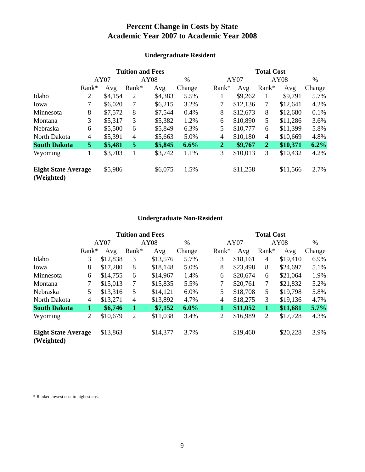### **Percent Change in Costs by State Academic Year 2007 to Academic Year 2008**

|                                          |                | <b>Tuition and Fees</b> |       |         |               |                | <b>Total Cost</b> |                |          |        |  |
|------------------------------------------|----------------|-------------------------|-------|---------|---------------|----------------|-------------------|----------------|----------|--------|--|
|                                          |                | AY07                    |       | AY08    | $\frac{0}{0}$ |                | AY07              | AY08           |          | $\%$   |  |
|                                          | Rank*          | Avg                     | Rank* | Avg     | <b>Change</b> | Rank*          | Avg               | Rank*          | Avg      | Change |  |
| Idaho                                    | $\overline{2}$ | \$4,154                 | 2     | \$4,383 | 5.5%          |                | \$9,262           | 1              | \$9,791  | 5.7%   |  |
| Iowa                                     | 7              | \$6,020                 | 7     | \$6,215 | 3.2%          |                | \$12,136          | 7              | \$12,641 | 4.2%   |  |
| Minnesota                                | 8              | \$7,572                 | 8     | \$7,544 | $-0.4%$       | 8              | \$12,673          | 8              | \$12,680 | 0.1%   |  |
| Montana                                  | 3              | \$5,317                 | 3     | \$5,382 | 1.2%          | 6              | \$10,890          | 5              | \$11,286 | 3.6%   |  |
| Nebraska                                 | 6              | \$5,500                 | 6     | \$5,849 | 6.3%          | 5              | \$10,777          | 6              | \$11,399 | 5.8%   |  |
| North Dakota                             | $\overline{4}$ | \$5,391                 | 4     | \$5,663 | 5.0%          | $\overline{4}$ | \$10,180          | $\overline{4}$ | \$10,669 | 4.8%   |  |
| <b>South Dakota</b>                      | 5              | \$5,481                 | 5     | \$5,845 | 6.6%          | $\overline{2}$ | \$9,767           | $\overline{2}$ | \$10,371 | 6.2%   |  |
| Wyoming                                  | T              | \$3,703                 |       | \$3,742 | 1.1%          | 3              | \$10,013          | 3              | \$10,432 | 4.2%   |  |
| <b>Eight State Average</b><br>(Weighted) |                | \$5,986                 |       | \$6,075 | 1.5%          |                | \$11,258          |                | \$11,566 | 2.7%   |  |

### **Undergraduate Resident**

### **Undergraduate Non-Resident**

|                                          |                | <b>Tuition and Fees</b> |                |          |         |  | <b>Total Cost</b> |          |                |          |               |
|------------------------------------------|----------------|-------------------------|----------------|----------|---------|--|-------------------|----------|----------------|----------|---------------|
|                                          |                | AY07                    | AY08           |          | $\%$    |  |                   | AY07     | AY08           |          | $\%$          |
|                                          | $Rank*$        | Avg                     | Rank*          | Avg      | Change  |  | $Rank*$           | Avg      | Rank*          | Avg      | <b>Change</b> |
| Idaho                                    | 3              | \$12,838                | 3              | \$13,576 | 5.7%    |  | 3                 | \$18,161 | $\overline{4}$ | \$19,410 | 6.9%          |
| Iowa                                     | 8              | \$17,280                | 8              | \$18,148 | 5.0%    |  | 8                 | \$23,498 | 8              | \$24,697 | 5.1%          |
| Minnesota                                | 6              | \$14,755                | 6              | \$14,967 | 1.4%    |  | 6                 | \$20,674 | 6              | \$21,064 | 1.9%          |
| Montana                                  | 7              | \$15,013                | 7              | \$15,835 | 5.5%    |  | $\tau$            | \$20,761 | 7              | \$21,832 | 5.2%          |
| Nebraska                                 | 5              | \$13,316                | 5              | \$14,121 | 6.0%    |  | 5                 | \$18,708 | 5              | \$19,798 | 5.8%          |
| North Dakota                             | 4              | \$13,271                | $\overline{4}$ | \$13,892 | 4.7%    |  | $\overline{4}$    | \$18,275 | 3              | \$19,136 | 4.7%          |
| <b>South Dakota</b>                      | 1              | \$6,746                 | 1              | \$7,152  | $6.0\%$ |  | $\mathbf{1}$      | \$11,052 | 1              | \$11,681 | 5.7%          |
| Wyoming                                  | $\overline{2}$ | \$10,679                | $\overline{2}$ | \$11,038 | 3.4%    |  | $\overline{2}$    | \$16,989 | $\overline{2}$ | \$17,728 | 4.3%          |
| <b>Eight State Average</b><br>(Weighted) |                | \$13,863                |                | \$14,377 | 3.7%    |  |                   | \$19,460 |                | \$20,228 | 3.9%          |

\* Ranked lowest cost to highest cost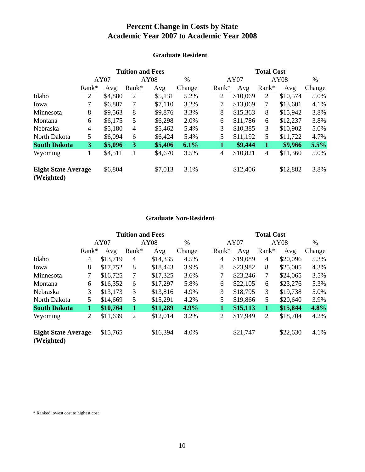### **Percent Change in Costs by State Academic Year 2007 to Academic Year 2008**

|                                          |                | <b>Tuition and Fees</b> |                |         |        |              | <b>Total Cost</b> |          |              |          |        |
|------------------------------------------|----------------|-------------------------|----------------|---------|--------|--------------|-------------------|----------|--------------|----------|--------|
|                                          |                | AY07                    |                | AY08    | $\%$   |              | AY07              |          | AY08         |          | $\%$   |
|                                          | $Rank*$        | Avg                     | Rank*          | Avg     | Change | Rank*        |                   | Avg      | Rank*        | Avg      | Change |
| Idaho                                    | $\overline{2}$ | \$4,880                 | $\overline{2}$ | \$5,131 | 5.2%   | 2            |                   | \$10,069 | 2            | \$10,574 | 5.0%   |
| Iowa                                     | 7              | \$6,887                 | 7              | \$7,110 | 3.2%   | 7            |                   | \$13,069 | 7            | \$13,601 | 4.1%   |
| Minnesota                                | 8              | \$9,563                 | 8              | \$9,876 | 3.3%   | 8            |                   | \$15,363 | 8            | \$15,942 | 3.8%   |
| Montana                                  | 6              | \$6,175                 | 5              | \$6,298 | 2.0%   | 6            |                   | \$11,786 | 6            | \$12,237 | 3.8%   |
| Nebraska                                 | $\overline{4}$ | \$5,180                 | $\overline{4}$ | \$5,462 | 5.4%   | 3            |                   | \$10,385 | 3            | \$10,902 | 5.0%   |
| North Dakota                             | 5              | \$6,094                 | 6              | \$6,424 | 5.4%   | 5            |                   | \$11,192 | 5            | \$11,722 | 4.7%   |
| <b>South Dakota</b>                      | 3              | \$5,096                 | 3              | \$5,406 | 6.1%   | $\mathbf{1}$ |                   | \$9,444  | $\mathbf{1}$ | \$9,966  | 5.5%   |
| Wyoming                                  | 1              | \$4,511                 |                | \$4,670 | 3.5%   | 4            |                   | \$10,821 | 4            | \$11,360 | 5.0%   |
| <b>Eight State Average</b><br>(Weighted) |                | \$6,804                 |                | \$7,013 | 3.1%   |              |                   | \$12,406 |              | \$12,882 | 3.8%   |

### **Graduate Resident**

### **Graduate Non-Resident**

|                                          |                | <b>Tuition and Fees</b> |                |          |        |  | <b>Total Cost</b> |          |                |          |               |
|------------------------------------------|----------------|-------------------------|----------------|----------|--------|--|-------------------|----------|----------------|----------|---------------|
|                                          |                | AY07                    | AY08           |          | %      |  | AY07              |          | AY08           |          | $\%$          |
|                                          | $Rank*$        | Avg                     | Rank*          | Avg      | Change |  | Rank*             | Avg      | Rank*          | Avg      | <b>Change</b> |
| Idaho                                    | 4              | \$13,719                | 4              | \$14,335 | 4.5%   |  | $\overline{4}$    | \$19,089 | $\overline{4}$ | \$20,096 | 5.3%          |
| Iowa                                     | 8              | \$17,752                | 8              | \$18,443 | 3.9%   |  | 8                 | \$23,982 | 8              | \$25,005 | 4.3%          |
| Minnesota                                | 7              | \$16,725                | 7              | \$17,325 | 3.6%   |  | $\tau$            | \$23,246 | $\tau$         | \$24,065 | 3.5%          |
| Montana                                  | 6              | \$16,352                | 6              | \$17,297 | 5.8%   |  | 6                 | \$22,105 | 6              | \$23,276 | 5.3%          |
| Nebraska                                 | 3              | \$13,173                | 3              | \$13,816 | 4.9%   |  | 3                 | \$18,795 | 3              | \$19,738 | 5.0%          |
| North Dakota                             | 5              | \$14,669                | 5              | \$15,291 | 4.2%   |  | 5                 | \$19,866 | 5              | \$20,640 | 3.9%          |
| <b>South Dakota</b>                      | 1              | \$10,764                | 1              | \$11,289 | 4.9%   |  | $\mathbf 1$       | \$15,113 | 1              | \$15,844 | 4.8%          |
| Wyoming                                  | $\overline{2}$ | \$11,639                | $\overline{2}$ | \$12,014 | 3.2%   |  | $\overline{2}$    | \$17,949 | $\overline{2}$ | \$18,704 | 4.2%          |
| <b>Eight State Average</b><br>(Weighted) |                | \$15,765                |                | \$16,394 | 4.0%   |  |                   | \$21,747 |                | \$22,630 | 4.1%          |

\* Ranked lowest cost to highest cost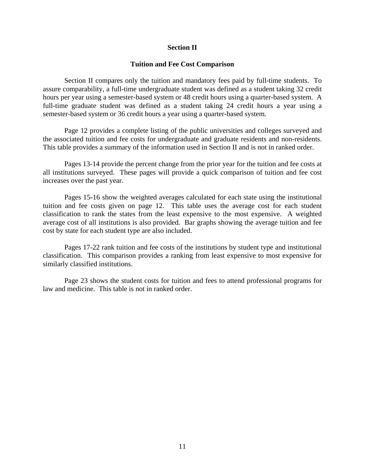#### **Section II**

#### **Tuition and Fee Cost Comparison**

 Section II compares only the tuition and mandatory fees paid by full-time students. To assure comparability, a full-time undergraduate student was defined as a student taking 32 credit hours per year using a semester-based system or 48 credit hours using a quarter-based system. A full-time graduate student was defined as a student taking 24 credit hours a year using a semester-based system or 36 credit hours a year using a quarter-based system.

 Page 12 provides a complete listing of the public universities and colleges surveyed and the associated tuition and fee costs for undergraduate and graduate residents and non-residents. This table provides a summary of the information used in Section II and is not in ranked order.

 Pages 13-14 provide the percent change from the prior year for the tuition and fee costs at all institutions surveyed. These pages will provide a quick comparison of tuition and fee cost increases over the past year.

 Pages 15-16 show the weighted averages calculated for each state using the institutional tuition and fee costs given on page 12. This table uses the average cost for each student classification to rank the states from the least expensive to the most expensive. A weighted average cost of all institutions is also provided. Bar graphs showing the average tuition and fee cost by state for each student type are also included.

 Pages 17-22 rank tuition and fee costs of the institutions by student type and institutional classification. This comparison provides a ranking from least expensive to most expensive for similarly classified institutions.

 Page 23 shows the student costs for tuition and fees to attend professional programs for law and medicine. This table is not in ranked order.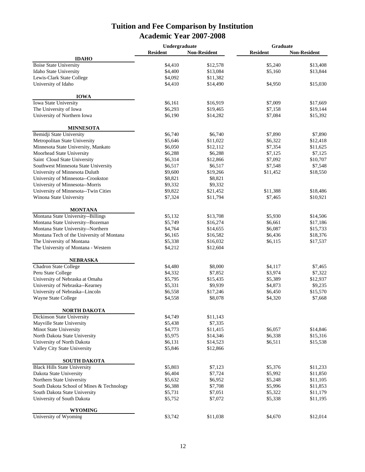### **Tuition and Fee Comparison by Institution Academic Year 2007-2008**

|                                           | Undergraduate   |                     |                 | <b>Graduate</b>     |  |
|-------------------------------------------|-----------------|---------------------|-----------------|---------------------|--|
|                                           | <b>Resident</b> | <b>Non-Resident</b> | <b>Resident</b> | <b>Non-Resident</b> |  |
| <b>IDAHO</b>                              |                 |                     |                 |                     |  |
| <b>Boise State University</b>             | \$4,410         | \$12,578            | \$5,240         | \$13,408            |  |
| Idaho State University                    | \$4,400         | \$13,084            | \$5,160         | \$13,844            |  |
| Lewis-Clark State College                 | \$4,092         | \$11,382            |                 |                     |  |
| University of Idaho                       | \$4,410         | \$14,490            | \$4,950         | \$15,030            |  |
| <b>IOWA</b>                               |                 |                     |                 |                     |  |
| Iowa State University                     | \$6,161         | \$16,919            | \$7,009         | \$17,669            |  |
| The University of Iowa                    | \$6,293         | \$19,465            | \$7,158         | \$19,144            |  |
| University of Northern Iowa               | \$6,190         | \$14,282            | \$7,084         | \$15,392            |  |
| <b>MINNESOTA</b>                          |                 |                     |                 |                     |  |
| Bemidji State University                  | \$6,740         | \$6,740             | \$7,890         | \$7,890             |  |
| Metropolitan State University             | \$5,646         | \$11,022            | \$6,322         | \$12,418            |  |
| Minnesota State University, Mankato       | \$6,050         | \$12,112            | \$7,354         | \$11,625            |  |
| Moorhead State University                 | \$6,288         | \$6,288             | \$7,125         | \$7,125             |  |
| Saint Cloud State University              | \$6,314         | \$12,866            | \$7,092         | \$10,707            |  |
| Southwest Minnesota State University      | \$6,517         | \$6,517             | \$7,548         | \$7,548             |  |
| University of Minnesota Duluth            | \$9,600         | \$19,266            | \$11,452        | \$18,550            |  |
| University of Minnesota--Crookston        | \$8,821         | \$8,821             |                 |                     |  |
| University of Minnesota--Morris           | \$9,332         | \$9,332             |                 |                     |  |
|                                           |                 |                     |                 | \$18,486            |  |
| University of Minnesota--Twin Cities      | \$9,822         | \$21,452            | \$11,388        |                     |  |
| Winona State University                   | \$7,324         | \$11,794            | \$7,465         | \$10,921            |  |
| <b>MONTANA</b>                            |                 |                     |                 |                     |  |
| Montana State University--Billings        | \$5,132         | \$13,708            | \$5,930         | \$14,506            |  |
| Montana State University--Bozeman         | \$5,749         | \$16,274            | \$6,661         | \$17,186            |  |
| Montana State University--Northern        | \$4,764         | \$14,655            | \$6,087         | \$15,733            |  |
| Montana Tech of the University of Montana | \$6,165         | \$16,582            | \$6,436         | \$18,376            |  |
| The University of Montana                 | \$5,338         | \$16,032            | \$6,115         | \$17,537            |  |
| The University of Montana - Western       | \$4,212         | \$12,604            |                 |                     |  |
| <b>NEBRASKA</b>                           |                 |                     |                 |                     |  |
| Chadron State College                     | \$4,480         | \$8,000             | \$4,117         | \$7,465             |  |
| Peru State College                        | \$4,332         | \$7,852             | \$3,974         | \$7,322             |  |
| University of Nebraska at Omaha           | \$5,795         | \$15,435            | \$5,389         | \$12,937            |  |
| University of Nebraska--Kearney           | \$5,331         | \$9,939             | \$4,873         | \$9,235             |  |
| University of Nebraska--Lincoln           | \$6,558         | \$17,246            | \$6,450         | \$15,570            |  |
| Wayne State College                       | \$4,558         | \$8,078             | \$4,320         | \$7,668             |  |
|                                           |                 |                     |                 |                     |  |
| NORTH DAKOTA                              |                 |                     |                 |                     |  |
| Dickinson State University                | \$4,749         | \$11,143            |                 |                     |  |
| Mayville State University                 | \$5,438         | \$7,335             |                 |                     |  |
| Minot State University                    | \$4,773         | \$11,415            | \$6,057         | \$14,846            |  |
| North Dakota State University             | \$5,975         | \$14,346            | \$6,338         | \$15,316            |  |
| University of North Dakota                | \$6,131         | \$14,523            | \$6,511         | \$15,538            |  |
| Valley City State University              | \$5,846         | \$12,866            |                 |                     |  |
| <b>SOUTH DAKOTA</b>                       |                 |                     |                 |                     |  |
| <b>Black Hills State University</b>       | \$5,803         | \$7,123             | \$5,376         | \$11,233            |  |
| Dakota State University                   | \$6,404         | \$7,724             | \$5,992         | \$11,850            |  |
| Northern State University                 | \$5,632         | \$6,952             | \$5,248         | \$11,105            |  |
| South Dakota School of Mines & Technology | \$6,388         | \$7,708             | \$5,996         | \$11,853            |  |
| South Dakota State University             | \$5,731         | \$7,051             | \$5,322         | \$11,179            |  |
| University of South Dakota                | \$5,752         | \$7,072             | \$5,338         | \$11,195            |  |
|                                           |                 |                     |                 |                     |  |
| <b>WYOMING</b><br>University of Wyoming   | \$3,742         | \$11,038            | \$4,670         | \$12,014            |  |
|                                           |                 |                     |                 |                     |  |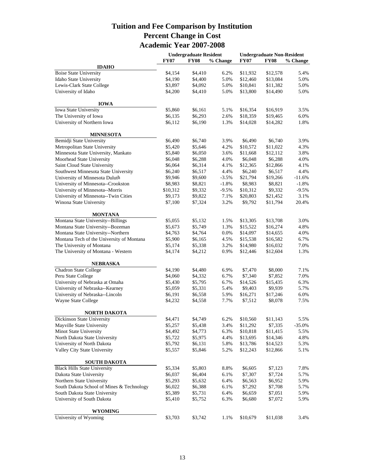### **Tuition and Fee Comparison by Institution Percent Change in Cost Academic Year 2007-2008**

|                                           |             | <b>Undergraduate Resident</b> |          | <b>Undergraduate Non-Resident</b> |             |           |  |
|-------------------------------------------|-------------|-------------------------------|----------|-----------------------------------|-------------|-----------|--|
|                                           | <b>FY07</b> | <b>FY08</b>                   | % Change | <b>FY07</b>                       | <b>FY08</b> | % Change  |  |
| <b>IDAHO</b>                              |             |                               |          |                                   |             |           |  |
| <b>Boise State University</b>             | \$4,154     | \$4,410                       | 6.2%     | \$11,932                          | \$12,578    | 5.4%      |  |
| Idaho State University                    | \$4,190     | \$4,400                       | 5.0%     | \$12,460                          | \$13,084    | 5.0%      |  |
| Lewis-Clark State College                 | \$3,897     | \$4,092                       | 5.0%     | \$10,841                          | \$11,382    | 5.0%      |  |
| University of Idaho                       | \$4,200     | \$4,410                       | 5.0%     | \$13,800                          | \$14,490    | 5.0%      |  |
| <b>IOWA</b>                               |             |                               |          |                                   |             |           |  |
| <b>Iowa State University</b>              | \$5,860     | \$6,161                       | 5.1%     | \$16,354                          | \$16,919    | 3.5%      |  |
| The University of Iowa                    | \$6,135     | \$6,293                       | 2.6%     | \$18,359                          | \$19,465    | 6.0%      |  |
| University of Northern Iowa               | \$6,112     | \$6,190                       | 1.3%     | \$14,028                          | \$14,282    | 1.8%      |  |
| <b>MINNESOTA</b>                          |             |                               |          |                                   |             |           |  |
| Bemidji State University                  | \$6,490     | \$6,740                       | 3.9%     | \$6,490                           | \$6,740     | 3.9%      |  |
| Metropolitan State University             | \$5,420     | \$5,646                       | 4.2%     | \$10,572                          | \$11,022    | 4.3%      |  |
| Minnesota State University, Mankato       | \$5,840     | \$6,050                       | 3.6%     | \$11,668                          | \$12,112    | 3.8%      |  |
| Moorhead State University                 | \$6,048     | \$6,288                       | 4.0%     | \$6,048                           | \$6,288     | 4.0%      |  |
| Saint Cloud State University              | \$6,064     | \$6,314                       | 4.1%     | \$12,365                          | \$12,866    | 4.1%      |  |
| Southwest Minnesota State University      | \$6,240     | \$6,517                       | 4.4%     | \$6,240                           | \$6,517     | 4.4%      |  |
| University of Minnesota Duluth            | \$9,946     | \$9,600                       | $-3.5%$  | \$21,794                          | \$19,266    | $-11.6%$  |  |
| University of Minnesota--Crookston        | \$8,983     | \$8,821                       | $-1.8%$  | \$8,983                           | \$8,821     | $-1.8%$   |  |
| University of Minnesota--Morris           | \$10,312    | \$9,332                       | $-9.5%$  | \$10,312                          | \$9,332     | $-9.5%$   |  |
| University of Minnesota--Twin Cities      | \$9,173     | \$9,822                       | 7.1%     | \$20,803                          | \$21,452    | 3.1%      |  |
| Winona State University                   | \$7,100     | \$7,324                       | 3.2%     | \$9,792                           | \$11,794    | 20.4%     |  |
|                                           |             |                               |          |                                   |             |           |  |
| <b>MONTANA</b>                            |             |                               |          |                                   |             |           |  |
| Montana State University--Billings        | \$5,055     | \$5,132                       | 1.5%     | \$13,305                          | \$13,708    | 3.0%      |  |
| Montana State University--Bozeman         | \$5,673     | \$5,749                       | 1.3%     | \$15,522                          | \$16,274    | 4.8%      |  |
| Montana State University--Northern        | \$4,763     | \$4,764                       | 0.0%     | \$14,097                          | \$14,655    | 4.0%      |  |
| Montana Tech of the University of Montana | \$5,900     | \$6,165                       | 4.5%     | \$15,538                          | \$16,582    | 6.7%      |  |
| The University of Montana                 | \$5,174     | \$5,338                       | 3.2%     | \$14,980                          | \$16,032    | 7.0%      |  |
| The University of Montana - Western       | \$4,174     | \$4,212                       | 0.9%     | \$12,446                          | \$12,604    | 1.3%      |  |
| NEBRASKA                                  |             |                               |          |                                   |             |           |  |
| Chadron State College                     | \$4,190     | \$4,480                       | 6.9%     | \$7,470                           | \$8,000     | 7.1%      |  |
| Peru State College                        | \$4,060     | \$4,332                       | 6.7%     | \$7,340                           | \$7,852     | 7.0%      |  |
| University of Nebraska at Omaha           | \$5,430     | \$5,795                       | 6.7%     | \$14,526                          | \$15,435    | 6.3%      |  |
| University of Nebraska--Kearney           | \$5,059     | \$5,331                       | 5.4%     | \$9,403                           | \$9,939     | 5.7%      |  |
| University of Nebraska--Lincoln           | \$6,191     | \$6,558                       | 5.9%     | \$16,271                          | \$17,246    | 6.0%      |  |
| Wayne State College                       | \$4,232     | \$4,558                       | 7.7%     | \$7,512                           | \$8,078     | 7.5%      |  |
| NORTH DAKOTA                              |             |                               |          |                                   |             |           |  |
| Dickinson State University                | \$4,471     | \$4,749                       | 6.2%     | \$10,560                          | \$11,143    | 5.5%      |  |
| Mayville State University                 | \$5,257     | \$5,438                       | 3.4%     | \$11,292                          | \$7,335     | $-35.0\%$ |  |
| Minot State University                    | \$4,492     | \$4,773                       | 6.3%     | \$10,818                          | \$11,415    | 5.5%      |  |
| North Dakota State University             | \$5,722     | \$5,975                       | 4.4%     | \$13,695                          | \$14,346    | 4.8%      |  |
| University of North Dakota                | \$5,792     | \$6,131                       | 5.8%     | \$13,786                          | \$14,523    | 5.3%      |  |
| Valley City State University              | \$5,557     | \$5,846                       | 5.2%     | \$12,243                          | \$12,866    | 5.1%      |  |
|                                           |             |                               |          |                                   |             |           |  |
| <b>SOUTH DAKOTA</b>                       |             |                               |          |                                   |             |           |  |
| <b>Black Hills State University</b>       | \$5,334     | \$5,803                       | 8.8%     | \$6,605                           | \$7,123     | 7.8%      |  |
| Dakota State University                   | \$6,037     | \$6,404                       | 6.1%     | \$7,307                           | \$7,724     | 5.7%      |  |
| Northern State University                 | \$5,293     | \$5,632                       | 6.4%     | \$6,563                           | \$6,952     | 5.9%      |  |
| South Dakota School of Mines & Technology | \$6,022     | \$6,388                       | 6.1%     | \$7,292                           | \$7,708     | 5.7%      |  |
| South Dakota State University             | \$5,389     | \$5,731                       | 6.4%     | \$6,659                           | \$7,051     | 5.9%      |  |
| University of South Dakota                | \$5,410     | \$5,752                       | 6.3%     | \$6,680                           | \$7,072     | 5.9%      |  |
| WYOMING                                   |             |                               |          |                                   |             |           |  |
| University of Wyoming                     | \$3,703     | \$3,742                       | 1.1%     | \$10,679                          | \$11,038    | 3.4%      |  |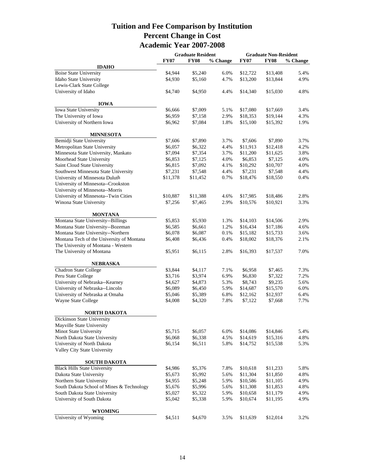### **Tuition and Fee Comparison by Institution Percent Change in Cost Academic Year 2007-2008**

|                                           |             | <b>Graduate Resident</b> |          | <b>Graduate Non-Resident</b> |             |          |  |
|-------------------------------------------|-------------|--------------------------|----------|------------------------------|-------------|----------|--|
|                                           | <b>FY07</b> | <b>FY08</b>              | % Change | <b>FY07</b>                  | <b>FY08</b> | % Change |  |
| <b>IDAHO</b>                              |             |                          |          |                              |             |          |  |
| <b>Boise State University</b>             | \$4,944     | \$5,240                  | 6.0%     | \$12,722                     | \$13,408    | 5.4%     |  |
| Idaho State University                    | \$4,930     | \$5,160                  | 4.7%     | \$13,200                     | \$13,844    | 4.9%     |  |
| Lewis-Clark State College                 |             |                          |          |                              |             |          |  |
| University of Idaho                       | \$4,740     | \$4,950                  | 4.4%     | \$14,340                     | \$15,030    | 4.8%     |  |
| <b>IOWA</b>                               |             |                          |          |                              |             |          |  |
| <b>Iowa State University</b>              | \$6,666     | \$7,009                  | 5.1%     | \$17,080                     | \$17,669    | 3.4%     |  |
| The University of Iowa                    | \$6,959     | \$7,158                  | 2.9%     | \$18,353                     | \$19,144    | 4.3%     |  |
| University of Northern Iowa               | \$6,962     | \$7,084                  | 1.8%     | \$15,100                     | \$15,392    | 1.9%     |  |
| <b>MINNESOTA</b>                          |             |                          |          |                              |             |          |  |
| Bemidji State University                  | \$7,606     | \$7,890                  | 3.7%     | \$7,606                      | \$7,890     | 3.7%     |  |
| Metropolitan State University             | \$6,057     | \$6,322                  | 4.4%     | \$11,913                     | \$12,418    | 4.2%     |  |
| Minnesota State University, Mankato       | \$7,094     | \$7,354                  | 3.7%     | \$11,200                     | \$11,625    | 3.8%     |  |
| Moorhead State University                 | \$6,853     | \$7,125                  | 4.0%     | \$6,853                      | \$7,125     | 4.0%     |  |
| Saint Cloud State University              | \$6,815     | \$7,092                  | 4.1%     | \$10,292                     | \$10,707    | 4.0%     |  |
| Southwest Minnesota State University      | \$7,231     | \$7,548                  | 4.4%     | \$7,231                      | \$7,548     | 4.4%     |  |
| University of Minnesota Duluth            | \$11,378    | \$11,452                 | 0.7%     | \$18,476                     | \$18,550    | 0.4%     |  |
| University of Minnesota--Crookston        |             |                          |          |                              |             |          |  |
|                                           |             |                          |          |                              |             |          |  |
| University of Minnesota--Morris           |             |                          |          |                              |             | 2.8%     |  |
| University of Minnesota--Twin Cities      | \$10,887    | \$11,388                 | 4.6%     | \$17,985                     | \$18,486    |          |  |
| Winona State University                   | \$7,256     | \$7,465                  | 2.9%     | \$10,576                     | \$10,921    | 3.3%     |  |
| <b>MONTANA</b>                            |             |                          |          |                              |             |          |  |
| Montana State University--Billings        | \$5,853     | \$5,930                  | 1.3%     | \$14,103                     | \$14,506    | 2.9%     |  |
| Montana State University--Bozeman         | \$6,585     | \$6,661                  | 1.2%     | \$16,434                     | \$17,186    | 4.6%     |  |
| Montana State University--Northern        | \$6,078     | \$6,087                  | 0.1%     | \$15,182                     | \$15,733    | 3.6%     |  |
| Montana Tech of the University of Montana | \$6,408     | \$6,436                  | 0.4%     | \$18,002                     | \$18,376    | 2.1%     |  |
| The University of Montana - Western       |             |                          |          |                              |             |          |  |
| The University of Montana                 | \$5,951     | \$6,115                  | 2.8%     | \$16,393                     | \$17,537    | 7.0%     |  |
| <b>NEBRASKA</b>                           |             |                          |          |                              |             |          |  |
| <b>Chadron State College</b>              | \$3,844     | \$4,117                  | 7.1%     | \$6,958                      | \$7,465     | 7.3%     |  |
| Peru State College                        | \$3,716     | \$3,974                  | 6.9%     | \$6,830                      | \$7,322     | 7.2%     |  |
| University of Nebraska--Kearney           | \$4,627     | \$4,873                  | 5.3%     | \$8,743                      | \$9,235     | 5.6%     |  |
| University of Nebraska--Lincoln           | \$6,089     | \$6,450                  | 5.9%     | \$14,687                     | \$15,570    | 6.0%     |  |
| University of Nebraska at Omaha           | \$5,046     | \$5,389                  | 6.8%     | \$12,162                     | \$12,937    | 6.4%     |  |
| Wayne State College                       | \$4,008     | \$4,320                  | 7.8%     | \$7,122                      | \$7,668     | 7.7%     |  |
| <b>NORTH DAKOTA</b>                       |             |                          |          |                              |             |          |  |
| Dickinson State University                |             |                          |          |                              |             |          |  |
| Mayville State University                 |             |                          |          |                              |             |          |  |
| Minot State University                    | \$5,715     | \$6,057                  | 6.0%     | \$14,086                     | \$14,846    | 5.4%     |  |
| North Dakota State University             | \$6,068     | \$6,338                  | 4.5%     | \$14,619                     | \$15,316    | 4.8%     |  |
| University of North Dakota                | \$6,154     | \$6,511                  | 5.8%     | \$14,752                     | \$15,538    | 5.3%     |  |
| Valley City State University              |             |                          |          |                              |             |          |  |
|                                           |             |                          |          |                              |             |          |  |
| <b>SOUTH DAKOTA</b>                       |             |                          |          |                              |             |          |  |
| <b>Black Hills State University</b>       | \$4,986     | \$5,376                  | 7.8%     | \$10,618                     | \$11,233    | 5.8%     |  |
| Dakota State University                   | \$5,673     | \$5,992                  | 5.6%     | \$11,304                     | \$11,850    | 4.8%     |  |
| Northern State University                 | \$4,955     | \$5,248                  | 5.9%     | \$10,586                     | \$11,105    | 4.9%     |  |
| South Dakota School of Mines & Technology | \$5,676     | \$5,996                  | 5.6%     | \$11,308                     | \$11,853    | 4.8%     |  |
| South Dakota State University             | \$5,027     | \$5,322                  | 5.9%     | \$10,658                     | \$11,179    | 4.9%     |  |
| University of South Dakota                | \$5,042     | \$5,338                  | 5.9%     | \$10,674                     | \$11,195    | 4.9%     |  |
| <b>WYOMING</b>                            |             |                          |          |                              |             |          |  |
| University of Wyoming                     | \$4,511     | \$4,670                  | 3.5%     | \$11,639                     | \$12,014    | 3.2%     |  |
|                                           |             |                          |          |                              |             |          |  |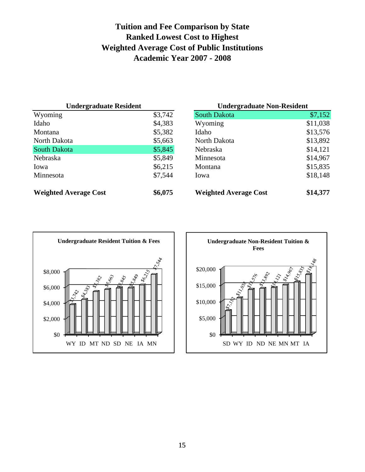### **Tuition and Fee Comparison by State Ranked Lowest Cost to Highest Weighted Average Cost of Public Institutions Academic Year 2007 - 2008**

| <b>Undergraduate Resident</b> |         | <b>Undergraduate Non-Resident</b> |          |  |  |
|-------------------------------|---------|-----------------------------------|----------|--|--|
| Wyoming                       | \$3,742 | South Dakota                      | \$7,152  |  |  |
| Idaho                         | \$4,383 | Wyoming                           | \$11,038 |  |  |
| Montana                       | \$5,382 | Idaho                             | \$13,576 |  |  |
| North Dakota                  | \$5,663 | North Dakota                      | \$13,892 |  |  |
| <b>South Dakota</b>           | \$5,845 | Nebraska                          | \$14,121 |  |  |
| Nebraska                      | \$5,849 | Minnesota                         | \$14,967 |  |  |
| Iowa                          | \$6,215 | Montana                           | \$15,835 |  |  |
| Minnesota                     | \$7,544 | Iowa                              | \$18,148 |  |  |
| <b>Weighted Average Cost</b>  | \$6,075 | <b>Weighted Average Cost</b>      | \$14,377 |  |  |

| <b>Undergraduate Resident</b> |         | <b>Undergraduate Non-Resident</b> |          |
|-------------------------------|---------|-----------------------------------|----------|
| Wyoming                       | \$3,742 | South Dakota                      | \$7,152  |
| Idaho                         | \$4,383 | Wyoming                           | \$11,038 |
| Montana                       | \$5,382 | Idaho                             | \$13,576 |
| North Dakota                  | \$5,663 | North Dakota                      | \$13,892 |
| South Dakota                  | \$5,845 | Nebraska                          | \$14,121 |
| Nebraska                      | \$5,849 | Minnesota                         | \$14,967 |
| Iowa                          | \$6,215 | Montana                           | \$15,835 |
| Minnesota                     | \$7,544 | Iowa                              | \$18,148 |
| <b>Weighted Average Cost</b>  | \$6,075 | <b>Weighted Average Cost</b>      | \$14,377 |



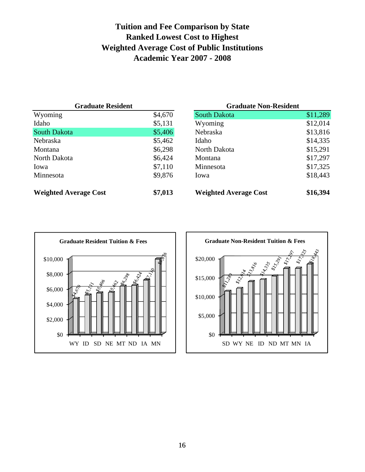### **Tuition and Fee Comparison by State Ranked Lowest Cost to Highest Weighted Average Cost of Public Institutions Academic Year 2007 - 2008**

| <b>Graduate Resident</b>     |         | <b>Graduate Non-Resident</b> |          |
|------------------------------|---------|------------------------------|----------|
| Wyoming                      | \$4,670 | <b>South Dakota</b>          | \$11,289 |
| Idaho                        | \$5,131 | Wyoming                      | \$12,014 |
| <b>South Dakota</b>          | \$5,406 | Nebraska                     | \$13,816 |
| Nebraska                     | \$5,462 | Idaho                        | \$14,335 |
| Montana                      | \$6,298 | North Dakota                 | \$15,291 |
| North Dakota                 | \$6,424 | <b>Montana</b>               | \$17,297 |
| Iowa                         | \$7,110 | Minnesota                    | \$17,325 |
| Minnesota                    | \$9,876 | Iowa                         | \$18,443 |
| <b>Weighted Average Cost</b> | \$7,013 | <b>Weighted Average Cost</b> | \$16,394 |

| <b>Graduate Resident</b>     |         | <b>Graduate Non-Resident</b> |          |
|------------------------------|---------|------------------------------|----------|
| Wyoming                      | \$4,670 | South Dakota                 | \$11,289 |
| Idaho                        | \$5,131 | Wyoming                      | \$12,014 |
| South Dakota                 | \$5,406 | Nebraska                     | \$13,816 |
| Nebraska                     | \$5,462 | Idaho                        | \$14,335 |
| Montana                      | \$6,298 | North Dakota                 | \$15,291 |
| North Dakota                 | \$6,424 | Montana                      | \$17,297 |
| Iowa                         | \$7,110 | Minnesota                    | \$17,325 |
| Minnesota                    | \$9,876 | Iowa                         | \$18,443 |
| <b>Weighted Average Cost</b> | \$7,013 | <b>Weighted Average Cost</b> | \$16,394 |



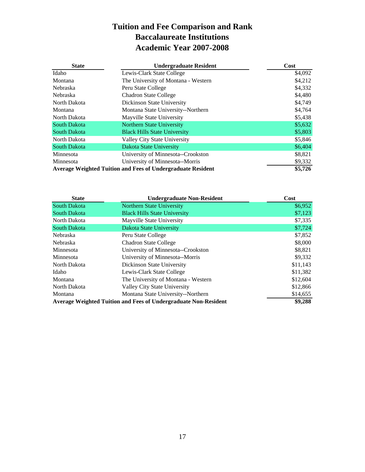### **Tuition and Fee Comparison and Rank Baccalaureate Institutions Academic Year 2007-2008**

| <b>State</b>        | <b>Undergraduate Resident</b>                                      | Cost    |
|---------------------|--------------------------------------------------------------------|---------|
| Idaho               | Lewis-Clark State College                                          | \$4,092 |
| Montana             | The University of Montana - Western                                | \$4,212 |
| Nebraska            | Peru State College                                                 | \$4,332 |
| Nebraska            | <b>Chadron State College</b>                                       | \$4,480 |
| North Dakota        | Dickinson State University                                         | \$4,749 |
| Montana             | Montana State University--Northern                                 | \$4,764 |
| North Dakota        | Mayville State University                                          | \$5,438 |
| South Dakota        | Northern State University                                          | \$5,632 |
| <b>South Dakota</b> | <b>Black Hills State University</b>                                | \$5,803 |
| North Dakota        | Valley City State University                                       | \$5,846 |
| <b>South Dakota</b> | Dakota State University                                            | \$6,404 |
| Minnesota           | University of Minnesota--Crookston                                 | \$8,821 |
| Minnesota           | University of Minnesota--Morris                                    | \$9,332 |
|                     | <b>Average Weighted Tuition and Fees of Undergraduate Resident</b> | \$5,726 |

| <b>State</b>        | <b>Undergraduate Non-Resident</b>                                      | Cost     |
|---------------------|------------------------------------------------------------------------|----------|
| <b>South Dakota</b> | <b>Northern State University</b>                                       | \$6,952  |
| South Dakota        | <b>Black Hills State University</b>                                    | \$7,123  |
| North Dakota        | Mayville State University                                              | \$7,335  |
| <b>South Dakota</b> | Dakota State University                                                | \$7,724  |
| Nebraska            | Peru State College                                                     | \$7,852  |
| <b>Nebraska</b>     | <b>Chadron State College</b>                                           | \$8,000  |
| Minnesota           | University of Minnesota--Crookston                                     | \$8,821  |
| Minnesota           | University of Minnesota--Morris                                        | \$9,332  |
| North Dakota        | Dickinson State University                                             | \$11,143 |
| Idaho               | Lewis-Clark State College                                              | \$11,382 |
| Montana             | The University of Montana - Western                                    | \$12,604 |
| North Dakota        | Valley City State University                                           | \$12,866 |
| Montana             | Montana State University--Northern                                     | \$14,655 |
|                     | <b>Average Weighted Tuition and Fees of Undergraduate Non-Resident</b> | \$9,288  |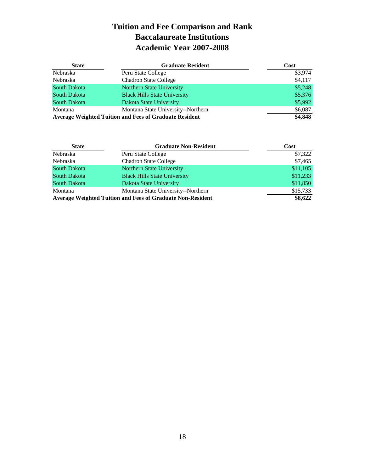### **Tuition and Fee Comparison and Rank Baccalaureate Institutions Academic Year 2007-2008**

| <b>State</b>        | <b>Graduate Resident</b>                                      | Cost    |
|---------------------|---------------------------------------------------------------|---------|
| Nebraska            | Peru State College                                            | \$3,974 |
| Nebraska            | <b>Chadron State College</b>                                  | \$4,117 |
| <b>South Dakota</b> | Northern State University                                     | \$5,248 |
| <b>South Dakota</b> | <b>Black Hills State University</b>                           | \$5,376 |
| <b>South Dakota</b> | Dakota State University                                       | \$5,992 |
| Montana             | Montana State University--Northern                            | \$6,087 |
|                     | <b>Average Weighted Tuition and Fees of Graduate Resident</b> | \$4,848 |

| <b>State</b>        | <b>Graduate Non-Resident</b>                                      | Cost     |
|---------------------|-------------------------------------------------------------------|----------|
| Nebraska            | Peru State College                                                | \$7,322  |
| Nebraska            | <b>Chadron State College</b>                                      | \$7,465  |
| <b>South Dakota</b> | Northern State University                                         | \$11,105 |
| South Dakota        | <b>Black Hills State University</b>                               | \$11,233 |
| South Dakota        | Dakota State University                                           | \$11,850 |
| Montana             | Montana State University--Northern                                | \$15,733 |
|                     | <b>Average Weighted Tuition and Fees of Graduate Non-Resident</b> | \$8,622  |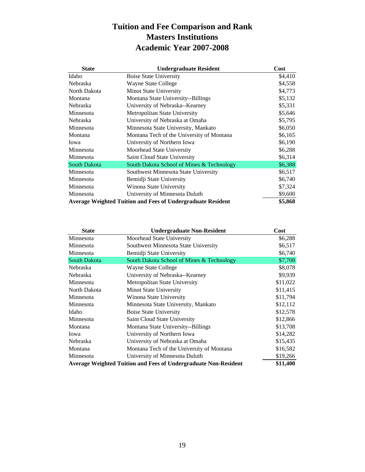### **Tuition and Fee Comparison and Rank Masters Institutions Academic Year 2007-2008**

| <b>State</b> | <b>Undergraduate Resident</b>                                      | Cost    |
|--------------|--------------------------------------------------------------------|---------|
| Idaho        | <b>Boise State University</b>                                      | \$4,410 |
| Nebraska     | Wayne State College                                                | \$4,558 |
| North Dakota | Minot State University                                             | \$4,773 |
| Montana      | Montana State University--Billings                                 | \$5,132 |
| Nebraska     | University of Nebraska--Kearney                                    | \$5,331 |
| Minnesota    | Metropolitan State University                                      | \$5,646 |
| Nebraska     | University of Nebraska at Omaha                                    | \$5,795 |
| Minnesota    | Minnesota State University, Mankato                                | \$6,050 |
| Montana      | Montana Tech of the University of Montana                          | \$6,165 |
| Iowa         | University of Northern Iowa                                        | \$6,190 |
| Minnesota    | Moorhead State University                                          | \$6,288 |
| Minnesota    | Saint Cloud State University                                       | \$6,314 |
| South Dakota | South Dakota School of Mines & Technology                          | \$6,388 |
| Minnesota    | Southwest Minnesota State University                               | \$6,517 |
| Minnesota    | Bemidji State University                                           | \$6,740 |
| Minnesota    | Winona State University                                            | \$7,324 |
| Minnesota    | University of Minnesota Duluth                                     | \$9,600 |
|              | <b>Average Weighted Tuition and Fees of Undergraduate Resident</b> | \$5,868 |

| <b>State</b> | <b>Undergraduate Non-Resident</b>                                      | Cost     |
|--------------|------------------------------------------------------------------------|----------|
| Minnesota    | Moorhead State University                                              | \$6,288  |
| Minnesota    | Southwest Minnesota State University                                   | \$6,517  |
| Minnesota    | Bemidji State University                                               | \$6,740  |
| South Dakota | South Dakota School of Mines & Technology                              | \$7,708  |
| Nebraska     | Wayne State College                                                    | \$8,078  |
| Nebraska     | University of Nebraska--Kearney                                        | \$9,939  |
| Minnesota    | Metropolitan State University                                          | \$11,022 |
| North Dakota | Minot State University                                                 | \$11,415 |
| Minnesota    | Winona State University                                                | \$11,794 |
| Minnesota    | Minnesota State University, Mankato                                    | \$12,112 |
| Idaho        | Boise State University                                                 | \$12,578 |
| Minnesota    | Saint Cloud State University                                           | \$12,866 |
| Montana      | Montana State University--Billings                                     | \$13,708 |
| Iowa         | University of Northern Iowa                                            | \$14,282 |
| Nebraska     | University of Nebraska at Omaha                                        | \$15,435 |
| Montana      | Montana Tech of the University of Montana                              | \$16,582 |
| Minnesota    | University of Minnesota Duluth                                         | \$19,266 |
|              | <b>Average Weighted Tuition and Fees of Undergraduate Non-Resident</b> | \$11,400 |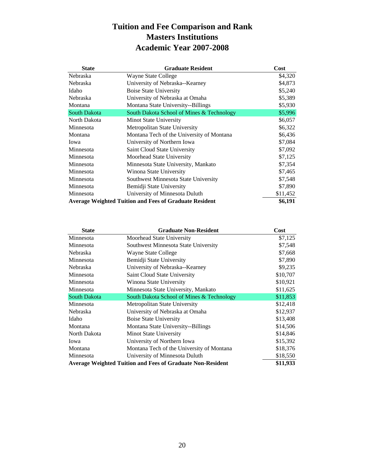### **Tuition and Fee Comparison and Rank Masters Institutions Academic Year 2007-2008**

| <b>State</b>    | <b>Graduate Resident</b>                                      | Cost     |
|-----------------|---------------------------------------------------------------|----------|
| Nebraska        | Wayne State College                                           | \$4,320  |
| Nebraska        | University of Nebraska--Kearney                               | \$4,873  |
| Idaho           | <b>Boise State University</b>                                 | \$5,240  |
| <b>Nebraska</b> | University of Nebraska at Omaha                               | \$5,389  |
| Montana         | Montana State University--Billings                            | \$5,930  |
| South Dakota    | South Dakota School of Mines & Technology                     | \$5,996  |
| North Dakota    | Minot State University                                        | \$6,057  |
| Minnesota       | Metropolitan State University                                 | \$6,322  |
| Montana         | Montana Tech of the University of Montana                     | \$6,436  |
| Iowa            | University of Northern Iowa                                   | \$7,084  |
| Minnesota       | Saint Cloud State University                                  | \$7,092  |
| Minnesota       | Moorhead State University                                     | \$7,125  |
| Minnesota       | Minnesota State University, Mankato                           | \$7,354  |
| Minnesota       | Winona State University                                       | \$7,465  |
| Minnesota       | Southwest Minnesota State University                          | \$7,548  |
| Minnesota       | Bemidji State University                                      | \$7,890  |
| Minnesota       | University of Minnesota Duluth                                | \$11,452 |
|                 | <b>Average Weighted Tuition and Fees of Graduate Resident</b> | \$6,191  |

| <b>State</b>        | <b>Graduate Non-Resident</b>                                      | Cost     |
|---------------------|-------------------------------------------------------------------|----------|
| Minnesota           | Moorhead State University                                         | \$7,125  |
| Minnesota           | Southwest Minnesota State University                              | \$7,548  |
| Nebraska            | Wayne State College                                               | \$7,668  |
| Minnesota           | Bemidji State University                                          | \$7,890  |
| Nebraska            | University of Nebraska--Kearney                                   | \$9,235  |
| Minnesota           | Saint Cloud State University                                      | \$10,707 |
| Minnesota           | Winona State University                                           | \$10,921 |
| Minnesota           | Minnesota State University, Mankato                               | \$11,625 |
| <b>South Dakota</b> | South Dakota School of Mines & Technology                         | \$11,853 |
| Minnesota           | Metropolitan State University                                     | \$12,418 |
| Nebraska            | University of Nebraska at Omaha                                   | \$12,937 |
| Idaho               | <b>Boise State University</b>                                     | \$13,408 |
| Montana             | Montana State University--Billings                                | \$14,506 |
| North Dakota        | Minot State University                                            | \$14,846 |
| Iowa                | University of Northern Iowa                                       | \$15,392 |
| Montana             | Montana Tech of the University of Montana                         | \$18,376 |
| Minnesota           | University of Minnesota Duluth                                    | \$18,550 |
|                     | <b>Average Weighted Tuition and Fees of Graduate Non-Resident</b> | \$11,933 |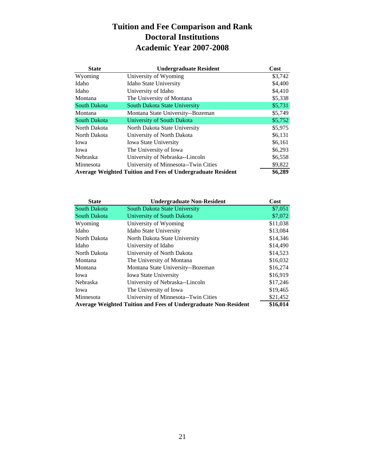### **Tuition and Fee Comparison and Rank Doctoral Institutions Academic Year 2007-2008**

| <b>State</b>        | <b>Undergraduate Resident</b>                                      | Cost    |
|---------------------|--------------------------------------------------------------------|---------|
| Wyoming             | University of Wyoming                                              | \$3,742 |
| Idaho               | Idaho State University                                             | \$4,400 |
| Idaho               | University of Idaho                                                | \$4,410 |
| Montana             | The University of Montana                                          | \$5,338 |
| <b>South Dakota</b> | South Dakota State University                                      | \$5,731 |
| Montana             | Montana State University--Bozeman                                  | \$5,749 |
| <b>South Dakota</b> | University of South Dakota                                         | \$5,752 |
| North Dakota        | North Dakota State University                                      | \$5,975 |
| North Dakota        | University of North Dakota                                         | \$6,131 |
| Iowa                | <b>Iowa State University</b>                                       | \$6,161 |
| Iowa                | The University of Iowa                                             | \$6,293 |
| Nebraska            | University of Nebraska--Lincoln                                    | \$6,558 |
| Minnesota           | University of Minnesota--Twin Cities                               | \$9,822 |
|                     | <b>Average Weighted Tuition and Fees of Undergraduate Resident</b> | \$6,289 |

| <b>State</b>                                                           | <b>Undergraduate Non-Resident</b>    | Cost     |
|------------------------------------------------------------------------|--------------------------------------|----------|
| <b>South Dakota</b>                                                    | South Dakota State University        | \$7,051  |
| <b>South Dakota</b>                                                    | University of South Dakota           | \$7,072  |
| Wyoming                                                                | University of Wyoming                | \$11,038 |
| Idaho                                                                  | <b>Idaho State University</b>        | \$13,084 |
| North Dakota                                                           | North Dakota State University        | \$14,346 |
| Idaho                                                                  | University of Idaho                  | \$14,490 |
| North Dakota                                                           | University of North Dakota           | \$14,523 |
| Montana                                                                | The University of Montana            | \$16,032 |
| Montana                                                                | Montana State University--Bozeman    | \$16,274 |
| Iowa                                                                   | <b>Iowa State University</b>         | \$16,919 |
| Nebraska                                                               | University of Nebraska--Lincoln      | \$17,246 |
| Iowa                                                                   | The University of Iowa               | \$19,465 |
| Minnesota                                                              | University of Minnesota--Twin Cities | \$21,452 |
| <b>Average Weighted Tuition and Fees of Undergraduate Non-Resident</b> | \$16,014                             |          |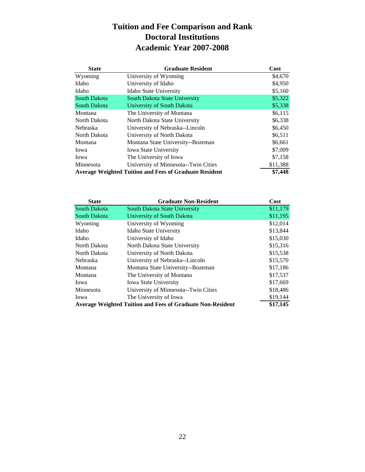### **Tuition and Fee Comparison and Rank Doctoral Institutions Academic Year 2007-2008**

| <b>State</b>                                                  | <b>Graduate Resident</b>             | Cost     |
|---------------------------------------------------------------|--------------------------------------|----------|
| Wyoming                                                       | University of Wyoming                | \$4,670  |
| Idaho                                                         | University of Idaho                  | \$4,950  |
| Idaho                                                         | Idaho State University               | \$5,160  |
| <b>South Dakota</b>                                           | South Dakota State University        | \$5,322  |
| <b>South Dakota</b>                                           | University of South Dakota           | \$5,338  |
| Montana                                                       | The University of Montana            | \$6,115  |
| North Dakota                                                  | North Dakota State University        | \$6,338  |
| <b>Nebraska</b>                                               | University of Nebraska--Lincoln      | \$6,450  |
| North Dakota                                                  | University of North Dakota           | \$6,511  |
| Montana                                                       | Montana State University--Bozeman    | \$6,661  |
| Iowa                                                          | <b>Iowa State University</b>         | \$7,009  |
| Iowa                                                          | The University of Iowa               | \$7,158  |
| Minnesota                                                     | University of Minnesota--Twin Cities | \$11,388 |
| <b>Average Weighted Tuition and Fees of Graduate Resident</b> | \$7,448                              |          |

| <b>State</b>                                                      | <b>Graduate Non-Resident</b>         | Cost     |
|-------------------------------------------------------------------|--------------------------------------|----------|
| <b>South Dakota</b>                                               | South Dakota State University        | \$11,179 |
| <b>South Dakota</b>                                               | University of South Dakota           | \$11,195 |
| Wyoming                                                           | University of Wyoming                | \$12,014 |
| Idaho                                                             | <b>Idaho State University</b>        | \$13,844 |
| Idaho                                                             | University of Idaho                  | \$15,030 |
| North Dakota                                                      | North Dakota State University        | \$15,316 |
| North Dakota                                                      | University of North Dakota           | \$15,538 |
| <b>Nebraska</b>                                                   | University of Nebraska--Lincoln      | \$15,570 |
| Montana                                                           | Montana State University--Bozeman    | \$17,186 |
| Montana                                                           | The University of Montana            | \$17,537 |
| Iowa                                                              | <b>Iowa State University</b>         | \$17,669 |
| Minnesota                                                         | University of Minnesota--Twin Cities | \$18,486 |
| Iowa                                                              | The University of Iowa               | \$19,144 |
| <b>Average Weighted Tuition and Fees of Graduate Non-Resident</b> | \$17,145                             |          |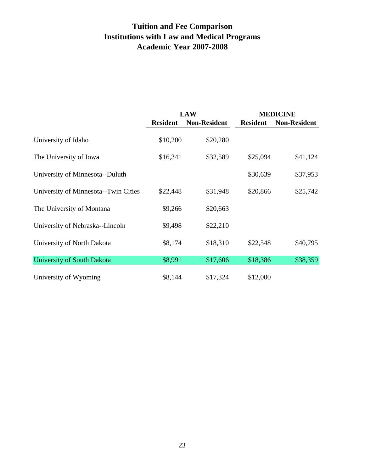### **Tuition and Fee Comparison Institutions with Law and Medical Programs Academic Year 2007-2008**

|                                      |                 | <b>LAW</b>          |                 | <b>MEDICINE</b>     |
|--------------------------------------|-----------------|---------------------|-----------------|---------------------|
|                                      | <b>Resident</b> | <b>Non-Resident</b> | <b>Resident</b> | <b>Non-Resident</b> |
| University of Idaho                  | \$10,200        | \$20,280            |                 |                     |
| The University of Iowa               | \$16,341        | \$32,589            | \$25,094        | \$41,124            |
| University of Minnesota--Duluth      |                 |                     | \$30,639        | \$37,953            |
| University of Minnesota--Twin Cities | \$22,448        | \$31,948            | \$20,866        | \$25,742            |
| The University of Montana            | \$9,266         | \$20,663            |                 |                     |
| University of Nebraska--Lincoln      | \$9,498         | \$22,210            |                 |                     |
| University of North Dakota           | \$8,174         | \$18,310            | \$22,548        | \$40,795            |
| University of South Dakota           | \$8,991         | \$17,606            | \$18,386        | \$38,359            |
| University of Wyoming                | \$8,144         | \$17,324            | \$12,000        |                     |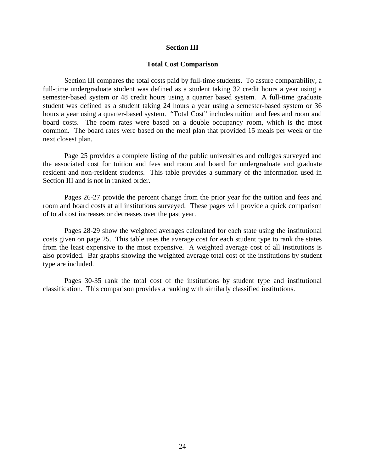#### **Section III**

#### **Total Cost Comparison**

 Section III compares the total costs paid by full-time students. To assure comparability, a full-time undergraduate student was defined as a student taking 32 credit hours a year using a semester-based system or 48 credit hours using a quarter based system. A full-time graduate student was defined as a student taking 24 hours a year using a semester-based system or 36 hours a year using a quarter-based system. "Total Cost" includes tuition and fees and room and board costs. The room rates were based on a double occupancy room, which is the most common. The board rates were based on the meal plan that provided 15 meals per week or the next closest plan.

 Page 25 provides a complete listing of the public universities and colleges surveyed and the associated cost for tuition and fees and room and board for undergraduate and graduate resident and non-resident students. This table provides a summary of the information used in Section III and is not in ranked order.

 Pages 26-27 provide the percent change from the prior year for the tuition and fees and room and board costs at all institutions surveyed. These pages will provide a quick comparison of total cost increases or decreases over the past year.

 Pages 28-29 show the weighted averages calculated for each state using the institutional costs given on page 25. This table uses the average cost for each student type to rank the states from the least expensive to the most expensive. A weighted average cost of all institutions is also provided. Bar graphs showing the weighted average total cost of the institutions by student type are included.

 Pages 30-35 rank the total cost of the institutions by student type and institutional classification. This comparison provides a ranking with similarly classified institutions.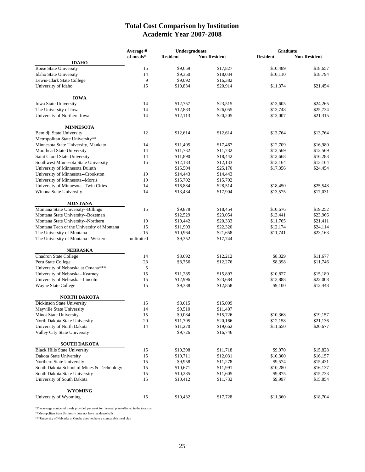#### **Total Cost Comparison by Institution Academic Year 2007-2008**

|                                                             | Undergraduate<br>Average # |                      | Graduate             |                    |                      |
|-------------------------------------------------------------|----------------------------|----------------------|----------------------|--------------------|----------------------|
|                                                             | of meals*                  | <b>Resident</b>      | <b>Non-Resident</b>  | <b>Resident</b>    | <b>Non-Resident</b>  |
| <b>IDAHO</b>                                                |                            |                      |                      |                    |                      |
| <b>Boise State University</b>                               | 15                         | \$9,659              | \$17,827             | \$10,489           | \$18,657             |
| Idaho State University                                      | 14                         | \$9,350              | \$18,034             | \$10,110           | \$18,794             |
| Lewis-Clark State College                                   | 9                          | \$9,092              | \$16,382             |                    |                      |
| University of Idaho                                         | 15                         | \$10,834             | \$20,914             | \$11,374           | \$21,454             |
| <b>IOWA</b>                                                 |                            |                      |                      |                    |                      |
| Iowa State University                                       | 14                         | \$12,757             | \$23,515             | \$13,605           | \$24,265             |
| The University of Iowa                                      | 14                         | \$12,883             | \$26,055             | \$13,748           | \$25,734             |
| University of Northern Iowa                                 | 14                         | \$12,113             | \$20,205             | \$13,007           | \$21,315             |
| <b>MINNESOTA</b>                                            |                            |                      |                      |                    |                      |
| Bemidji State University                                    | 12                         | \$12,614             | \$12,614             | \$13,764           | \$13,764             |
| Metropolitan State University**                             |                            |                      |                      |                    |                      |
| Minnesota State University, Mankato                         | 14                         | \$11,405             | \$17,467             | \$12,709           | \$16,980             |
| Moorhead State University                                   | 14                         | \$11,732             | \$11,732             | \$12,569           | \$12,569             |
| Saint Cloud State University                                | 14                         | \$11,890             | \$18,442             | \$12,668           | \$16,283             |
| Southwest Minnesota State University                        | 15                         | \$12,133             | \$12,133             | \$13,164           | \$13,164             |
| University of Minnesota Duluth                              |                            | \$15,504             | \$25,170             | \$17,356           | \$24,454             |
| University of Minnesota--Crookston                          | 19                         | \$14,443             | \$14,443             |                    |                      |
| University of Minnesota--Morris                             | 19                         | \$15,702             | \$15,702             |                    |                      |
| University of Minnesota--Twin Cities                        | 14                         | \$16,884             | \$28,514             | \$18,450           | \$25,548             |
| Winona State University                                     | 14                         | \$13,434             | \$17,904             | \$13,575           | \$17,031             |
|                                                             |                            |                      |                      |                    |                      |
| <b>MONTANA</b><br>Montana State University--Billings        |                            |                      |                      |                    |                      |
|                                                             | 15                         | \$9,878              | \$18,454             | \$10,676           | \$19,252             |
| Montana State University--Bozeman                           |                            | \$12,529             | \$23,054             | \$13,441           | \$23,966             |
| Montana State University--Northern                          | 19                         | \$10,442             | \$20,333             | \$11,765           | \$21,411             |
| Montana Tech of the University of Montana                   | 15                         | \$11,903             | \$22,320             | \$12,174           | \$24,114             |
| The University of Montana                                   | 15                         | \$10,964             | \$21,658             | \$11,741           | \$23,163             |
| The University of Montana - Western                         | unlimited                  | \$9,352              | \$17,744             |                    |                      |
| <b>NEBRASKA</b>                                             |                            |                      |                      |                    |                      |
| Chadron State College                                       | 14                         | \$8,692              | \$12,212             | \$8,329            | \$11,677             |
| Peru State College                                          | 23                         | \$8,756              | \$12,276             | \$8,398            | \$11,746             |
| University of Nebraska at Omaha***                          | 5                          |                      |                      |                    |                      |
| University of Nebraska--Kearney                             | 15                         | \$11,285             | \$15,893             | \$10,827           | \$15,189             |
| University of Nebraska--Lincoln                             | 15                         | \$12,996             | \$23,684             | \$12,888           | \$22,008             |
| Wayne State College                                         | 15                         | \$9,338              | \$12,858             | \$9,100            | \$12,448             |
| <b>NORTH DAKOTA</b>                                         |                            |                      |                      |                    |                      |
| Dickinson State University                                  | 15                         | \$8,615              | \$15,009             |                    |                      |
| Mayville State University                                   | 14                         | \$9,510              | \$11,407             |                    |                      |
| Minot State University                                      | 15                         | \$9,084              | \$15,726             | \$10,368           | \$19,157             |
| North Dakota State University                               | 20                         | \$11,795             | \$20,166             | \$12,158           | \$21,136             |
| University of North Dakota                                  | 14                         | \$11,270             | \$19,662             | \$11,650           | \$20,677             |
| Valley City State University                                |                            | \$9,726              | \$16,746             |                    |                      |
| <b>SOUTH DAKOTA</b>                                         |                            |                      |                      |                    |                      |
| <b>Black Hills State University</b>                         | 15                         | \$10,398             | \$11,718             | \$9,970            | \$15,828             |
| Dakota State University                                     | 15                         | \$10,711             | \$12,031             | \$10,300           | \$16,157             |
| Northern State University                                   | 15                         | \$9,958              | \$11,278             | \$9,574            | \$15,431             |
| South Dakota School of Mines & Technology                   | 15                         | \$10,671             | \$11,991             | \$10,280           | \$16,137             |
|                                                             |                            |                      |                      |                    |                      |
| South Dakota State University<br>University of South Dakota | 15<br>15                   | \$10,285<br>\$10,412 | \$11,605<br>\$11,732 | \$9,875<br>\$9,997 | \$15,733<br>\$15,854 |
|                                                             |                            |                      |                      |                    |                      |
| <b>WYOMING</b><br>University of Wyoming                     |                            |                      |                      |                    | \$18,704             |
|                                                             | 15                         | \$10,432             | \$17,728             | \$11,360           |                      |

\*The average number of meals provided per week for the meal plan reflected in the total cost

\*\*Metropolitan State University does not have residence halls

\*\*\*University of Nebraska at Omaha does not have a comparable meal plan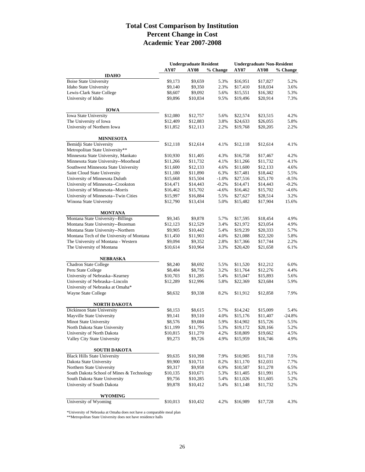#### **Total Cost Comparison by Institution Percent Change in Cost Academic Year 2007-2008**

|                                           |          | <b>Undergraduate Resident</b> |          | <b>Undergraduate Non-Resident</b> |             |          |
|-------------------------------------------|----------|-------------------------------|----------|-----------------------------------|-------------|----------|
|                                           | AY07     | <b>AY08</b>                   | % Change | AY07                              | <b>AY08</b> | % Change |
| <b>IDAHO</b>                              |          |                               |          |                                   |             |          |
| <b>Boise State University</b>             | \$9,173  | \$9,659                       | 5.3%     | \$16,951                          | \$17,827    | 5.2%     |
| Idaho State University                    | \$9,140  | \$9,350                       | 2.3%     | \$17,410                          | \$18,034    | 3.6%     |
| Lewis-Clark State College                 | \$8,607  | \$9,092                       | 5.6%     | \$15,551                          | \$16,382    | 5.3%     |
| University of Idaho                       | \$9,896  | \$10,834                      | 9.5%     | \$19,496                          | \$20,914    | 7.3%     |
| <b>IOWA</b>                               |          |                               |          |                                   |             |          |
| Iowa State University                     | \$12,080 | \$12,757                      | 5.6%     | \$22,574                          | \$23,515    | 4.2%     |
| The University of Iowa                    | \$12,409 | \$12,883                      | 3.8%     | \$24,633                          | \$26,055    | 5.8%     |
| University of Northern Iowa               | \$11,852 | \$12,113                      | 2.2%     | \$19,768                          | \$20,205    | 2.2%     |
| <b>MINNESOTA</b>                          |          |                               |          |                                   |             |          |
| Bemidji State University                  | \$12,118 | \$12,614                      | 4.1%     | \$12,118                          | \$12,614    | 4.1%     |
| Metropolitan State University**           |          |                               |          |                                   |             |          |
| Minnesota State University, Mankato       | \$10,930 | \$11,405                      | 4.3%     | \$16,758                          | \$17,467    | 4.2%     |
| Minnesota State University--Moorhead      | \$11,266 | \$11,732                      | 4.1%     | \$11,266                          | \$11,732    | 4.1%     |
| Southwest Minnesota State University      | \$11,600 | \$12,133                      | 4.6%     | \$11,600                          | \$12,133    | 4.6%     |
| Saint Cloud State University              | \$11,180 | \$11,890                      | 6.3%     | \$17,481                          | \$18,442    | 5.5%     |
| University of Minnesota Duluth            | \$15,668 | \$15,504                      | $-1.0%$  | \$27,516                          | \$25,170    | $-8.5%$  |
| University of Minnesota--Crookston        | \$14,471 | \$14,443                      | $-0.2%$  | \$14,471                          | \$14,443    | $-0.2%$  |
| University of Minnesota--Morris           | \$16,462 | \$15,702                      | $-4.6%$  | \$16,462                          | \$15,702    | $-4.6%$  |
| University of Minnesota--Twin Cities      | \$15,997 | \$16,884                      | 5.5%     | \$27,627                          | \$28,514    | 3.2%     |
| Winona State University                   | \$12,790 | \$13,434                      | 5.0%     | \$15,482                          | \$17,904    | 15.6%    |
| MONTANA                                   |          |                               |          |                                   |             |          |
| Montana State University--Billings        | \$9,345  | \$9,878                       | 5.7%     | \$17,595                          | \$18,454    | 4.9%     |
| Montana State University--Bozeman         | \$12,123 | \$12,529                      | 3.4%     | \$21,972                          | \$23,054    | 4.9%     |
| Montana State University--Northern        | \$9,905  | \$10,442                      | 5.4%     | \$19,239                          | \$20,333    | 5.7%     |
| Montana Tech of the University of Montana | \$11,450 | \$11,903                      | 4.0%     | \$21,088                          | \$22,320    | 5.8%     |
| The University of Montana - Western       | \$9,094  | \$9,352                       | 2.8%     | \$17,366                          | \$17,744    | 2.2%     |
| The University of Montana                 | \$10,614 | \$10,964                      | 3.3%     | \$20,420                          | \$21,658    | 6.1%     |
| <b>NEBRASKA</b>                           |          |                               |          |                                   |             |          |
| Chadron State College                     | \$8,240  | \$8,692                       | 5.5%     | \$11,520                          | \$12,212    | 6.0%     |
| Peru State College                        | \$8,484  | \$8,756                       | 3.2%     | \$11,764                          | \$12,276    | 4.4%     |
| University of Nebraska--Kearney           | \$10,703 | \$11,285                      | 5.4%     | \$15,047                          | \$15,893    | 5.6%     |
| University of Nebraska--Lincoln           | \$12,289 | \$12,996                      | 5.8%     | \$22,369                          | \$23,684    | 5.9%     |
| University of Nebraska at Omaha*          |          |                               |          |                                   |             |          |
| Wayne State College                       | \$8,632  | \$9,338                       | 8.2%     | \$11,912                          | \$12,858    | 7.9%     |
| <b>NORTH DAKOTA</b>                       |          |                               |          |                                   |             |          |
| Dickinson State University                | \$8,153  | \$8,615                       | 5.7%     | \$14,242                          | \$15,009    | 5.4%     |
| Mayville State University                 | \$9,141  | \$9,510                       | 4.0%     | \$15,176                          | \$11,407    | $-24.8%$ |
| Minot State University                    | \$8,576  | \$9,084                       | 5.9%     | \$14,902                          | \$15,726    | 5.5%     |
| North Dakota State University             | \$11,199 | \$11,795                      | 5.3%     | \$19,172                          | \$20,166    | 5.2%     |
| University of North Dakota                | \$10,815 | \$11,270                      | 4.2%     | \$18,809                          | \$19,662    | 4.5%     |
| Valley City State University              | \$9,273  | \$9,726                       | 4.9%     | \$15,959                          | \$16,746    | 4.9%     |
|                                           |          |                               |          |                                   |             |          |
| <b>SOUTH DAKOTA</b>                       |          |                               |          |                                   |             |          |
| <b>Black Hills State University</b>       | \$9,635  | \$10,398                      | 7.9%     | \$10,905                          | \$11,718    | 7.5%     |
| Dakota State University                   | \$9,900  | \$10,711                      | 8.2%     | \$11,170                          | \$12,031    | 7.7%     |
| Northern State University                 | \$9,317  | \$9,958                       | 6.9%     | \$10,587                          | \$11,278    | 6.5%     |
| South Dakota School of Mines & Technology | \$10,135 | \$10,671                      | 5.3%     | \$11,405                          | \$11,991    | 5.1%     |
| South Dakota State University             | \$9,756  | \$10,285                      | 5.4%     | \$11,026                          | \$11,605    | 5.2%     |
| University of South Dakota                | \$9,878  | \$10,412                      | 5.4%     | \$11,148                          | \$11,732    | 5.2%     |
| WYOMING                                   |          |                               |          |                                   |             |          |
| University of Wyoming                     | \$10,013 | \$10,432                      | 4.2%     | \$16,989                          | \$17,728    | 4.3%     |

\*University of Nebraska at Omaha does not have a comparable meal plan \*\*Metropolitan State University does not have residence halls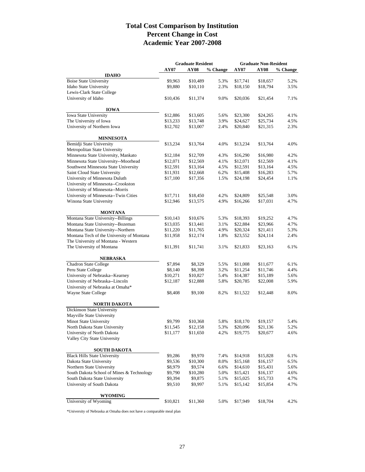### **Total Cost Comparison by Institution Percent Change in Cost Academic Year 2007-2008**

|                                           | <b>Graduate Resident</b> |             | <b>Graduate Non-Resident</b> |          |             |          |
|-------------------------------------------|--------------------------|-------------|------------------------------|----------|-------------|----------|
|                                           | <b>AY07</b>              | <b>AY08</b> | % Change                     | AY07     | <b>AY08</b> | % Change |
| <b>IDAHO</b>                              |                          |             |                              |          |             |          |
| <b>Boise State University</b>             | \$9,963                  | \$10,489    | 5.3%                         | \$17,741 | \$18,657    | 5.2%     |
| Idaho State University                    | \$9,880                  | \$10,110    | 2.3%                         | \$18,150 | \$18,794    | 3.5%     |
| Lewis-Clark State College                 |                          |             |                              |          |             |          |
| University of Idaho                       | \$10,436                 | \$11,374    | 9.0%                         | \$20,036 | \$21,454    | 7.1%     |
| <b>IOWA</b>                               |                          |             |                              |          |             |          |
| <b>Iowa State University</b>              | \$12,886                 | \$13,605    | 5.6%                         | \$23,300 | \$24,265    | 4.1%     |
| The University of Iowa                    | \$13,233                 | \$13,748    | 3.9%                         | \$24,627 | \$25,734    | 4.5%     |
| University of Northern Iowa               | \$12,702                 | \$13,007    | 2.4%                         | \$20,840 | \$21,315    | 2.3%     |
| <b>MINNESOTA</b>                          |                          |             |                              |          |             |          |
| Bemidji State University                  | \$13,234                 | \$13,764    | 4.0%                         | \$13,234 | \$13,764    | 4.0%     |
| Metropolitan State University             |                          |             |                              |          |             |          |
| Minnesota State University, Mankato       | \$12,184                 | \$12,709    | 4.3%                         | \$16,290 | \$16,980    | 4.2%     |
| Minnesota State University--Moorhead      | \$12,071                 | \$12,569    | 4.1%                         | \$12,071 | \$12,569    | 4.1%     |
| Southwest Minnesota State University      | \$12,591                 | \$13,164    | 4.5%                         | \$12,591 | \$13,164    | 4.5%     |
| Saint Cloud State University              | \$11,931                 | \$12,668    | 6.2%                         | \$15,408 | \$16,283    | 5.7%     |
| University of Minnesota Duluth            | \$17,100                 | \$17,356    | 1.5%                         | \$24,198 | \$24,454    | 1.1%     |
| University of Minnesota--Crookston        |                          |             |                              |          |             |          |
| University of Minnesota--Morris           |                          |             |                              |          |             |          |
| University of Minnesota--Twin Cities      | \$17,711                 | \$18,450    | 4.2%                         | \$24,809 | \$25,548    | 3.0%     |
| Winona State University                   | \$12,946                 | \$13,575    | 4.9%                         | \$16,266 | \$17,031    | 4.7%     |
| <b>MONTANA</b>                            |                          |             |                              |          |             |          |
| Montana State University--Billings        | \$10,143                 | \$10,676    | 5.3%                         | \$18,393 | \$19,252    | 4.7%     |
| Montana State University--Bozeman         | \$13,035                 | \$13,441    | 3.1%                         | \$22,884 | \$23,966    | 4.7%     |
| Montana State University--Northern        | \$11,220                 | \$11,765    | 4.9%                         | \$20,324 | \$21,411    | 5.3%     |
| Montana Tech of the University of Montana | \$11,958                 | \$12,174    | 1.8%                         | \$23,552 | \$24,114    | 2.4%     |
| The University of Montana - Western       |                          |             |                              |          |             |          |
| The University of Montana                 | \$11,391                 | \$11,741    | 3.1%                         | \$21,833 | \$23,163    | 6.1%     |
| NEBRASKA                                  |                          |             |                              |          |             |          |
| Chadron State College                     | \$7,894                  | \$8,329     | 5.5%                         | \$11,008 | \$11,677    | 6.1%     |
| Peru State College                        | \$8,140                  | \$8,398     | 3.2%                         | \$11,254 | \$11,746    | 4.4%     |
| University of Nebraska--Kearney           | \$10,271                 | \$10,827    | 5.4%                         | \$14,387 | \$15,189    | 5.6%     |
| University of Nebraska--Lincoln           | \$12,187                 | \$12,888    | 5.8%                         | \$20,785 | \$22,008    | 5.9%     |
| University of Nebraska at Omaha*          |                          |             |                              |          |             |          |
| Wayne State College                       | \$8,408                  | \$9,100     | 8.2%                         | \$11,522 | \$12,448    | 8.0%     |
| <b>NORTH DAKOTA</b>                       |                          |             |                              |          |             |          |
| Dickinson State University                |                          |             |                              |          |             |          |
| Mayville State University                 |                          |             |                              |          |             |          |
| Minot State University                    | \$9,799                  | \$10,368    | 5.8%                         | \$18,170 | \$19,157    | 5.4%     |
| North Dakota State University             | \$11,545                 | \$12,158    | 5.3%                         | \$20,096 | \$21,136    | 5.2%     |
| University of North Dakota                | \$11,177                 | \$11,650    | 4.2%                         | \$19,775 | \$20,677    | 4.6%     |
| Valley City State University              |                          |             |                              |          |             |          |
| <b>SOUTH DAKOTA</b>                       |                          |             |                              |          |             |          |
| <b>Black Hills State University</b>       | \$9,286                  | \$9,970     | 7.4%                         | \$14,918 | \$15,828    | 6.1%     |
| Dakota State University                   | \$9,536                  | \$10,300    | 8.0%                         | \$15,168 | \$16,157    | 6.5%     |
| Northern State University                 | \$8,979                  | \$9,574     | 6.6%                         | \$14,610 | \$15,431    | 5.6%     |
| South Dakota School of Mines & Technology | \$9,790                  | \$10,280    | 5.0%                         | \$15,421 | \$16,137    | 4.6%     |
| South Dakota State University             | \$9,394                  | \$9,875     | 5.1%                         | \$15,025 | \$15,733    | 4.7%     |
| University of South Dakota                | \$9,510                  | \$9,997     | 5.1%                         | \$15,142 | \$15,854    | 4.7%     |
|                                           |                          |             |                              |          |             |          |
| <b>WYOMING</b><br>University of Wyoming   |                          |             |                              |          |             |          |
|                                           | \$10,821                 | \$11,360    | 5.0%                         | \$17,949 | \$18,704    | 4.2%     |

\*University of Nebraska at Omaha does not have a comparable meal plan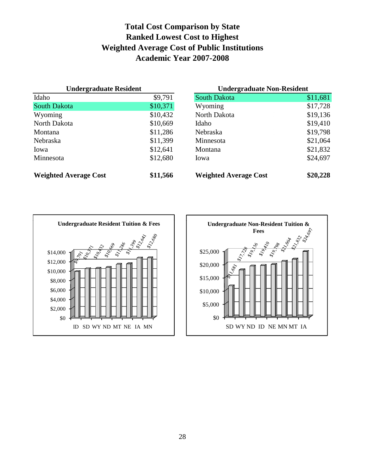### **Total Cost Comparison by State Ranked Lowest Cost to Highest Weighted Average Cost of Public Institutions Academic Year 2007-2008**

| <b>Undergraduate Resident</b> |          | <b>Undergraduate Non-Resident</b> |          |  |
|-------------------------------|----------|-----------------------------------|----------|--|
| Idaho                         | \$9,791  | <b>South Dakota</b>               | \$11,681 |  |
| <b>South Dakota</b>           | \$10,371 | Wyoming                           | \$17,728 |  |
| Wyoming                       | \$10,432 | North Dakota                      | \$19,136 |  |
| North Dakota                  | \$10,669 | Idaho                             | \$19,410 |  |
| Montana                       | \$11,286 | Nebraska                          | \$19,798 |  |
| Nebraska                      | \$11,399 | Minnesota                         | \$21,064 |  |
| Iowa                          | \$12,641 | Montana                           | \$21,832 |  |
| Minnesota                     | \$12,680 | Iowa                              | \$24,697 |  |
| <b>Weighted Average Cost</b>  | \$11,566 | <b>Weighted Average Cost</b>      | \$20,228 |  |



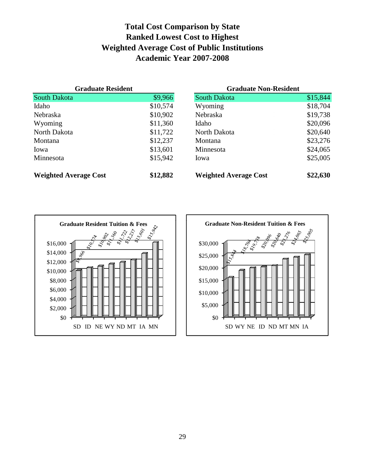### **Total Cost Comparison by State Ranked Lowest Cost to Highest Weighted Average Cost of Public Institutions Academic Year 2007-2008**

| <b>Graduate Resident</b>     |          | <b>Graduate Non-Resident</b> |          |  |
|------------------------------|----------|------------------------------|----------|--|
| <b>South Dakota</b>          | \$9,966  | <b>South Dakota</b>          | \$15,844 |  |
| Idaho                        | \$10,574 | Wyoming                      | \$18,704 |  |
| <b>Nebraska</b>              | \$10,902 | <b>Nebraska</b>              | \$19,738 |  |
| Wyoming                      | \$11,360 | Idaho                        | \$20,096 |  |
| North Dakota                 | \$11,722 | North Dakota                 | \$20,640 |  |
| Montana                      | \$12,237 | Montana                      | \$23,276 |  |
| Iowa                         | \$13,601 | Minnesota                    | \$24,065 |  |
| Minnesota                    | \$15,942 | Iowa                         | \$25,005 |  |
| <b>Weighted Average Cost</b> | \$12,882 | <b>Weighted Average Cost</b> | \$22,630 |  |



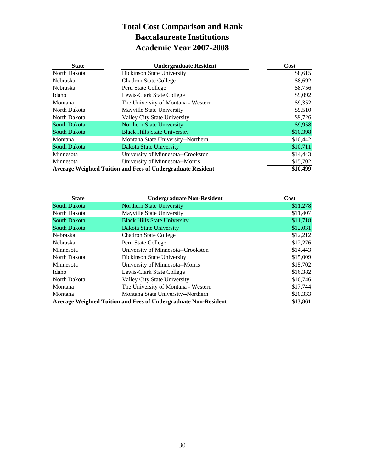### **Total Cost Comparison and Rank Baccalaureate Institutions Academic Year 2007-2008**

| <b>State</b>                                                       | <b>Undergraduate Resident</b>       | Cost     |
|--------------------------------------------------------------------|-------------------------------------|----------|
| North Dakota                                                       | Dickinson State University          | \$8,615  |
| <b>Nebraska</b>                                                    | <b>Chadron State College</b>        | \$8,692  |
| Nebraska                                                           | Peru State College                  | \$8,756  |
| Idaho                                                              | Lewis-Clark State College           | \$9,092  |
| Montana                                                            | The University of Montana - Western | \$9,352  |
| North Dakota                                                       | Mayville State University           | \$9,510  |
| North Dakota                                                       | Valley City State University        | \$9,726  |
| <b>South Dakota</b>                                                | Northern State University           | \$9,958  |
| <b>South Dakota</b>                                                | <b>Black Hills State University</b> | \$10,398 |
| Montana                                                            | Montana State University--Northern  | \$10,442 |
| <b>South Dakota</b>                                                | Dakota State University             | \$10,711 |
| Minnesota                                                          | University of Minnesota--Crookston  | \$14,443 |
| Minnesota                                                          | University of Minnesota--Morris     | \$15,702 |
| <b>Average Weighted Tuition and Fees of Undergraduate Resident</b> | \$10,499                            |          |

| <b>State</b>                                                           | <b>Undergraduate Non-Resident</b>   | Cost     |
|------------------------------------------------------------------------|-------------------------------------|----------|
| <b>South Dakota</b>                                                    | <b>Northern State University</b>    | \$11,278 |
| North Dakota                                                           | Mayville State University           | \$11,407 |
| <b>South Dakota</b>                                                    | <b>Black Hills State University</b> | \$11,718 |
| <b>South Dakota</b>                                                    | Dakota State University             | \$12,031 |
| Nebraska                                                               | <b>Chadron State College</b>        | \$12,212 |
| Nebraska                                                               | Peru State College                  | \$12,276 |
| Minnesota                                                              | University of Minnesota--Crookston  | \$14,443 |
| North Dakota                                                           | Dickinson State University          | \$15,009 |
| Minnesota                                                              | University of Minnesota--Morris     | \$15,702 |
| Idaho                                                                  | Lewis-Clark State College           | \$16,382 |
| North Dakota                                                           | Valley City State University        | \$16,746 |
| Montana                                                                | The University of Montana - Western | \$17,744 |
| Montana                                                                | Montana State University--Northern  | \$20,333 |
| <b>Average Weighted Tuition and Fees of Undergraduate Non-Resident</b> | \$13,861                            |          |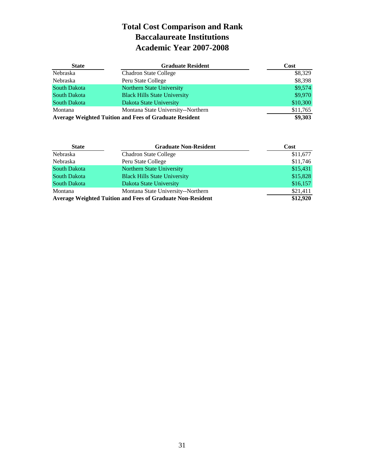### **Total Cost Comparison and Rank Baccalaureate Institutions Academic Year 2007-2008**

| <b>State</b>                                                  | <b>Graduate Resident</b>            | Cost     |
|---------------------------------------------------------------|-------------------------------------|----------|
| Nebraska                                                      | <b>Chadron State College</b>        | \$8,329  |
| Nebraska                                                      | Peru State College                  | \$8,398  |
| <b>South Dakota</b>                                           | Northern State University           | \$9,574  |
| <b>South Dakota</b>                                           | <b>Black Hills State University</b> | \$9,970  |
| South Dakota                                                  | Dakota State University             | \$10,300 |
| Montana                                                       | Montana State University--Northern  | \$11,765 |
| <b>Average Weighted Tuition and Fees of Graduate Resident</b> | \$9,303                             |          |

| <b>State</b>                                                      | <b>Graduate Non-Resident</b>        | Cost     |
|-------------------------------------------------------------------|-------------------------------------|----------|
| Nebraska                                                          | <b>Chadron State College</b>        | \$11,677 |
| Nebraska                                                          | Peru State College                  | \$11,746 |
| South Dakota                                                      | Northern State University           | \$15,431 |
| South Dakota                                                      | <b>Black Hills State University</b> | \$15,828 |
| South Dakota                                                      | Dakota State University             | \$16,157 |
| Montana                                                           | Montana State University--Northern  | \$21,411 |
| <b>Average Weighted Tuition and Fees of Graduate Non-Resident</b> | \$12,920                            |          |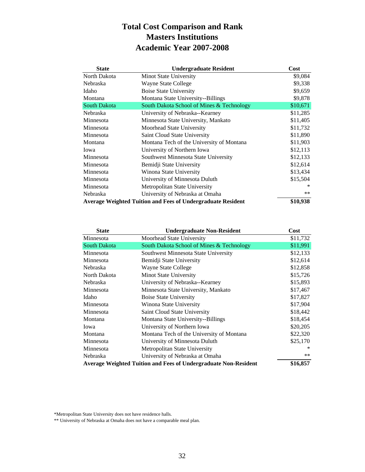### **Total Cost Comparison and Rank Masters Institutions Academic Year 2007-2008**

| <b>State</b>                                                       | <b>Undergraduate Resident</b>             | Cost     |
|--------------------------------------------------------------------|-------------------------------------------|----------|
| North Dakota                                                       | Minot State University                    | \$9,084  |
| Nebraska                                                           | Wayne State College                       | \$9,338  |
| Idaho                                                              | <b>Boise State University</b>             | \$9,659  |
| Montana                                                            | Montana State University--Billings        | \$9,878  |
| <b>South Dakota</b>                                                | South Dakota School of Mines & Technology | \$10,671 |
| <b>Nebraska</b>                                                    | University of Nebraska--Kearney           | \$11,285 |
| Minnesota                                                          | Minnesota State University, Mankato       | \$11,405 |
| Minnesota                                                          | Moorhead State University                 | \$11,732 |
| Minnesota                                                          | Saint Cloud State University              | \$11,890 |
| Montana                                                            | Montana Tech of the University of Montana | \$11,903 |
| Iowa                                                               | University of Northern Iowa               | \$12,113 |
| Minnesota                                                          | Southwest Minnesota State University      | \$12,133 |
| Minnesota                                                          | Bemidji State University                  | \$12,614 |
| Minnesota                                                          | Winona State University                   | \$13,434 |
| Minnesota                                                          | University of Minnesota Duluth            | \$15,504 |
| Minnesota                                                          | Metropolitan State University             |          |
| Nebraska                                                           | University of Nebraska at Omaha           | $***$    |
| <b>Average Weighted Tuition and Fees of Undergraduate Resident</b> | \$10,938                                  |          |

| <b>State</b>                                                    | <b>Undergraduate Non-Resident</b>         | Cost     |
|-----------------------------------------------------------------|-------------------------------------------|----------|
| Minnesota                                                       | Moorhead State University                 | \$11,732 |
| South Dakota                                                    | South Dakota School of Mines & Technology | \$11,991 |
| Minnesota                                                       | Southwest Minnesota State University      | \$12,133 |
| Minnesota                                                       | Bemidji State University                  | \$12,614 |
| Nebraska                                                        | Wayne State College                       | \$12,858 |
| North Dakota                                                    | Minot State University                    | \$15,726 |
| Nebraska                                                        | University of Nebraska--Kearney           | \$15,893 |
| Minnesota                                                       | Minnesota State University, Mankato       | \$17,467 |
| Idaho                                                           | <b>Boise State University</b>             | \$17,827 |
| Minnesota                                                       | Winona State University                   | \$17,904 |
| Minnesota                                                       | Saint Cloud State University              | \$18,442 |
| Montana                                                         | Montana State University--Billings        | \$18,454 |
| Iowa                                                            | University of Northern Iowa               | \$20,205 |
| Montana                                                         | Montana Tech of the University of Montana | \$22,320 |
| Minnesota                                                       | University of Minnesota Duluth            | \$25,170 |
| Minnesota                                                       | Metropolitan State University             |          |
| Nebraska                                                        | University of Nebraska at Omaha           | **       |
| Average Weighted Tuition and Fees of Undergraduate Non-Resident | \$16,857                                  |          |

\*Metropolitan State University does not have residence halls.

\*\* University of Nebraska at Omaha does not have a comparable meal plan.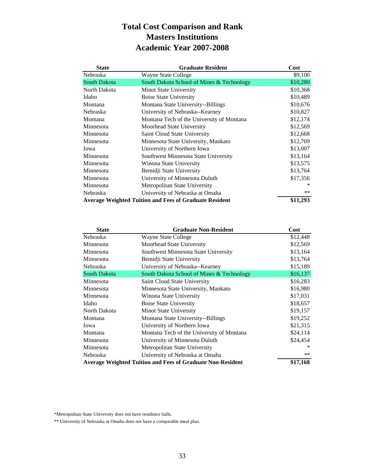### **Total Cost Comparison and Rank Masters Institutions Academic Year 2007-2008**

| <b>State</b>                                                  | <b>Graduate Resident</b>                  | Cost     |
|---------------------------------------------------------------|-------------------------------------------|----------|
| Nebraska                                                      | Wayne State College                       | \$9,100  |
| <b>South Dakota</b>                                           | South Dakota School of Mines & Technology | \$10,280 |
| North Dakota                                                  | Minot State University                    | \$10,368 |
| Idaho                                                         | Boise State University                    | \$10,489 |
| Montana                                                       | Montana State University--Billings        | \$10,676 |
| Nebraska                                                      | University of Nebraska--Kearney           | \$10,827 |
| Montana                                                       | Montana Tech of the University of Montana | \$12,174 |
| Minnesota                                                     | Moorhead State University                 | \$12,569 |
| Minnesota                                                     | Saint Cloud State University              | \$12,668 |
| Minnesota                                                     | Minnesota State University, Mankato       | \$12,709 |
| Iowa                                                          | University of Northern Iowa               | \$13,007 |
| Minnesota                                                     | Southwest Minnesota State University      | \$13,164 |
| Minnesota                                                     | Winona State University                   | \$13,575 |
| Minnesota                                                     | Bemidji State University                  | \$13,764 |
| Minnesota                                                     | University of Minnesota Duluth            | \$17,356 |
| Minnesota                                                     | Metropolitan State University             | ∗        |
| Nebraska                                                      | University of Nebraska at Omaha           | $***$    |
| <b>Average Weighted Tuition and Fees of Graduate Resident</b> | \$11,293                                  |          |

| <b>State</b> | <b>Graduate Non-Resident</b>                                      | Cost     |
|--------------|-------------------------------------------------------------------|----------|
| Nebraska     | Wayne State College                                               | \$12,448 |
| Minnesota    | Moorhead State University                                         | \$12,569 |
| Minnesota    | Southwest Minnesota State University                              | \$13,164 |
| Minnesota    | Bemidji State University                                          | \$13,764 |
| Nebraska     | University of Nebraska--Kearney                                   | \$15,189 |
| South Dakota | South Dakota School of Mines & Technology                         | \$16,137 |
| Minnesota    | Saint Cloud State University                                      | \$16,283 |
| Minnesota    | Minnesota State University, Mankato                               | \$16,980 |
| Minnesota    | Winona State University                                           | \$17,031 |
| Idaho        | <b>Boise State University</b>                                     | \$18,657 |
| North Dakota | Minot State University                                            | \$19,157 |
| Montana      | Montana State University--Billings                                | \$19,252 |
| Iowa         | University of Northern Iowa                                       | \$21,315 |
| Montana      | Montana Tech of the University of Montana                         | \$24,114 |
| Minnesota    | University of Minnesota Duluth                                    | \$24,454 |
| Minnesota    | Metropolitan State University                                     |          |
| Nebraska     | University of Nebraska at Omaha                                   | **       |
|              | <b>Average Weighted Tuition and Fees of Graduate Non-Resident</b> | \$17,168 |

\*Metropolitan State University does not have residence halls.

\*\* University of Nebraska at Omaha does not have a comparable meal plan.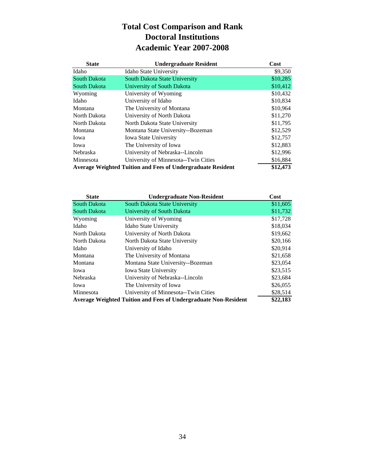### **Total Cost Comparison and Rank Doctoral Institutions Academic Year 2007-2008**

| <b>State</b>                                                       | <b>Undergraduate Resident</b>        | Cost     |
|--------------------------------------------------------------------|--------------------------------------|----------|
| Idaho                                                              | <b>Idaho State University</b>        | \$9,350  |
| <b>South Dakota</b>                                                | South Dakota State University        | \$10,285 |
| <b>South Dakota</b>                                                | University of South Dakota           | \$10,412 |
| Wyoming                                                            | University of Wyoming                | \$10,432 |
| Idaho                                                              | University of Idaho                  | \$10,834 |
| Montana                                                            | The University of Montana            | \$10,964 |
| North Dakota                                                       | University of North Dakota           | \$11,270 |
| North Dakota                                                       | North Dakota State University        | \$11,795 |
| Montana                                                            | Montana State University--Bozeman    | \$12,529 |
| Iowa                                                               | <b>Iowa State University</b>         | \$12,757 |
| Iowa                                                               | The University of Iowa               | \$12,883 |
| Nebraska                                                           | University of Nebraska--Lincoln      | \$12,996 |
| Minnesota                                                          | University of Minnesota--Twin Cities | \$16,884 |
| <b>Average Weighted Tuition and Fees of Undergraduate Resident</b> | \$12,473                             |          |

| <b>State</b>        | <b>Undergraduate Non-Resident</b>                               | Cost     |
|---------------------|-----------------------------------------------------------------|----------|
| <b>South Dakota</b> | South Dakota State University                                   | \$11,605 |
| <b>South Dakota</b> | University of South Dakota                                      | \$11,732 |
| Wyoming             | University of Wyoming                                           | \$17,728 |
| Idaho               | Idaho State University                                          | \$18,034 |
| North Dakota        | University of North Dakota                                      | \$19,662 |
| North Dakota        | North Dakota State University                                   | \$20,166 |
| Idaho               | University of Idaho                                             | \$20,914 |
| Montana             | The University of Montana                                       | \$21,658 |
| Montana             | Montana State University--Bozeman                               | \$23,054 |
| Iowa                | <b>Iowa State University</b>                                    | \$23,515 |
| Nebraska            | University of Nebraska--Lincoln                                 | \$23,684 |
| Iowa                | The University of Iowa                                          | \$26,055 |
| Minnesota           | University of Minnesota--Twin Cities                            | \$28,514 |
|                     | Average Weighted Tuition and Fees of Undergraduate Non-Resident | \$22,183 |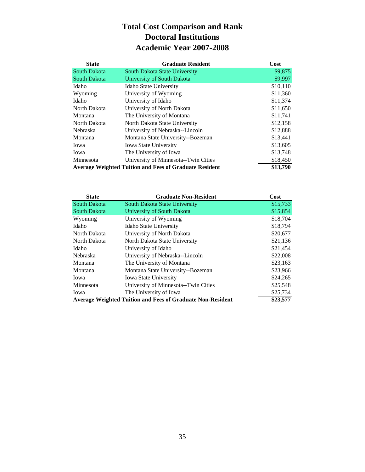### **Total Cost Comparison and Rank Doctoral Institutions Academic Year 2007-2008**

| <b>State</b>                                                  | <b>Graduate Resident</b>             | Cost     |
|---------------------------------------------------------------|--------------------------------------|----------|
| <b>South Dakota</b>                                           | South Dakota State University        | \$9,875  |
| <b>South Dakota</b>                                           | University of South Dakota           | \$9,997  |
| Idaho                                                         | <b>Idaho State University</b>        | \$10,110 |
| Wyoming                                                       | University of Wyoming                | \$11,360 |
| Idaho                                                         | University of Idaho                  | \$11,374 |
| North Dakota                                                  | University of North Dakota           | \$11,650 |
| Montana                                                       | The University of Montana            | \$11,741 |
| North Dakota                                                  | North Dakota State University        | \$12,158 |
| <b>Nebraska</b>                                               | University of Nebraska--Lincoln      | \$12,888 |
| Montana                                                       | Montana State University--Bozeman    | \$13,441 |
| Iowa                                                          | <b>Iowa State University</b>         | \$13,605 |
| Iowa                                                          | The University of Iowa               | \$13,748 |
| Minnesota                                                     | University of Minnesota--Twin Cities | \$18,450 |
| <b>Average Weighted Tuition and Fees of Graduate Resident</b> | \$13,790                             |          |

| <b>State</b>        | <b>Graduate Non-Resident</b>                                      | Cost     |
|---------------------|-------------------------------------------------------------------|----------|
| <b>South Dakota</b> | South Dakota State University                                     | \$15,733 |
| South Dakota        | University of South Dakota                                        | \$15,854 |
| Wyoming             | University of Wyoming                                             | \$18,704 |
| Idaho               | <b>Idaho State University</b>                                     | \$18,794 |
| North Dakota        | University of North Dakota                                        | \$20,677 |
| North Dakota        | North Dakota State University                                     | \$21,136 |
| Idaho               | University of Idaho                                               | \$21,454 |
| Nebraska            | University of Nebraska--Lincoln                                   | \$22,008 |
| Montana             | The University of Montana                                         | \$23,163 |
| Montana             | Montana State University--Bozeman                                 | \$23,966 |
| Iowa                | <b>Iowa State University</b>                                      | \$24,265 |
| Minnesota           | University of Minnesota--Twin Cities                              | \$25,548 |
| Iowa                | The University of Iowa                                            | \$25,734 |
|                     | <b>Average Weighted Tuition and Fees of Graduate Non-Resident</b> | \$23,577 |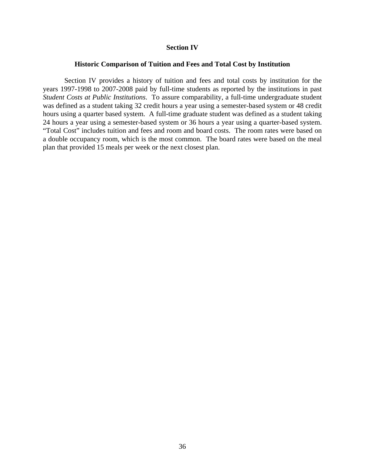#### **Section IV**

#### **Historic Comparison of Tuition and Fees and Total Cost by Institution**

 Section IV provides a history of tuition and fees and total costs by institution for the years 1997-1998 to 2007-2008 paid by full-time students as reported by the institutions in past *Student Costs at Public Institutions*. To assure comparability, a full-time undergraduate student was defined as a student taking 32 credit hours a year using a semester-based system or 48 credit hours using a quarter based system. A full-time graduate student was defined as a student taking 24 hours a year using a semester-based system or 36 hours a year using a quarter-based system. "Total Cost" includes tuition and fees and room and board costs. The room rates were based on a double occupancy room, which is the most common. The board rates were based on the meal plan that provided 15 meals per week or the next closest plan.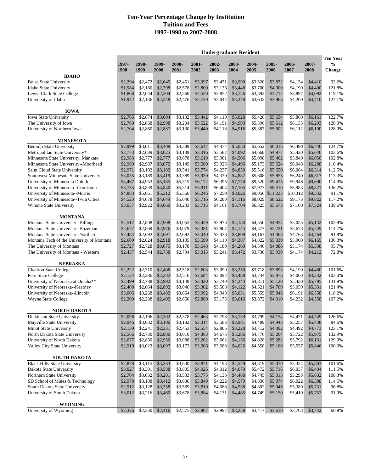|                                                                |                    |                    |                    |                    |                    | <b>Undergraduate Resident</b> |                    |                    |                    |                    |                    |                                  |
|----------------------------------------------------------------|--------------------|--------------------|--------------------|--------------------|--------------------|-------------------------------|--------------------|--------------------|--------------------|--------------------|--------------------|----------------------------------|
|                                                                | 1997-<br>1998      | 1998-<br>1999      | 1999-<br>2000      | 2000-              | 2001-<br>2002      | 2002-<br>2003                 | 2003-              | $2004 -$<br>2005   | 2005-              | 2006-<br>2007      | 2007-              | <b>Ten Year</b><br>$\frac{0}{0}$ |
| <b>IDAHO</b>                                                   |                    |                    |                    | 2001               |                    |                               | 2004               |                    | 2006               |                    | 2008               | <b>Change</b>                    |
| <b>Boise State University</b>                                  | \$2,294            | \$2,472            | \$2,645            | \$2,451            | \$3,097            | \$3,471                       | \$3,990            | \$3,520            | \$3,872            | \$4,154            | \$4,410            | 92.2%                            |
| <b>Idaho State University</b>                                  | \$1,984            | \$2,180            | \$2,398            | \$2,578            | \$2,800            | \$3,136                       | \$3,448            | \$3,700            | \$4,000            | \$4,190            | \$4,400            | 121.8%                           |
| Lewis-Clark State College                                      | \$1,868            | \$2,044            | \$2,204            | \$2,360            | \$2,550            | \$2,852                       | \$3,126            | \$3,392            | \$3,714            | \$3,897            | \$4,092            | 119.1%                           |
| University of Idaho                                            | \$1,942            | \$2,136            | \$2,348            | \$2,476            | \$2,720            | \$3,044                       | \$3,348            | \$3,632            | \$3,968            | \$4,200            | \$4,410            | 127.1%                           |
|                                                                |                    |                    |                    |                    |                    |                               |                    |                    |                    |                    |                    |                                  |
| <b>IOWA</b><br><b>Iowa State University</b>                    | \$2,766            | \$2,874            | \$3,004            | \$3.132            | \$3,442            | \$4,110                       | \$5,028            | \$5.426            | \$5,634            | \$5,860            | \$6,161            | 122.7%                           |
| The University of Iowa                                         | \$2,760            | \$2,868            | \$2,998            | \$3,204            | \$3,522            | \$4,191                       | \$4,993            | \$5,396            | \$5,612            | \$6,135            | \$6,293            | 128.0%                           |
| University of Northern Iowa                                    | \$2,704            | \$2,860            | \$2,887            | \$3,130            | \$3,440            | \$4,118                       | \$4,916            | \$5,387            | \$5,602            | \$6,112            | \$6,190            | 128.9%                           |
|                                                                |                    |                    |                    |                    |                    |                               |                    |                    |                    |                    |                    |                                  |
| <b>MINNESOTA</b>                                               |                    |                    |                    |                    |                    |                               |                    |                    |                    |                    |                    |                                  |
| Bemidji State University<br>Metropolitan State University*     | \$2,999<br>\$2,773 | \$3,011<br>\$2,689 | \$3,409<br>\$3,025 | \$3,389<br>\$3,139 | \$3,647<br>\$3,316 | \$4,474<br>\$3,582            | \$5,050<br>\$4,092 | \$5,652<br>\$4,668 | \$6,016<br>\$4,977 | \$6,490<br>\$5,420 | \$6,740<br>\$5,646 | 124.7%<br>103.6%                 |
| Minnesota State University, Mankato                            | \$2,983            | \$2,777            | \$2,777            | \$3,078            | \$3,619            | \$3,981                       | \$4,506            | \$5,098            | \$5,402            | \$5,840            | \$6,050            | 102.8%                           |
| Minnesota State University--Moorhead                           | \$2,989            | \$2,987            | \$3,072            | \$3,149            | \$3,580            | \$3,925                       | \$4,496            | \$5,173            | \$5,524            | \$6,048            | \$6,288            | 110.4%                           |
| Saint Cloud State University                                   | \$2,971            | \$3.102            | \$3,182            | \$3,541            | \$3,774            | \$4,237                       | \$4,850            | \$5,516            | \$5,650            | \$6,064            | \$6,314            | 112.5%                           |
| Southwest Minnesota State University                           | \$3,055            | \$3,189            | \$3,419            | \$3,389            | \$3,930            | \$4,330                       | \$4,887            | \$5,608            | \$5,855            | \$6,240            | \$6,517            | 113.3%                           |
| University of Minnesota Duluth                                 | \$4,467            | \$4,953            | \$5,185            | \$5,315            | \$6,172            | \$6.395                       | \$7,774            | \$9,520            | \$9,415            | \$9,946            | \$9,600            | 114.9%                           |
| University of Minnesota--Crookston                             | \$3,735            | \$3,839            | \$4,840            | \$5,314            | \$5,911            | \$6,404                       | \$7,105            | \$7,973            | \$8,510            | \$8,983            | \$8,821            | 136.2%                           |
| University of Minnesota--Morris                                | \$4,883            | \$5,061            | \$5.312            | \$5,566            | \$6,246            | \$7,259                       | \$8,026            |                    | \$9,056 \$11,233   | \$10,312           | \$9,332            | 91.1%                            |
| University of Minnesota--Twin Cities                           | \$4,523            | \$4,678            | \$4,649            | \$5,040            | \$5,716            | \$6,280                       | \$7,116            | \$8,029            | \$8,622            | \$9,173            | \$9,822            | 117.2%                           |
| Winona State University                                        | \$3,057            | \$2,922            | \$3,060            | \$3,233            | \$3,715            | \$4,161                       | \$5,704            | \$6,325            | \$5,673            | \$7,100            | \$7,324            | 139.6%                           |
| <b>MONTANA</b>                                                 |                    |                    |                    |                    |                    |                               |                    |                    |                    |                    |                    |                                  |
| Montana State University--Billings                             | \$2,517            | \$2,808            | \$2,908            | \$3,052            | \$3,429            | \$3,973                       | \$4,180            | \$4,550            | \$4,854            | \$5,055            | \$5,132            | 103.9%                           |
| Montana State University--Bozeman                              | \$2,677            | \$2,869            | \$2,976            | \$3,079            | \$3,381            | \$3,807                       | \$4,145            | \$4,577            | \$5,221            | \$5,673            | \$5,749            | 114.7%                           |
| Montana State University--Northern                             | \$2,484            | \$2,692            | \$2,691            | \$2,692            | \$3,040            | \$3,438                       | \$3,808            | \$4,167            | \$4,468            | \$4,763            | \$4,764            | 91.8%                            |
| Montana Tech of the University of Montana                      | \$2,609            | \$2,824            | \$2,918            | \$3,135            | \$3,599            | \$4,118                       | \$4,387            | \$4,822            | \$5,339            | \$5,900            | \$6,165            | 136.3%                           |
| The University of Montana                                      | \$2,727            | \$2,728            | \$3,075            | \$3,178            | \$3,648            | \$4,189                       | \$4,260            | \$4,546            | \$4,886            | \$5,174            | \$5,338            | 95.7%                            |
| The University of Montana - Western                            | \$2,437            | \$2,544            | \$2,738            | \$2,794            | \$3,015            | \$3,241                       | \$3,472            | \$3,730            | \$3,939            | \$4,174            | \$4,212            | 72.8%                            |
|                                                                |                    |                    |                    |                    |                    |                               |                    |                    |                    |                    |                    |                                  |
| <b>NEBRASKA</b><br><b>Chadron State College</b>                | \$2,222            | \$2,310            | \$2,406            | \$2,518            | \$2,603            | \$3,090                       | \$3,250            | \$3,718            | \$3,893            | \$4,190            | \$4,480            | 101.6%                           |
| Peru State College                                             | \$2,134            | \$2,286            | \$2,382            | \$2,516            | \$2,684            | \$3,092                       | \$3,488            | \$3,744            | \$3,876            | \$4,060            | \$4,332            | 103.0%                           |
| University of Nebraska at Omaha**                              | \$2,499            | \$2,788            | \$2,992            | \$3,148            | \$3,420            | \$3,740                       | \$4,344            | \$4,811            | \$5,120            | \$5,430            | \$5,795            | 131.9%                           |
| University of Nebraska--Kearney                                | \$2,408            | \$2,664            | \$2,892            | \$3,046            | \$3,302            | \$3,588                       | \$4,122            | \$4,521            | \$4,769            | \$5,059            | \$5,331            | 121.4%                           |
| University of Nebraska--Lincoln                                | \$3,006            | \$3,268            | \$3,482            | \$3,664            | \$3,992            | \$4,348                       | \$5,031            | \$5,559            | \$5,846            | \$6,191            | \$6,558            | 118.2%                           |
| Wayne State College                                            | \$2,200            | \$2,288            | \$2,402            | \$2,650            | \$2,880            | \$3,176                       | \$3,616            | \$3,872            | \$4,010            | \$4,232            | \$4,558            | 107.2%                           |
|                                                                |                    |                    |                    |                    |                    |                               |                    |                    |                    |                    |                    |                                  |
| <b>NORTH DAKOTA</b>                                            |                    |                    |                    |                    |                    |                               |                    |                    |                    |                    |                    |                                  |
| Dickinson State University                                     | \$2,096            | \$2,196            | \$2,302            | \$2,378            | \$2,463            | \$2,798                       | \$3,139            | \$3,799            | \$4,154            | \$4,471            | \$4,749            | 126.6%                           |
| Mayville State University<br>Minot State University            | \$2,946<br>\$2,139 | \$3,032<br>\$2,241 | \$3,106<br>\$2,331 | \$3,182<br>\$2,453 | \$3,314<br>\$2,554 | \$3,583<br>\$2,805            | \$3,981<br>\$3,228 | \$4,489<br>\$3,712 | \$4,943<br>\$4,092 | \$5,257<br>\$4,492 | \$5,438<br>\$4,773 | 84.6%<br>123.1%                  |
| North Dakota State University                                  | \$2,566            | \$2,730            | \$2,886            | \$3,010            | \$4,363            | \$4,675                       | \$5,286            | \$4,776            | \$5,264            | \$5,722            | \$5,975            | 132.9%                           |
| University of North Dakota                                     | \$2,677            | \$2,830            | \$2,956            | \$3,088            | \$3,262            | \$3,662                       | \$4,156            | \$4,828            | \$5,282            | \$5,792            | \$6,131            | 129.0%                           |
| Valley City State University                                   | \$2,919            | \$3,023            | \$3,097            | \$3,173            | \$3,306            | \$3,588                       | \$4,026            | \$4,558            | \$5,160            | \$5,557            | \$5,846            | 100.3%                           |
|                                                                |                    |                    |                    |                    |                    |                               |                    |                    |                    |                    |                    |                                  |
| <b>SOUTH DAKOTA</b>                                            |                    |                    |                    |                    |                    |                               |                    |                    |                    |                    |                    |                                  |
| <b>Black Hills State University</b><br>Dakota State University | \$2,878            | \$3,115            | \$3,363            | \$3,630            | \$3,871            | \$4,193                       | \$4,549            | \$4,819            | \$5,070            | \$5,334            | \$5,803            | 101.6%<br>111.5%                 |
| Northern State University                                      | \$3,027<br>\$2,704 | \$3,301<br>\$3,032 | \$3,588<br>\$3,281 | \$3,805<br>\$3,533 | \$4,026<br>\$3,775 | \$4,312<br>\$4,133            | \$4,670<br>\$4,488 | \$5,472<br>\$4,745 | \$5,716            | \$6,037<br>\$5,293 | \$6,404<br>\$5,632 | 108.3%                           |
| SD School of Mines & Technology                                | \$2,978            | \$3,188            | \$3,412            | \$3,636            | \$3,849            | \$4,222                       | \$4,579            | \$4,836            | \$5,013<br>\$5,074 | \$6,022            | \$6,388            | 114.5%                           |
| South Dakota State University                                  | \$2,912            | \$3,128            | \$3,358            | \$3,589            | \$3,810            | \$4,088                       | \$4,538            | \$4,802            | \$5,046            | \$5,389            | \$5,731            | 96.8%                            |
| University of South Dakota                                     | \$3,012            | \$3,216            | \$3,460            | \$3,678            | \$3,884            | \$4,131                       | \$4,485            | \$4,749            | \$5,150            | \$5,410            | \$5,752            | 91.0%                            |
|                                                                |                    |                    |                    |                    |                    |                               |                    |                    |                    |                    |                    |                                  |
| WYOMING                                                        |                    |                    |                    |                    |                    |                               |                    |                    |                    |                    |                    |                                  |
| University of Wyoming                                          | \$2,326            | \$2,330            | \$2,416            | \$2,575            | \$2,807            | \$2,997                       | \$3,258            | \$3,417            | \$3,610            | \$3,703            | \$3,742            | 60.9%                            |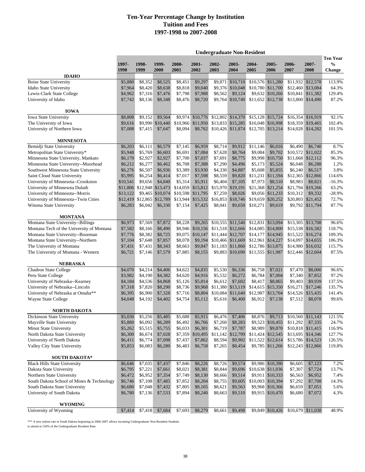|                                           |               |                            |                  |               |                   |               |                   | <b>Undergraduate Non-Resident</b> |                   |               |                   |                                                   |
|-------------------------------------------|---------------|----------------------------|------------------|---------------|-------------------|---------------|-------------------|-----------------------------------|-------------------|---------------|-------------------|---------------------------------------------------|
|                                           | 1997-<br>1998 | 1998-<br>1999              | 1999-<br>2000    | 2000-<br>2001 | 2001-<br>2002     | 2002-<br>2003 | 2003-<br>2004     | 2004-<br>2005                     | 2005-<br>2006     | 2006-<br>2007 | 2007-<br>2008     | <b>Ten Year</b><br>$\frac{0}{0}$<br><b>Change</b> |
| <b>IDAHO</b>                              |               |                            |                  |               |                   |               |                   |                                   |                   |               |                   |                                                   |
| <b>Boise State University</b>             | \$5,880       | \$8,352                    | \$8,525          | \$8.451       | \$9,297           | \$9.871       | \$10,710          |                                   | \$10,576 \$11,280 | \$11.932      | \$12,578          | 113.9%                                            |
| <b>Idaho State University</b>             | \$7,964       | \$8,420                    | \$8,638          | \$8,818       | \$9,040           |               | \$9,376 \$10,048  |                                   | \$10,780 \$11,700 | \$12,460      | \$13,084          | 64.3%                                             |
| Lewis-Clark State College                 | \$4,962       | \$7,316                    | \$7,476          | \$7,798       | \$7,988           | \$8,562       | \$9,124           |                                   | \$9,632 \$10,266  | \$10,841      | \$11,382          | 129.4%                                            |
| University of Idaho                       | \$7,742       | \$8,136                    | \$8,348          | \$8,476       | \$8,720           |               | \$9,764 \$10,740  |                                   | \$11,652 \$12,738 | \$13,800      | \$14,490          | 87.2%                                             |
| <b>IOWA</b>                               |               |                            |                  |               |                   |               |                   |                                   |                   |               |                   |                                                   |
| <b>Iowa State University</b>              | \$8,808       | \$9,152                    | \$9,564          |               | \$9,974 \$10,776  |               | \$12,802 \$14,370 |                                   | \$15,128 \$15,724 |               | \$16,354 \$16,919 | 92.1%                                             |
| The University of Iowa                    | \$9,616       |                            | \$9,990 \$10,440 |               | \$10,966 \$11,950 |               | \$13,833 \$15,285 |                                   | \$16,048 \$16,998 | \$18,359      | \$19,465          | 102.4%                                            |
| University of Northern Iowa               | \$7,088       | \$7,415                    | \$7,647          | \$8,094       | \$8,762           |               | \$10,426 \$11,874 |                                   | \$12,705 \$13,214 |               | \$14,028 \$14,282 | 101.5%                                            |
| <b>MINNESOTA</b>                          |               |                            |                  |               |                   |               |                   |                                   |                   |               |                   |                                                   |
| Bemidji State University                  | \$6,203       | \$6,111                    | \$6,579          | \$7,145       | \$6,959           | \$8,714       | \$9,912           | \$11,146                          | \$6,016           | \$6,490       | \$6,740           | 8.7%                                              |
| Metropolitan State University*            | \$5,948       | \$5,769                    | \$6,603          | \$6,691       | \$7,084           | \$7,628       | \$8,764           | \$9,084                           | \$9,702           | \$10,572      | \$11,022          | 85.3%                                             |
| Minnesota State University, Mankato       | \$6,170       | \$2,927                    | \$2,927          | \$7,700       | \$7,037           | \$7,691       | \$8,775           |                                   | \$9,998 \$10,750  |               | \$11,668 \$12,112 | 96.3%                                             |
| Minnesota State University--Moorhead      | \$6,212       | \$6,277                    | \$6,462          | \$6,708       | \$7,388           | \$7,290       | \$4,496           | \$5,173                           | \$5,524           | \$6,048       | \$6,288           | 1.2%                                              |
| Southwest Minnesota State University      | \$6,276       | \$6,507                    | \$6,936          | \$3,389       | \$3,930           | \$4,330       | \$4,887           | \$5,608                           | \$5,855           | \$6,240       | \$6,517           | 3.8%                                              |
| Saint Cloud State University              | \$5,995       | \$6,254                    | \$6,414          | \$7.017       | \$7,598           | \$8,559       | \$9,820           |                                   | \$11,231 \$11,594 | \$12,365      | \$12,866          | 114.6%                                            |
| University of Minnesota--Crookston        | \$10,541      | \$9,656                    | \$4,840          | \$5,314       | \$5,911           | \$6,404       | \$7,105           | \$7,973                           | \$8,510           | \$8,983       | \$8,821           | $-16.3%$                                          |
| University of Minnesota Duluth            |               | \$11,806 \$12,948 \$13,473 |                  |               | \$14,059 \$15,812 |               | \$15,970 \$19,191 |                                   | \$21,368 \$21,254 | \$21,794      | \$19,266          | 63.2%                                             |
| University of Minnesota--Morris           | \$13,122      |                            | \$9,465 \$10,074 | \$10,598      | \$11,795          | \$7,259       | \$8,026           |                                   | \$9,056 \$11,233  | \$10,312      | \$9,332           | $-28.9%$                                          |
| University of Minnesota--Twin Cities      | \$12,419      | \$12,865 \$12,789          |                  | \$13,944      | \$15,532          |               | \$16,853 \$18,746 | \$19,659                          | \$20,252          | \$20,803      | \$21,452          | 72.7%                                             |
| Winona State University                   | \$6,283       | \$6,042                    | \$6,330          | \$7,154       | \$7,425           | \$8,041       | \$9,650           | \$10,271                          | \$9,619           | \$9,792       | \$11,794          | 87.7%                                             |
| <b>MONTANA</b>                            |               |                            |                  |               |                   |               |                   |                                   |                   |               |                   |                                                   |
| Montana State University--Billings        | \$6,973       | \$7,569                    | \$7,872          | \$8,228       | \$9,265           |               | \$10,555 \$11,540 |                                   | \$12,831 \$13,094 | \$13,305      | \$13,708          | 96.6%                                             |
| Montana Tech of the University of Montana | \$7,582       | \$8,166                    | \$8,490          |               | \$8,946 \$10,156  |               | \$11,518 \$12,666 |                                   | \$14,085 \$14,800 |               | \$15,538 \$16,582 | 118.7%                                            |
| Montana State University--Bozeman         | \$7,776       | \$8,382                    | \$8,725          | \$9,075       | \$10,147          |               | \$11,444 \$12,707 | \$14,177                          | \$14,945          | \$15,522      | \$16,274          | 109.3%                                            |
| Montana State University--Northern        | \$7,104       | \$7,648                    | \$7,857          | \$8,078       | \$9,194           |               | \$10,466 \$11,669 |                                   | \$12,961 \$14,227 | \$14,097      | \$14,655          | 106.3%                                            |
| The University of Montana                 | \$7,431       | \$7,431                    | \$8,343          | \$8,663       | \$9,847           |               | \$11,183 \$11,860 |                                   | \$12,786 \$13,875 | \$14,980      | \$16,032          | 115.7%                                            |
| The University of Montana - Western       | \$6,721       | \$7,146                    | \$7,579          | \$7,885       | \$8,155           |               | \$9,883 \$10,690  |                                   | \$11,555 \$11,987 |               | \$12,446 \$12,604 | 87.5%                                             |
| NEBRASKA                                  |               |                            |                  |               |                   |               |                   |                                   |                   |               |                   |                                                   |
| <b>Chadron State College</b>              | \$4,070       | \$4,214                    | \$4,406          | \$4,622       | \$4,835           | \$5,530       | \$6,336           | \$6,758                           | \$7,021           | \$7,470       | \$8,000           | 96.6%                                             |
| Peru State College                        | \$3,982       | \$4,190                    | \$4,382          | \$4,620       | \$4,916           | \$5,532       | \$6,272           | \$6,784                           | \$7,004           | \$7,340       | \$7,852           | 97.2%                                             |
| University of Nebraska--Kearney           | \$4,184       | \$4,536                    | \$4,868          | \$5,126       | \$5,814           | \$6,612       | \$7,602           | \$8,417                           | \$8,865           | \$9,403       | \$9,939           | 137.5%                                            |
| University of Nebraska--Lincoln           | \$7,318       | \$7,820                    | \$8,290          | \$8,736       | \$9,968           | \$11,380      | \$13,119          |                                   | \$14,615 \$15,350 | \$16,271      | \$17,246          | 135.7%                                            |
| University of Nebraska at Omaha**         | \$6,395       | \$6,900                    | \$7,328          | \$7,716       | \$8,804           | \$10,084      | \$11,640          | \$12,987                          | \$13,704          | \$14,526      | \$15,435          | 141.4%                                            |
| Wayne State College                       | \$4,048       | \$4,192                    | \$4,402          | \$4,754       | \$5,112           | \$5,616       | \$6,400           | \$6,912                           | \$7,138           | \$7,512       | \$8,078           | 99.6%                                             |
| <b>NORTH DAKOTA</b>                       |               |                            |                  |               |                   |               |                   |                                   |                   |               |                   |                                                   |
| Dickinson State University                | \$5,030       | \$5,256                    | \$5,485          | \$5,688       | \$5,915           | \$6,476       | \$7,406           | \$8,876                           | \$9,713           |               | \$10,560 \$11,143 | 121.5%                                            |
| Mayville State University                 | \$5,880       | \$6,092                    | \$6,289          | \$6,492       | \$6,766           | \$7,260       | \$8,283           |                                   | \$9,523 \$10,455  | \$11,292      | \$7,335           | 24.7%                                             |
| Minot State University                    | \$5,262       | \$5,515                    | \$5,755          | \$6,033       | \$6,301           | \$6,719       | \$7,787           | \$8,989                           | \$9,870           |               | \$10,818 \$11,415 | 116.9%                                            |
| North Dakota State University             | \$6,300       | \$6,674                    | \$7,028          | \$7,359       | \$10,495          |               | \$11,142 \$12,799 |                                   | \$11,424 \$12,545 |               | \$13,695 \$14,346 | 127.7%                                            |
| University of North Dakota                | \$6,411       | \$6,774                    | \$7,098          | \$7,437       | \$7,862           | \$8,594       | \$9,902           |                                   | \$11,522 \$12,614 |               | \$13,786 \$14,523 | 126.5%                                            |
| Valley City State University              | \$5,853       | \$6,083                    | \$6,280          | \$6,483       | \$6,758           | \$7,265       | \$8,454           |                                   | \$9,785 \$11,266  |               | \$12,243 \$12,866 | 119.8%                                            |
| SOUTH DAKOTA*                             |               |                            |                  |               |                   |               |                   |                                   |                   |               |                   |                                                   |
| <b>Black Hills State University</b>       | \$6,646       | \$7,035                    | \$7,437          | \$7,846       | \$8,226           | \$8,726       | \$9,574           |                                   | \$9,986 \$10,390  | \$6,605       | \$7,123           | 7.2%                                              |
| Dakota State University                   | \$6,795       | \$7,221                    | \$7,661          | \$8,021       | \$8,381           | \$8,844       | \$9,696           |                                   | \$10,638 \$11,036 | \$7,307       | \$7,724           | 13.7%                                             |
| Northern State University                 | \$6,472       | \$6,952                    | \$7,354          | \$7,749       | \$8,130           | \$8,666       | \$9,514           |                                   | \$9,911 \$10,333  | \$6,563       | \$6,952           | 7.4%                                              |
| South Dakota School of Mines & Technology | \$6,746       | \$7,108                    | \$7,485          | \$7,852       | \$8,204           | \$8,755       | \$9,605           |                                   | \$10,003 \$10,394 | \$7,292       | \$7,708           | 14.3%                                             |
| South Dakota State University             | \$6,680       | \$7,048                    | \$7,432          | \$7,805       | \$8,165           | \$8,621       | \$9,563           |                                   | \$9,968 \$10,366  | \$6,659       | \$7,051           | 5.6%                                              |
| University of South Dakota                | \$6,780       | \$7,136                    | \$7,533          | \$7,894       | \$8,240           | \$8,663       | \$9,510           |                                   | \$9,915 \$10,470  | \$6,680       | \$7,072           | 4.3%                                              |
| <b>WYOMING</b>                            |               |                            |                  |               |                   |               |                   |                                   |                   |               |                   |                                                   |
| University of Wyoming                     | \$7,414       | \$7,418                    | \$7,684          | \$7,693       | \$8,279           | \$8,661       | \$9,498           |                                   | \$9,849 \$10,426  |               | \$10,679 \$11,038 | 48.9%                                             |

\*\*\* A new tuition rate in South Dakota beginning in 2006-2007 allows incoming Undergraduate Non-Resident Students

to attend at 150% of the Undergraduate Resident Rate.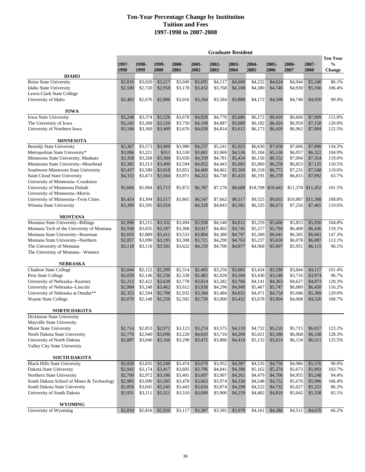|                                                                             |                    |                     |                    |                    |                    | <b>Graduate Resident</b> |                     |                    |                    |                    |                     |                                            |
|-----------------------------------------------------------------------------|--------------------|---------------------|--------------------|--------------------|--------------------|--------------------------|---------------------|--------------------|--------------------|--------------------|---------------------|--------------------------------------------|
|                                                                             | 1997-<br>1998      | 1998-<br>1999       | 1999-<br>2000      | 2000-<br>2001      | $2001 -$<br>2002   | 2002-<br>2003            | 2003-<br>2004       | 2004-<br>2005      | 2005-<br>2006      | 2006-<br>2007      | 2007-<br>2008       | Ten Year<br>$\frac{0}{0}$<br><b>Change</b> |
| <b>IDAHO</b>                                                                |                    |                     |                    |                    |                    |                          |                     |                    |                    |                    |                     |                                            |
| <b>Boise State University</b>                                               | \$2,816            | \$3,020             | \$3,217            | \$3,049            | \$3,695            | \$4,117                  | \$4,668             | \$4,232            | \$4,624            | \$4,944            | $\overline{$}5,240$ | 86.1%                                      |
| <b>Idaho State University</b>                                               | \$2,500            | \$2,720             | \$2,958            | \$3,178            | \$3,432            | \$3,768                  | \$4,108             | \$4,380            | \$4,740            | \$4,930            | \$5,160             | 106.4%                                     |
| Lewis-Clark State College                                                   |                    |                     |                    |                    |                    |                          |                     |                    |                    |                    |                     |                                            |
| University of Idaho                                                         | \$2,482            | \$2,676             | \$2,888            | \$3,016            | \$3,260            | \$3,584                  | \$3,888             | \$4,172            | \$4,508            | \$4,740            | \$4,950             | 99.4%                                      |
| <b>IOWA</b>                                                                 |                    |                     |                    |                    |                    |                          |                     |                    |                    |                    |                     |                                            |
| Iowa State University                                                       | \$3,248            | \$3,374             | \$3,526            | \$3,678            | \$4,028            | \$4,770                  | \$5,686             | \$6,172            | \$6,410            | \$6.666            | \$7,009             | 115.8%                                     |
| The University of Iowa<br>University of Northern Iowa                       | \$3,242<br>\$3,184 | \$3,368<br>\$3,360  | \$3,520            | \$3,750            | \$4,108            | \$4,887<br>\$4,814       | \$5,689             | \$6,182<br>\$6,173 | \$6,424            | \$6,959            | \$7,158             | 120.8%<br>122.5%                           |
|                                                                             |                    |                     | \$3,409            | \$3,676            | \$4,028            |                          | \$5,612             |                    | \$6,420            | \$6,962            | \$7,084             |                                            |
| <b>MINNESOTA</b>                                                            |                    |                     |                    |                    |                    |                          |                     |                    |                    |                    |                     |                                            |
| Bemidji State University                                                    | \$3,367            | \$3,573             | \$3,969            | \$3,980            | \$4,237            | \$5,241                  | \$5,923             | \$6,630            | \$7,058            | \$7,606            | \$7,890             | 134.3%                                     |
| Metropolitan State University*                                              | \$3,086            | \$3,221             | \$351              | \$3,530            | \$3,681            | \$3,969                  | \$4,536             | \$5,184            | \$5,536            | \$6,057            | \$6,322             | 104.9%                                     |
| Minnesota State University, Mankato<br>Minnesota State University--Moorhead | \$3,358<br>\$3,385 | \$3,268<br>\$3,313  | \$3,384<br>\$3,409 | \$3,656<br>\$3,594 | \$4,339<br>\$4,052 | \$4,781<br>\$4,443       | \$5,434<br>\$5,093  | \$6,156<br>\$5,860 | \$6,552<br>\$6,259 | \$7,094<br>\$6,853 | \$7,354<br>\$7,125  | 119.0%<br>110.5%                           |
| Southwest Minnesota State University                                        | \$3,437            | \$3,580             | \$3,818            | \$3,851            | \$4,400            | \$4,861                  | \$5,509             | \$6,318            | \$6,772            | \$7,231            | \$7,548             | 119.6%                                     |
| Saint Cloud State University                                                | \$4,332            | \$3,473             | \$3,564            | \$3,971            | \$4,212            | \$4,738                  | \$5,433             | \$6,191            | \$6,378            | \$6,815            | \$7,092             | 63.7%                                      |
| University of Minnesota--Crookston                                          |                    |                     |                    |                    |                    |                          |                     |                    |                    |                    |                     |                                            |
| University of Minnesota Duluth                                              | \$5,684            | \$5,984             | \$5,713            | \$5,872            | \$6,787            | \$7,176                  | \$8,688             |                    | \$18,708 \$10,442  |                    | \$11,378 \$11,452   | 101.5%                                     |
| University of Minnesota--Morris                                             |                    |                     |                    |                    |                    |                          |                     |                    |                    |                    |                     |                                            |
| University of Minnesota--Twin Cities                                        | \$5,454            | \$3,394             | \$5,517            | \$3,865            | \$6,547            | \$7,662                  | \$8,517             | \$9,525            | \$9,655            | \$10,887           | \$11,388            | 108.8%                                     |
| Winona State University                                                     | \$3,399            | \$3,595             | \$3,554            |                    | \$4,328            | \$4,843                  | \$5,581             | \$6,335            | \$6,673            | \$7,256            | \$7,465             | 119.6%                                     |
| <b>MONTANA</b>                                                              |                    |                     |                    |                    |                    |                          |                     |                    |                    |                    |                     |                                            |
| Montana State University--Billings                                          | \$2,896            | \$3,215             | \$3,332            | \$3,494            | \$3,930            | \$4,540                  | \$4,812             | \$5,259            | \$5,606            | \$5,853            | \$5,930             | 104.8%                                     |
| Montana Tech of the University of Montana                                   | \$2,938            | \$3,035             | \$3,187            | \$3,368            | \$3,917            | \$4,402                  | \$4,741             | \$5,217            | \$5,794            | \$6,408            | \$6,436             | 119.1%                                     |
| Montana State University--Bozeman                                           | \$2,693            | \$2,889             | \$3,411            | \$3,533            | \$3,894            | \$4,388                  | \$4,797             | \$5,309            | \$6,041            | \$6,585            | \$6,661             | 147.3%                                     |
| Montana State University--Northern                                          | \$2,857            | \$3,090             | \$3,195            | \$3,308            | \$3,721            | \$4,290                  | \$4,763             | \$5,237            | \$5,650            | \$6,078            | \$6,087             | 113.1%                                     |
| The University of Montana                                                   | \$3,118            | \$3,118             | \$3,501            | \$3,622            | \$4,150            | \$4,706                  | \$4,877             | \$4,968            | \$5,607            | \$5,951            | \$6,115             | 96.1%                                      |
| The University of Montana - Western                                         |                    |                     |                    |                    |                    |                          |                     |                    |                    |                    |                     |                                            |
| <b>NEBRASKA</b>                                                             |                    |                     |                    |                    |                    |                          |                     |                    |                    |                    |                     |                                            |
| Chadron State College                                                       | \$2,044            | \$2,122             | \$2,209            | \$2,314            | \$2,405            | \$3,256                  | $\overline{$3,002}$ | \$3,434            | \$3,590            | \$3,844            | \$4,117             | 101.4%                                     |
| Peru State College                                                          | \$2,020            | \$2,146             | \$2,236            | \$2,338            | \$2,482            | \$2,828                  | \$3,184             | \$3,430            | \$3,548            | \$3,716            | \$3,974             | 96.7%                                      |
| University of Nebraska--Kearney                                             | \$2,212            | \$2,422             | \$2,638            | \$2,778            | \$3,014            | \$3,282                  | \$3,766             | \$4,141            | \$4,363            | \$4,627            | \$4,873             | 120.3%                                     |
| University of Nebraska--Lincoln                                             | \$2,984            | \$3,248             | \$3,462            | \$3,612            | \$3,938            | \$4,290                  | \$4,949             | \$5,467            | \$5,747            | \$6,089            | \$6,450             | 116.2%                                     |
| University of Nebraska at Omaha**                                           | \$2,353            | \$2,594             | \$2,788            | \$2,932            | \$3,184            | \$3,484                  | \$4,032             | \$4,471            | \$4,754            | \$5,046            | \$5,389             | 129.0%                                     |
| Wayne State College                                                         | \$2,070            | \$2,148             | \$2,256            | \$2,502            | \$2,730            | \$3,000                  | \$3,432             | \$3,678            | \$3,804            | \$4,008            | \$4,320             | 108.7%                                     |
| <b>NORTH DAKOTA</b>                                                         |                    |                     |                    |                    |                    |                          |                     |                    |                    |                    |                     |                                            |
| Dickinson State University                                                  |                    |                     |                    |                    |                    |                          |                     |                    |                    |                    |                     |                                            |
| Mayville State University                                                   |                    |                     |                    |                    |                    |                          |                     |                    |                    |                    |                     |                                            |
| Minot State University                                                      | \$2,714            | \$2,853             | \$2,971            | \$3,123            | \$3,274            | \$3,575                  | \$4,110             | \$4,732            | \$5,210            | \$5,715            | \$6,057             | 123.2%                                     |
| North Dakota State University                                               | \$2,776            | \$2,940             | \$3,096            | \$3,220            | \$4,643            | \$3,716                  | \$4,209             | \$5,021            | \$5,580            | \$6,068            | \$6,338             | 128.3%                                     |
| University of North Dakota<br>Valley City State University                  | \$2,887            | \$3,040             | \$3,166            | \$3,298            | \$3,472            | \$3,886                  | \$4,418             | \$5,132            | \$5,614            | \$6,154            | \$6,511             | 125.5%                                     |
| <b>SOUTH DAKOTA</b>                                                         |                    |                     |                    |                    |                    |                          |                     |                    |                    |                    |                     |                                            |
| <b>Black Hills State University</b>                                         | \$2,830            | $\overline{$}3,035$ | \$3,248            | \$3,474            | \$3,679            | \$3,952                  | \$4,307             | \$4,535            | \$4,750            | \$4,986            | \$5,376             | 90.0%                                      |
| Dakota State University                                                     | \$2,942            | \$3,174             | \$3,417            | \$3,605            | \$3,796            | \$4,041                  | \$4,398             | \$5,162            | \$5,374            | \$5,673            | \$5,992             | 103.7%                                     |
| Northern State University                                                   | \$2,700            | \$2,972             | \$3,186            | \$3,401            | \$3,607            | \$3,907                  | \$4,261             | \$4,479            | \$4,706            | \$4,955            | \$5,248             | 94.4%                                      |
| South Dakota School of Mines & Technology                                   | \$2,905            | \$3,090             | \$3,285            | \$3,478            | \$3,663            | \$3,974                  | \$4,330             | \$4,548            | \$4,752            | \$5,676            | \$5,996             | 106.4%                                     |
| South Dakota State University                                               | \$2,856            | \$3,045             | \$3,245            | \$3,443            | \$3,634            | \$3,874                  | \$4,298             | \$4,522            | \$4,732            | \$5,027            | \$5,322             | 86.3%                                      |
| University of South Dakota                                                  | \$2,931            | \$3,111             | \$3,321            | \$3,510            | \$3,690            | \$3,906                  | \$4,259             | \$4,482            | \$4,810            | \$5,042            | \$5,338             | 82.1%                                      |
| <b>WYOMING</b>                                                              |                    |                     |                    |                    |                    |                          |                     |                    |                    |                    |                     |                                            |
| University of Wyoming                                                       | \$2,810            | \$2,816             | \$2,920            | \$3,117            | \$3,387            |                          | \$3,585 \$3,978     |                    | $$4,161$ \$4,386   | \$4,511            | \$4,670             | 66.2%                                      |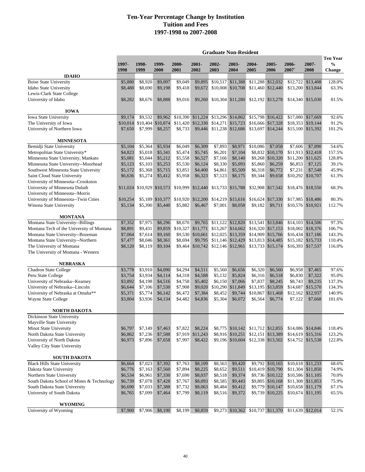|                                                                             | <b>Graduate Non-Resident</b> |                                |                    |                    |                    |                            |                                        |                                    |                                       |                     |                                        |                                                   |
|-----------------------------------------------------------------------------|------------------------------|--------------------------------|--------------------|--------------------|--------------------|----------------------------|----------------------------------------|------------------------------------|---------------------------------------|---------------------|----------------------------------------|---------------------------------------------------|
|                                                                             | 1997-<br>1998                | 1998-<br>1999                  | 1999-<br>2000      | 2000-<br>2001      | 2001-<br>2002      | 2002-<br>2003              | 2003-<br>2004                          | $2004 -$<br>2005                   | 2005-<br>2006                         | 2006-<br>2007       | 2007-<br>2008                          | <b>Ten Year</b><br>$\frac{0}{0}$<br><b>Change</b> |
| <b>IDAHO</b>                                                                |                              |                                |                    |                    |                    |                            |                                        |                                    |                                       |                     |                                        |                                                   |
| <b>Boise State University</b>                                               | \$5,880                      | \$8,920                        | \$9,097            | \$9,049            | \$9,895            |                            | \$10,517 \$11,388                      |                                    | \$11,288 \$12,032                     | \$12,722            | \$13,408                               | 128.0%                                            |
| <b>Idaho State University</b>                                               | \$8,480                      | \$8,690                        | \$9,198            | \$9,418            | \$9,672            |                            | $$10,008$ $$10,708$                    |                                    | \$11,460 \$12,440                     | \$13,200            | \$13,844                               | 63.3%                                             |
| Lewis-Clark State College                                                   |                              |                                |                    |                    |                    |                            |                                        |                                    |                                       |                     |                                        |                                                   |
| University of Idaho                                                         | \$8,282                      | \$8,676                        | \$8,888            | \$9,016            |                    | \$9,260 \$10,304 \$11,280  |                                        |                                    | \$12,192 \$13,278                     |                     | \$14,340 \$15,030                      | 81.5%                                             |
| <b>IOWA</b>                                                                 |                              |                                |                    |                    |                    |                            |                                        |                                    |                                       |                     |                                        |                                                   |
| Iowa State University                                                       | \$9,174                      | \$9.532                        | \$9,962            | \$10,390           | \$11,224           |                            | \$13,296 \$14,862                      |                                    | \$15,798 \$16,422                     | \$17,080            | \$17,669                               | 92.6%                                             |
| The University of Iowa<br>University of Northern Iowa                       | \$10,014                     | \$10,404<br>\$7,999            | \$10,874           | \$11,420           | \$12,330           |                            | \$14,271 \$15,723<br>\$11,238 \$12,686 |                                    | \$16,666 \$17,328                     |                     | \$18,353 \$19,144                      | 91.2%                                             |
|                                                                             | \$7,650                      |                                | \$8,257            | \$8,733            | \$9,446            |                            |                                        |                                    | \$13,697 \$14,244                     | \$15,100            | \$15,392                               | 101.2%                                            |
| <b>MINNESOTA</b>                                                            |                              |                                |                    |                    |                    |                            |                                        |                                    |                                       |                     |                                        |                                                   |
| Bemidji State University                                                    | \$5,104                      | \$5,364                        | \$5,934            | \$6,049            | \$6,309            | \$7,893                    | \$8,971                                | \$10,086                           | \$7,058                               | \$7,606             | \$7,890                                | 54.6%                                             |
| Metropolitan State University*                                              | \$4,823                      | \$5,018                        | \$5,341            | \$5,474            | \$5,745            | \$6,201                    | \$7,104                                |                                    | \$8,832 \$10,170                      |                     | \$11,913 \$12,418                      | 157.5%                                            |
| Minnesota State University, Mankato<br>Minnesota State University--Moorhead | \$5,081<br>\$5,123           | \$5,044<br>\$5,103             | \$5,212<br>\$5,253 | \$5,558<br>\$5,530 | \$6,527<br>\$6,124 | \$7,166<br>\$8,330         | \$8,140<br>\$5,093                     | \$5,860                            | \$9,268 \$10,320<br>\$6,259           | \$11,200<br>\$6,853 | \$11,625<br>\$7,125                    | 128.8%<br>39.1%                                   |
| Southwest Minnesota State University                                        | \$5,172                      | \$5,368                        | \$5,715            | \$3,851            | \$4,400            | \$4,861                    | \$5,509                                | \$6,318                            | \$6,772                               | \$7,231             | \$7,548                                | 45.9%                                             |
| Saint Cloud State University                                                | \$6,636                      | \$5,274                        | \$5,412            | \$5,958            | \$6,323            | \$7,123                    | \$8,175                                | \$9,344                            | \$9,658                               |                     | \$10,292 \$10,707                      | 61.3%                                             |
| University of Minnesota--Crookston                                          |                              |                                |                    |                    |                    |                            |                                        |                                    |                                       |                     |                                        |                                                   |
| University of Minnesota Duluth                                              |                              | \$11,024 \$10,929 \$10,573     |                    | \$10,999           | \$12,440           |                            | \$13,733 \$15,788                      |                                    | \$32,908 \$17,542                     |                     | \$18,476 \$18,550                      | 68.3%                                             |
| University of Minnesota--Morris                                             |                              |                                |                    |                    |                    |                            |                                        |                                    |                                       |                     |                                        |                                                   |
| University of Minnesota--Twin Cities                                        | \$10,254                     |                                | \$5,189 \$10,377   | \$10,920           | \$12,200           |                            | \$14,219 \$15,616                      |                                    | \$16,624 \$17,330                     |                     | \$17.985 \$18.486                      | 80.3%                                             |
| Winona State University                                                     | \$5,134                      | \$5,390                        | \$5,440            | \$5,882            | \$6,467            | \$7,001                    | \$8,058                                | \$9,182                            | \$9,711                               |                     | \$10,576 \$10,921                      | 112.7%                                            |
| <b>MONTANA</b>                                                              |                              |                                |                    |                    |                    |                            |                                        |                                    |                                       |                     |                                        |                                                   |
| Montana State University--Billings                                          | \$7,352                      | \$7,975                        | \$8,296            | \$8,670            | \$9,765            |                            | \$11,122 \$12,820                      | \$13,541                           | \$13,846                              |                     | \$14,103 \$14,506                      | 97.3%                                             |
| Montana Tech of the University of Montana                                   | \$8,891                      | \$9,431                        | \$9,859            | \$10,327           | \$11,771           |                            | \$13,267 \$14,662                      |                                    | \$16,320 \$17,153                     |                     | \$18,002 \$18,376                      | 106.7%                                            |
| Montana State University--Bozeman                                           | \$7,064                      | \$7,614                        | \$9,160            |                    | \$9,530 \$10,661   |                            | \$12,025 \$13,359                      |                                    | \$14,909 \$15,766                     |                     | \$16,434 \$17,186                      | 143.3%                                            |
| Montana State University--Northern                                          | \$7,477                      | \$8,046                        | \$8,361            | \$8,694            | \$9,795            |                            | $$11,146$ $$12,429$                    |                                    | \$13,813 \$14,485                     | \$15,182            | \$15,733                               | 110.4%                                            |
| The University of Montana                                                   | \$8,120                      | \$8,119                        | \$9,104            | \$9,464            |                    | \$10,742 \$12,146 \$12,961 |                                        |                                    | \$13,733 \$15,174                     |                     | \$16,393 \$17,537                      | 116.0%                                            |
| The University of Montana - Western                                         |                              |                                |                    |                    |                    |                            |                                        |                                    |                                       |                     |                                        |                                                   |
| <b>NEBRASKA</b>                                                             |                              |                                |                    |                    |                    |                            |                                        |                                    |                                       |                     |                                        |                                                   |
| Chadron State College                                                       | \$3,778                      | \$3,910                        | \$4,090            | \$4,294            | \$4,511            | \$5,560                    | \$6,656                                | \$6,320                            | \$6,560                               | \$6,958             | \$7,465                                | 97.6%                                             |
| Peru State College                                                          | \$3,754                      | \$3,934                        | \$4,114            | \$4,318            | \$4,588            | \$5,132                    | \$5,824                                | \$6,316                            | \$6,518                               | \$6,830             | \$7,322                                | 95.0%                                             |
| University of Nebraska--Kearney                                             | \$3,892                      | \$4,198                        | \$4,516            | \$4,758            | \$5,402            | \$6,150                    | \$7,066                                | \$7,837                            | \$8,245                               | \$8,743             | \$9,235                                | 137.3%                                            |
| University of Nebraska--Lincoln                                             | \$6,644                      | \$7,106                        | \$7,530            | \$7,908            | \$9,020            | \$10,290                   | \$11,849                               |                                    | \$13,195 \$13,859                     | \$14,687            | \$15,570                               | 134.3%                                            |
| University of Nebraska at Omaha**                                           | \$5,371                      | \$5,774                        | \$6,142            | \$6,472            | \$7,384            | \$8,452                    | \$9,744                                | \$10,867                           | \$11,468                              | \$12,162            | \$12,937                               | 140.9%                                            |
| Wayne State College                                                         | \$3,804                      | \$3,936                        | \$4,134            | \$4,482            | \$4,836            | \$5,304                    | \$6,072                                | \$6,564                            | \$6,774                               | \$7,122             | \$7,668                                | 101.6%                                            |
| <b>NORTH DAKOTA</b>                                                         |                              |                                |                    |                    |                    |                            |                                        |                                    |                                       |                     |                                        |                                                   |
| Dickinson State University                                                  |                              |                                |                    |                    |                    |                            |                                        |                                    |                                       |                     |                                        |                                                   |
| Mayville State University                                                   |                              |                                |                    |                    |                    |                            |                                        |                                    |                                       |                     |                                        |                                                   |
| Minot State University                                                      | \$6,797                      | \$7,149                        | \$7,463            | \$7,822            | \$8,224            |                            | \$8,775 \$10,142                       |                                    | \$11,712 \$12,855                     |                     | \$14,086 \$14,846                      | 118.4%                                            |
| North Dakota State University                                               | \$6,862                      | \$7,236                        | \$7,588            | \$7,919            | \$11,243           |                            | \$8,916 \$10,251                       |                                    | \$12,151 \$13,389                     |                     | \$14,619 \$15,316                      | 123.2%                                            |
| University of North Dakota<br>Valley City State University                  | \$6,973                      | \$7,896                        | \$7,658            | \$7,997            | \$8,422            |                            | \$9,196 \$10,604                       |                                    | \$12,338 \$13,502                     |                     | \$14,752 \$15,538                      | 122.8%                                            |
|                                                                             |                              |                                |                    |                    |                    |                            |                                        |                                    |                                       |                     |                                        |                                                   |
| <b>SOUTH DAKOTA</b>                                                         |                              |                                |                    |                    |                    |                            |                                        |                                    |                                       |                     |                                        |                                                   |
| <b>Black Hills State University</b>                                         | \$6,664                      | $\overline{$}7,023$<br>\$7,163 | \$7,392            | \$7,763            | \$8,109            | \$8,563<br>\$8,652         | \$9,420                                |                                    | \$9,792 \$10,165<br>\$10,419 \$10,790 |                     | \$10,618 \$11,233                      | 68.6%                                             |
| Dakota State University<br>Northern State University                        | \$6,776<br>\$6,534           | \$6,961                        | \$7,560<br>\$7,330 | \$7,894<br>\$7,690 | \$8,225<br>\$8,037 | \$8,518                    | \$9,511<br>\$9,374                     |                                    | \$9,736 \$10,122                      |                     | \$11,304 \$11,850<br>\$10,586 \$11,105 | 74.9%<br>70.0%                                    |
| South Dakota School of Mines & Technology                                   | \$6,739                      | \$7,078                        | \$7,428            | \$7,767            | \$8,093            | \$8,585                    | \$9,443                                |                                    | \$9,805 \$10,168                      |                     | \$11,308 \$11,853                      | 75.9%                                             |
| South Dakota State University                                               | \$6,690                      | \$7,033                        | \$7,388            | \$7,732            | \$8,063            | \$8,484                    | \$9,412                                |                                    | \$9,779 \$10,147                      |                     | \$10,658 \$11,179                      | 67.1%                                             |
| University of South Dakota                                                  | \$6,765                      | \$7,099                        | \$7,464            | \$7,799            | \$8,119            | \$8,516                    | \$9,372                                |                                    | \$9,739 \$10,225                      |                     | \$10,674 \$11,195                      | 65.5%                                             |
| WYOMING                                                                     |                              |                                |                    |                    |                    |                            |                                        |                                    |                                       |                     |                                        |                                                   |
| University of Wyoming                                                       | \$7,900                      | \$7,906                        | \$8,190            | \$8,199            | \$8,859            |                            |                                        | \$9,273 \$10,362 \$10,737 \$11,370 |                                       |                     | \$11,639 \$12,014                      | 52.1%                                             |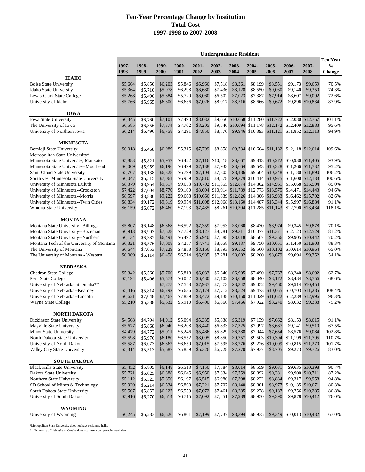**Undergraduate Resident**

|                                               |         |         |         |         |                                    |                   |                  |                                                      |          |                                                                        |                   | <b>Ten Year</b> |
|-----------------------------------------------|---------|---------|---------|---------|------------------------------------|-------------------|------------------|------------------------------------------------------|----------|------------------------------------------------------------------------|-------------------|-----------------|
|                                               | 1997-   | 1998-   | 1999-   | 2000-   | 2001-                              | $2002 -$          | 2003-            | 2004-                                                | 2005-    | 2006-                                                                  | 2007-             | $\frac{0}{0}$   |
|                                               | 1998    | 1999    | 2000    | 2001    | 2002                               | 2003              | 2004             | 2005                                                 | 2006     | 2007                                                                   | 2008              | Change          |
| <b>IDAHO</b><br><b>Boise State University</b> | \$5,664 | \$5,850 | \$6,203 | \$5,846 | \$6,966                            | \$7,518           | \$8,361          | \$8,199                                              | \$8,551  | \$9,173                                                                | \$9,659           | 70.5%           |
| Idaho State University                        | \$5,364 | \$5,710 | \$5,978 | \$6,298 | \$6,680                            | \$7,436           | \$8.128          | \$8,550                                              | \$9,030  | \$9,140                                                                | \$9,350           | 74.3%           |
| Lewis-Clark State College                     | \$5,268 | \$5,496 | \$5,384 | \$5,720 | \$6,060                            | \$6,502           | \$7,023          | \$7,387                                              | \$7,914  | \$8,607                                                                | \$9,092           | 72.6%           |
| University of Idaho                           | \$5,766 | \$5,965 | \$6,300 | \$6,636 | \$7,026                            | \$8,017           | \$8,516          | \$8,666                                              | \$9,672  |                                                                        | \$9,896 \$10,834  | 87.9%           |
| <b>IOWA</b>                                   |         |         |         |         |                                    |                   |                  |                                                      |          |                                                                        |                   |                 |
| Iowa State University                         | \$6,345 | \$6,760 | \$7,101 | \$7,490 | \$8,032                            |                   |                  | \$9,050 \$10,668 \$11,280 \$11,722                   |          |                                                                        | \$12,080 \$12,757 | 101.1%          |
| The University of Iowa                        | \$6,585 | \$6,856 | \$7,374 | \$7,702 | \$8,205                            |                   |                  | \$9,546 \$10,694 \$11,178                            | \$12,172 |                                                                        | \$12,409 \$12,883 | 95.6%           |
| University of Northern Iowa                   | \$6,214 | \$6,496 | \$6,758 | \$7,291 | \$7,850                            | \$8,770           |                  |                                                      |          | \$9,946 \$10,393 \$11,121 \$11,852 \$12,113                            |                   | 94.9%           |
| <b>MINNESOTA</b>                              |         |         |         |         |                                    |                   |                  |                                                      |          |                                                                        |                   |                 |
| Bemidji State University                      | \$6,018 | \$6,468 | \$6,989 | \$5,315 | \$7,799                            | \$8,858           | \$9,734          |                                                      |          | \$10,664 \$11,182 \$12,118 \$12,614                                    |                   | 109.6%          |
| Metropolitan State University*                |         |         |         |         |                                    |                   |                  |                                                      |          |                                                                        |                   |                 |
| Minnesota State University, Mankato           | \$5,883 | \$5,821 | \$5,957 | \$6,422 |                                    | $$7,116$ \$10,418 | \$8,667          |                                                      |          | \$9,813 \$10,272 \$10,930 \$11,405                                     |                   | 93.9%           |
| Minnesota State University--Moorhead          | \$6,009 | \$5,959 | \$6,196 | \$6,499 | \$7,138                            | \$7,933           | \$8,664          |                                                      |          | \$9,543 \$10,328 \$11,266 \$11,732                                     |                   | 95.2%           |
| Saint Cloud State University                  | \$5,767 | \$6,138 | \$6,328 | \$6,799 | \$7,104                            | \$7,805           | \$8,486          | \$9,604                                              |          | \$10,248 \$11,180 \$11,890                                             |                   | 106.2%          |
| Southwest Minnesota State University          | \$6,047 | \$6,515 | \$7,061 | \$6,959 | \$7,810                            | \$8,578           | \$9,379          | \$10,414                                             |          | \$10,975 \$11,600 \$12,133                                             |                   | 100.6%          |
| University of Minnesota Duluth                | \$8,379 | \$8,964 | \$9,317 |         | \$9,653 \$10,792 \$11,355 \$12,874 |                   |                  |                                                      |          | \$14,802 \$14,961 \$15,668 \$15,504                                    |                   | 85.0%           |
| University of Minnesota--Crookston            | \$7,422 | \$7,604 | \$8,770 | \$9,100 |                                    |                   |                  |                                                      |          | \$8,094 \$10,914 \$11,789 \$12,773 \$13,575 \$14,471 \$14,443          |                   | 94.6%           |
| University of Minnesota--Morris               | \$8,597 | \$8,880 | \$9,222 |         |                                    |                   |                  |                                                      |          | \$9,668 \$10,666 \$11,839 \$12,826 \$14,306 \$16,983 \$16,462 \$15,702 |                   | 82.6%           |
| University of Minnesota--Twin Cities          | \$8,834 | \$9,172 | \$9,319 |         |                                    |                   |                  | \$9,954 \$11,098 \$12,068 \$13,160 \$14,487 \$15,344 |          |                                                                        | \$15,997 \$16,884 | 91.1%           |
| Winona State University                       | \$6,159 | \$6,072 | \$6,460 | \$7,193 | \$7,435                            |                   |                  |                                                      |          | \$8,261 \$10,304 \$11,285 \$11,143 \$12,790 \$13,434                   |                   | 118.1%          |
| <b>MONTANA</b>                                |         |         |         |         |                                    |                   |                  |                                                      |          |                                                                        |                   |                 |
| Montana State University--Billings            | \$5,807 | \$6,148 | \$6,368 | \$6,592 | \$7,359                            | \$7,953           | \$8,060          | \$8.430                                              | \$8,974  | \$9,345                                                                | \$9,878           | 70.1%           |
| Montana State University--Bozeman             | \$6,913 | \$6,993 | \$7,528 | \$7,729 | \$8,127                            | \$8,781           | \$9,311          | \$10,077                                             | \$11,371 |                                                                        | \$12,123 \$12,529 | 81.2%           |
| Montana State University--Northern            | \$6,134 | \$6,382 | \$6,491 | \$6,492 | \$6,940                            | \$7,588           | \$8,018          | \$8,507                                              | \$9,366  |                                                                        | \$9,905 \$10,442  | 70.2%           |
| Montana Tech of the University of Montana     | \$6,321 | \$6,576 | \$7,008 | \$7,257 | \$7,741                            | \$8,658           | \$9,137          | \$9,750                                              | \$10,651 |                                                                        | \$11,450 \$11,903 | 88.3%           |
| The University of Montana                     | \$6,644 | \$7,053 | \$7,229 | \$7,858 | \$8,166                            | \$8,893           | \$9,552          | \$9,560                                              | \$10,102 |                                                                        | \$10,614 \$10,964 | 65.0%           |
| The University of Montana - Western           | \$6,069 | \$6,114 | \$6,458 | \$6,514 | \$6,985                            | \$7,281           | \$8,002          | \$8,260                                              | \$8,679  | \$9,094                                                                | \$9,352           | 54.1%           |
| <b>NEBRASKA</b>                               |         |         |         |         |                                    |                   |                  |                                                      |          |                                                                        |                   |                 |
| <b>Chadron State College</b>                  | \$5,342 | \$5,560 | \$5,706 | \$5,818 | \$6,033                            | \$6,640           | \$6,905          | \$7,490                                              | \$7,767  | \$8,240                                                                | \$8,692           | 62.7%           |
| Peru State College                            | \$5,194 | \$5,406 | \$5,574 | \$6,042 | \$6,480                            | \$7,102           | \$8,058          | \$8,040                                              | \$8,172  | \$8,484                                                                | \$8,756           | 68.6%           |
| University of Nebraska at Omaha**             |         |         | \$7,275 | \$7,548 | \$7,937                            | \$7,473           | \$8,342          | \$9,052                                              | \$9,460  |                                                                        | \$9,914 \$10,454  |                 |
| University of Nebraska--Kearney               | \$5,416 | \$5,814 | \$6,292 | \$6,636 | \$7,174                            | \$7,712           | \$8,524          | \$9,473                                              | \$10,055 |                                                                        | \$10,703 \$11,285 | 108.4%          |
| University of Nebraska--Lincoln               | \$6,621 | \$7,048 | \$7,467 | \$7,889 | \$8,472                            |                   | \$9,138 \$10,150 | \$11,029                                             | \$11,622 |                                                                        | \$12,289 \$12,996 | 96.3%           |
| Wayne State College                           | \$5,210 | \$5,388 | \$5,632 | \$5,910 | \$6,400                            | \$6,866           | \$7,466          | \$7,922                                              | \$8,240  | \$8,632                                                                | \$9,338           | 79.2%           |
| <b>NORTH DAKOTA</b>                           |         |         |         |         |                                    |                   |                  |                                                      |          |                                                                        |                   |                 |
| Dickinson State University                    | \$4,508 | \$4,704 | \$4,912 | \$5,094 | \$5,335                            | \$5,838           | \$6,319          | \$7.139                                              | \$7,662  | \$8.153                                                                | \$8,615           | 91.1%           |
| Mayville State University                     | \$5,677 | \$5,868 | \$6,040 | \$6,208 | \$6,440                            | \$6,833           | \$7,325          | \$7,997                                              | \$8,667  | \$9,141                                                                | \$9,510           | 67.5%           |
| Minot State University                        | \$4,479 | \$4,772 | \$5,011 | \$5,246 | \$5,466                            | \$5,829           | \$6,388          | \$7,044                                              | \$7,654  | \$8,576                                                                | \$9,084           | 102.8%          |
| North Dakota State University                 | \$5,598 | \$5,976 | \$6,180 | \$6,552 | \$8,095                            | \$8,850           | \$9,757          | \$9,503                                              | \$10,394 |                                                                        | \$11,199 \$11,795 | 110.7%          |
| University of North Dakota                    | \$5,587 | \$6,073 | \$6,362 | \$6,650 | \$7,015                            | \$7,595           | \$8,276          | \$9,226                                              | \$10,009 |                                                                        | \$10,815 \$11,270 | 101.7%          |
| Valley City State University                  | \$5,314 | \$5,513 | \$5,687 | \$5,859 | \$6,326                            | \$6,728           | \$7,270          | \$7,937                                              | \$8,705  | \$9,273                                                                | \$9,726           | 83.0%           |
| <b>SOUTH DAKOTA</b>                           |         |         |         |         |                                    |                   |                  |                                                      |          |                                                                        |                   |                 |
| <b>Black Hills State University</b>           | \$5,452 | \$5,805 | \$6,148 | \$6,513 | \$7,150                            | \$7,584           | \$8,014          | \$8,559                                              | \$9,031  |                                                                        | \$9,635 \$10,398  | 90.7%           |
| Dakota State University                       | \$5,721 | \$6,025 | \$6,388 | \$6,645 | \$6,950                            | \$7,334           | \$7,759          | \$8,892                                              | \$9,381  |                                                                        | \$9,900 \$10,711  | 87.2%           |
| Northern State University                     | \$5,112 | \$5,523 | \$5,856 | \$6,197 | \$6,515                            | \$6,980           | \$7,398          | \$8,222                                              | \$8,834  |                                                                        | \$9,317 \$9,958   | 94.8%           |
| SD School of Mines & Technology               | \$5,920 | \$6,214 | \$6,534 | \$6,860 | \$7,221                            | \$7,707           | \$8,140          | \$8,801                                              | \$8,977  |                                                                        | \$10,135 \$10,671 | 80.3%           |
| South Dakota State University                 | \$5,507 | \$5,857 | \$6,227 | \$6,559 | \$7,072                            | \$7,461           | \$8,285          | \$9,278                                              | \$9,187  |                                                                        | \$9,756 \$10,285  | 86.8%           |
| University of South Dakota                    | \$5,916 | \$6,270 | \$6,614 | \$6,715 | \$7,092                            | \$7,451           | \$7,989          | \$8,950                                              | \$9,390  |                                                                        | \$9,878 \$10,412  | 76.0%           |
| <b>WYOMING</b>                                |         |         |         |         |                                    |                   |                  |                                                      |          |                                                                        |                   |                 |
| University of Wyoming                         | \$6,245 | \$6,283 | \$6,526 | \$6,801 | \$7,199                            | \$7,737           | \$8,394          | \$8,935                                              |          | \$9,349 \$10,013 \$10,432                                              |                   | 67.0%           |

\*Metropolitan State University does not have residence halls.

 $\ast\ast$  University of Nebraska at Omaha does not have a comparable meal plan.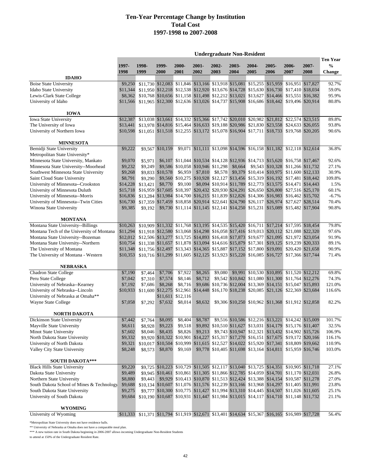**Undergraduate Non-Resident**

|                                                                       |          |          |                  |                   |                                    |         |         |                                                                         |       |                                                                                           |                   | Ten Year       |
|-----------------------------------------------------------------------|----------|----------|------------------|-------------------|------------------------------------|---------|---------|-------------------------------------------------------------------------|-------|-------------------------------------------------------------------------------------------|-------------------|----------------|
|                                                                       | 1997-    | 1998-    | 1999-            | 2000-             | 2001-                              | 2002-   | 2003-   | 2004-                                                                   | 2005- | 2006-                                                                                     | 2007-             | $\frac{0}{0}$  |
|                                                                       | 1998     | 1999     | 2000             | 2001              | 2002                               | 2003    | 2004    | 2005                                                                    | 2006  | 2007                                                                                      | 2008              | <b>Change</b>  |
| <b>IDAHO</b>                                                          |          |          |                  |                   |                                    |         |         |                                                                         |       |                                                                                           |                   |                |
| <b>Boise State University</b>                                         | \$9,250  |          |                  |                   |                                    |         |         |                                                                         |       | \$11,730 \$12,083 \$11,846 \$13,166 \$13,918 \$15,081 \$15,255 \$15,959 \$16,951 \$17,827 |                   | 92.7%          |
| Idaho State University                                                | \$11,344 |          |                  |                   |                                    |         |         |                                                                         |       | \$11,950 \$12,218 \$12,538 \$12,920 \$13,676 \$14,728 \$15,630 \$16,730 \$17,410 \$18,034 |                   | 59.0%          |
| Lewis-Clark State College                                             | \$8,362  |          |                  |                   |                                    |         |         |                                                                         |       | \$10,768 \$10,656 \$11,158 \$11,498 \$12,212 \$13,021 \$13,627 \$14,466 \$15,551 \$16,382 |                   | 95.9%          |
| University of Idaho                                                   | \$11,566 |          |                  |                   |                                    |         |         |                                                                         |       | \$11,965 \$12,300 \$12,636 \$13,026 \$14,737 \$15,908 \$16,686 \$18,442 \$19,496 \$20,914 |                   | 80.8%          |
| <b>IOWA</b>                                                           |          |          |                  |                   |                                    |         |         |                                                                         |       |                                                                                           |                   |                |
| Iowa State University                                                 | \$12,387 |          |                  |                   |                                    |         |         |                                                                         |       | \$13,038 \$13,661 \$14,332 \$15,366 \$17,742 \$20,010 \$20,982 \$21,812 \$22,574 \$23,515 |                   | 89.8%          |
| The University of Iowa                                                | \$13,441 |          |                  |                   |                                    |         |         |                                                                         |       | \$13,978 \$14,816 \$15,464 \$16,633 \$19,188 \$20,986 \$21,830 \$23,558 \$24,633 \$26,055 |                   | 93.8%          |
| University of Northern Iowa                                           | \$10,598 |          |                  |                   |                                    |         |         | \$11.051 \$11.518 \$12.255 \$13.172 \$15.078 \$16.904 \$17.711          |       | \$18,733 \$19,768 \$20,205                                                                |                   | 90.6%          |
|                                                                       |          |          |                  |                   |                                    |         |         |                                                                         |       |                                                                                           |                   |                |
| <b>MINNESOTA</b>                                                      |          |          |                  |                   |                                    |         |         |                                                                         |       |                                                                                           |                   |                |
| Bemidji State University                                              | \$9,222  |          | \$9,567 \$10,159 |                   |                                    |         |         |                                                                         |       | \$9,071 \$11,111 \$13,098 \$14,596 \$16,158 \$11,182 \$12,118 \$12,614                    |                   | 36.8%          |
| Metropolitan State University*<br>Minnesota State University, Mankato |          |          |                  |                   |                                    |         |         |                                                                         |       |                                                                                           |                   |                |
|                                                                       | \$9,070  | \$5,971  |                  |                   | \$9,586 \$10,058 \$10,946 \$11,298 |         | \$8,664 |                                                                         |       | \$6,107 \$11,044 \$10,534 \$14,128 \$12,936 \$14,713 \$15,620 \$16,758 \$17,467           |                   | 92.6%<br>27.1% |
| Minnesota State University--Moorhead                                  | \$9,232  | \$9,249  |                  |                   |                                    |         |         |                                                                         |       | \$9,543 \$10,328 \$11,266 \$11,732                                                        |                   |                |
| Southwest Minnesota State University                                  | \$9,268  |          | \$9,833 \$10,578 | \$6,959           | \$7,810                            | \$8,578 |         |                                                                         |       | \$9,379 \$10,414 \$10,975 \$11,600 \$12,133                                               |                   | 30.9%          |
| Saint Cloud State University                                          | \$8,791  | \$9,290  |                  |                   |                                    |         |         |                                                                         |       | \$9,560 \$10,275 \$10,928 \$12,127 \$13,456 \$15,319 \$16,192 \$17,481 \$18,442           |                   | 109.8%         |
| University of Minnesota--Crookston                                    | \$14,228 | \$13,421 | \$8,770          | \$9,100           |                                    |         |         |                                                                         |       | \$8,094 \$10,914 \$11,789 \$12,773 \$13,575 \$14,471 \$14,443                             |                   | 1.5%           |
| University of Minnesota Duluth                                        | \$15,718 |          |                  |                   |                                    |         |         |                                                                         |       | \$16,959 \$17,605 \$18,397 \$20,432 \$20,930 \$24,291 \$26,650 \$26,800 \$27,516 \$25,170 |                   | 60.1%          |
| University of Minnesota--Morris                                       | \$16,836 |          |                  |                   |                                    |         |         |                                                                         |       | \$13,284 \$13,984 \$14,700 \$16,215 \$11,839 \$12,826 \$14,306 \$16,983 \$16,462 \$15,702 |                   | $-6.7%$        |
| University of Minnesota--Twin Cities                                  | \$16,730 |          |                  |                   |                                    |         |         | \$17,359 \$17,459 \$18,858 \$20,914 \$22,641 \$24,790 \$26,117          |       | \$26,974 \$27,627 \$28,514                                                                |                   | 70.4%          |
| Winona State University                                               | \$9,385  | \$9,192  |                  |                   |                                    |         |         |                                                                         |       | \$9,730 \$11,114 \$11,145 \$12,141 \$14,250 \$15,231 \$15,089 \$15,482 \$17,904           |                   | 90.8%          |
| <b>MONTANA</b>                                                        |          |          |                  |                   |                                    |         |         |                                                                         |       |                                                                                           |                   |                |
| Montana State University--Billings                                    | \$10,263 |          |                  |                   |                                    |         |         |                                                                         |       | \$10,909 \$11,332 \$11,768 \$13,195 \$14,535 \$15,420 \$16,711 \$17,214 \$17,595 \$18,454 |                   | 79.8%          |
| Montana Tech of the University of Montana                             | \$11,294 |          |                  |                   |                                    |         |         |                                                                         |       | \$11,918 \$12,580 \$13,068 \$14,298 \$16,058 \$17,416 \$19,013 \$20,112 \$21,088 \$22,320 |                   | 97.6%          |
| Montana State University--Bozeman                                     | \$12,012 |          |                  |                   |                                    |         |         |                                                                         |       | \$12,506 \$13,277 \$13,725 \$14,893 \$16,418 \$17,873 \$19,677 \$21,095 \$21,972 \$23,054 |                   | 91.9%          |
| Montana State University--Northern                                    | \$10,754 |          |                  |                   |                                    |         |         |                                                                         |       | \$11,338 \$11,657 \$11,878 \$13,094 \$14,616 \$15,879 \$17,301 \$19,125 \$19,239 \$20,333 |                   | 89.1%          |
| The University of Montana                                             | \$11,348 |          |                  |                   |                                    |         |         | \$11,756 \$12,497 \$13,343 \$14,365 \$15,887 \$17,152 \$17,800 \$19,091 |       |                                                                                           | \$20,420 \$21,658 | 90.9%          |
| The University of Montana - Western                                   | \$10,353 |          |                  |                   |                                    |         |         |                                                                         |       | \$10,716 \$11,299 \$11,605 \$12,125 \$13,923 \$15,220 \$16,085 \$16,727 \$17,366 \$17,744 |                   | 71.4%          |
|                                                                       |          |          |                  |                   |                                    |         |         |                                                                         |       |                                                                                           |                   |                |
| <b>NEBRASKA</b>                                                       |          |          |                  |                   |                                    |         |         |                                                                         |       |                                                                                           |                   |                |
| <b>Chadron State College</b>                                          | \$7,190  | \$7,464  | \$7,706          | \$7,922           | \$8,265                            | \$9,080 |         |                                                                         |       | \$9,991 \$10,530 \$10,895 \$11,520 \$12,212                                               |                   | 69.8%          |
| Peru State College                                                    | \$7,042  | \$7,310  | \$7,574          | \$8,146           | \$8,712                            |         |         |                                                                         |       | \$9,542 \$10,842 \$11,080 \$11,300 \$11,764 \$12,276                                      |                   | 74.3%          |
| University of Nebraska--Kearney                                       | \$7,192  | \$7,686  | \$8,268          | \$8,716           |                                    |         |         | \$9,686 \$10,736 \$12,004 \$13,369                                      |       | \$14,151 \$15,047 \$15,893                                                                |                   | 121.0%         |
| University of Nebraska--Lincoln                                       | \$10,933 |          |                  |                   |                                    |         |         |                                                                         |       | \$11,600 \$12,275 \$12,961 \$14,448 \$16,170 \$18,238 \$20,085 \$21,126 \$22,369 \$23,684 |                   | 116.6%         |
| University of Nebraska at Omaha**                                     |          |          |                  | \$11,611 \$12,116 |                                    |         |         |                                                                         |       |                                                                                           |                   |                |
| Wayne State College                                                   | \$7,058  | \$7,292  | \$7,632          | \$8,014           | \$8,632                            |         |         |                                                                         |       | \$9,306 \$10,250 \$10,962 \$11,368 \$11,912 \$12,858                                      |                   | 82.2%          |
| <b>NORTH DAKOTA</b>                                                   |          |          |                  |                   |                                    |         |         |                                                                         |       |                                                                                           |                   |                |
| Dickinson State University                                            | \$7,442  | \$7,764  | \$8,095          | \$8,404           | \$8,787                            |         |         |                                                                         |       | \$9,516 \$10,586 \$12,216 \$13,221 \$14,242 \$15,009                                      |                   | 101.7%         |
| Mayville State University                                             | \$8,611  | \$8,928  | \$9,223          |                   |                                    |         |         |                                                                         |       | \$9,518 \$9,892 \$10,510 \$11,627 \$13,031 \$14,179 \$15,176 \$11,407                     |                   | 32.5%          |
| Minot State University                                                | \$7,602  | \$8,046  | \$8,435          | \$8,826           | \$9,213                            |         |         |                                                                         |       | \$9,743 \$10,947 \$12,321 \$13,432 \$14,902 \$15,726                                      |                   | 106.9%         |
| North Dakota State University                                         | \$9,332  |          |                  |                   |                                    |         |         |                                                                         |       | \$9,920 \$10,322 \$10,901 \$14,227 \$15,317 \$17,270 \$16,151 \$17,675 \$19,172 \$20,166  |                   | 116.1%         |
| University of North Dakota                                            | \$9,321  |          |                  |                   |                                    |         |         |                                                                         |       | \$10,017 \$10,504 \$10,999 \$11,615 \$12,527 \$14,022 \$15,920 \$17,341 \$18,809 \$19,662 |                   | 110.9%         |
| Valley City State University                                          | \$8,248  | \$8,573  | \$8,870          | \$9,169           |                                    |         |         |                                                                         |       | \$9,778 \$10,405 \$11,698 \$13,164 \$14,811 \$15,959 \$16,746                             |                   | 103.0%         |
| SOUTH DAKOTA***                                                       |          |          |                  |                   |                                    |         |         |                                                                         |       |                                                                                           |                   |                |
| <b>Black Hills State University</b>                                   | \$9,220  |          |                  |                   |                                    |         |         |                                                                         |       | \$9,725 \$10,223 \$10,729 \$11,505 \$12,117 \$13,040 \$13,725 \$14,351 \$10,905 \$11,718  |                   | 27.1%          |
| Dakota State University                                               | \$9,489  |          |                  |                   |                                    |         |         |                                                                         |       | \$9,945 \$10,461 \$10,861 \$11,305 \$11,866 \$12,785 \$14,059 \$14,701 \$11,170 \$12,031  |                   | 26.8%          |
| Northern State University                                             | \$8,880  |          |                  |                   |                                    |         |         |                                                                         |       | \$9,443 \$9,929 \$10,413 \$10,870 \$11,513 \$12,424 \$13,388 \$14,154 \$10,587 \$11,278   |                   | 27.0%          |
|                                                                       |          |          |                  |                   |                                    |         |         |                                                                         |       |                                                                                           |                   | 23.8%          |
| South Dakota School of Mines & Technology                             | \$9,688  |          |                  |                   |                                    |         |         |                                                                         |       | \$10,134 \$10,607 \$11,076 \$11,576 \$12,239 \$13,166 \$13,968 \$14,297 \$11,405 \$11,991 |                   |                |
| South Dakota State University                                         | \$9,275  |          |                  |                   |                                    |         |         |                                                                         |       | \$9,777 \$10,300 \$10,775 \$11,427 \$11,994 \$13,310 \$14,445 \$14,507 \$11,026 \$11,605  |                   | 25.1%          |
| University of South Dakota                                            | \$9,684  |          |                  |                   |                                    |         |         |                                                                         |       | \$10,190 \$10,687 \$10,931 \$11,447 \$11,984 \$13,015 \$14,117 \$14,710 \$11,148 \$11,732 |                   | 21.1%          |
| <b>WYOMING</b>                                                        |          |          |                  |                   |                                    |         |         |                                                                         |       |                                                                                           |                   |                |
|                                                                       |          |          |                  |                   |                                    |         |         |                                                                         |       |                                                                                           |                   |                |

University of Wyoming \$11,333 \$11,371 \$11,794 \$11,919 \$12,671 \$13,401 \$14,634 \$15,367 \$16,165 \$16,989 \$17,728 56.4%

\*Metropolitan State University does not have residence halls.

\*\* University of Nebraska at Omaha does not have a comparable meal plan.

\*\*\* A new tuition rate in South Dakota beginning in 2006-2007 allows incoming Undergraduate Non-Resident Students

to attend at 150% of the Undergraduate Resident Rate.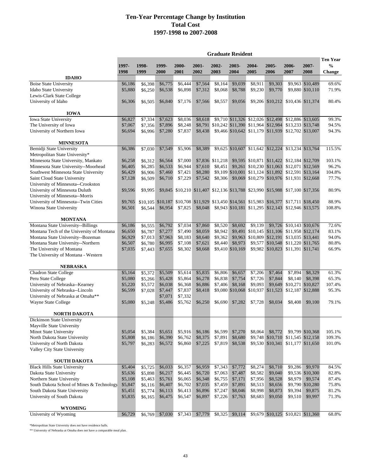|                                                                    |               |               |               |               |               | <b>Graduate Resident</b> |                  |                  |                  |                                                                                           |                   |                                                   |
|--------------------------------------------------------------------|---------------|---------------|---------------|---------------|---------------|--------------------------|------------------|------------------|------------------|-------------------------------------------------------------------------------------------|-------------------|---------------------------------------------------|
|                                                                    | 1997-<br>1998 | 1998-<br>1999 | 1999-<br>2000 | 2000-<br>2001 | 2001-<br>2002 | 2002-<br>2003            | 2003-<br>2004    | 2004-<br>2005    | 2005-<br>2006    | 2006-<br>2007                                                                             | 2007-<br>2008     | <b>Ten Year</b><br>$\frac{0}{0}$<br><b>Change</b> |
| <b>IDAHO</b>                                                       |               |               |               |               |               |                          |                  |                  |                  |                                                                                           |                   |                                                   |
| <b>Boise State University</b>                                      | \$6,186       | \$6,398       | \$6,775       | \$6,444       | \$7,564       | \$8,164                  | \$9,039          | \$8,911          | \$9,303          |                                                                                           | \$9,963 \$10,489  | 69.6%                                             |
| Idaho State University                                             | \$5,880       | \$6,250       | \$6,538       | \$6,898       | \$7,312       | \$8,068                  | \$8,788          | \$9,230          | \$9,770          |                                                                                           | \$9,880 \$10,110  | 71.9%                                             |
| Lewis-Clark State College                                          |               |               |               |               |               |                          |                  |                  |                  |                                                                                           |                   |                                                   |
| University of Idaho                                                | \$6,306       | \$6,505       | \$6,840       | \$7,176       | \$7,566       | \$8,557                  | \$9,056          |                  |                  | \$9,206 \$10,212 \$10,436 \$11,374                                                        |                   | 80.4%                                             |
| <b>IOWA</b>                                                        |               |               |               |               |               |                          |                  |                  |                  |                                                                                           |                   |                                                   |
| Iowa State University                                              | \$6,827       | \$7,334       | \$7,623       | \$8,036       | \$8,618       |                          |                  |                  |                  | \$9,710 \$11,326 \$12,026 \$12,498 \$12,886 \$13,605                                      |                   | 99.3%                                             |
| The University of Iowa                                             | \$7,067       | \$7,356       | \$7,896       | \$8,248       |               |                          |                  |                  |                  | \$8,791 \$10,242 \$11,390 \$11,964 \$12,984 \$13,233 \$13,748                             |                   | 94.5%                                             |
| University of Northern Iowa                                        | \$6,694       | \$6,996       | \$7,280       | \$7,837       | \$8,438       |                          |                  |                  |                  | \$9,466 \$10,642 \$11,179 \$11,939 \$12,702 \$13,007                                      |                   | 94.3%                                             |
| <b>MINNESOTA</b>                                                   |               |               |               |               |               |                          |                  |                  |                  |                                                                                           |                   |                                                   |
| Bemidji State University                                           | \$6,386       | \$7,030       | \$7,549       | \$5,906       | \$8,389       |                          |                  |                  |                  | \$9,625 \$10,607 \$11,642 \$12,224 \$13,234 \$13,764                                      |                   | 115.5%                                            |
| Metropolitan State University*                                     |               |               |               |               |               |                          |                  |                  |                  |                                                                                           |                   |                                                   |
| Minnesota State University, Mankato                                | \$6,258       | \$6,312       | \$6,564       | \$7,000       |               | \$7,836 \$11,218         |                  |                  |                  | \$9,595 \$10,871 \$11,422 \$12,184 \$12,709                                               |                   | 103.1%                                            |
| Minnesota State University--Moorhead                               | \$6,405       | \$6,285       | \$6,533       | \$6,944       | \$7,610       | \$8,451                  |                  |                  |                  | \$9,261 \$10,230 \$11,063 \$12,071 \$12,569                                               |                   | 96.2%                                             |
| Southwest Minnesota State University                               | \$6,429       | \$6,906       | \$7,460       | \$7,421       | \$8,280       |                          |                  |                  |                  | \$9,109 \$10,001 \$11,124 \$11,892 \$12,591 \$13,164                                      |                   | 104.8%                                            |
| Saint Cloud State University<br>University of Minnesota--Crookston | \$7,128       | \$6,509       | \$6,710       | \$7,229       | \$7,542       | \$8,306                  |                  |                  |                  | \$9,069 \$10,279 \$10,976 \$11,931 \$12,668                                               |                   | 77.7%                                             |
| University of Minnesota Duluth                                     | \$9,596       | \$9,995       |               |               |               |                          |                  |                  |                  | \$9,845 \$10,210 \$11,407 \$12,136 \$13,788 \$23,990 \$15,988 \$17,100 \$17,356           |                   | 80.9%                                             |
| University of Minnesota--Morris                                    |               |               |               |               |               |                          |                  |                  |                  |                                                                                           |                   |                                                   |
| University of Minnesota--Twin Cities                               | \$9,765       |               |               |               |               |                          |                  |                  |                  | \$10,105 \$10,187 \$10,708 \$11,929 \$13,450 \$14,561 \$15,983 \$16,377 \$17,711 \$18,450 |                   | 88.9%                                             |
| Winona State University                                            | \$6,501       | \$6.544       | \$6,954       | \$7,825       | \$8,048       |                          |                  |                  |                  | \$8,943 \$10,181 \$11,295 \$12,143 \$12,946 \$13,575                                      |                   | 108.8%                                            |
| <b>MONTANA</b>                                                     |               |               |               |               |               |                          |                  |                  |                  |                                                                                           |                   |                                                   |
| Montana State University--Billings                                 | \$6,186       | \$6,555       | \$6,792       | \$7,034       | \$7,860       | \$8,520                  | \$8,692          | \$9,139          |                  | \$9,726 \$10,143 \$10,676                                                                 |                   | 72.6%                                             |
| Montana Tech of the University of Montana                          | \$6,650       | \$6,787       | \$7,277       | \$7,490       | \$8,059       | \$8,942                  | \$9,491          |                  |                  | \$10,145 \$11,106 \$11,958 \$12,174                                                       |                   | 83.1%                                             |
| Montana State University--Bozeman                                  | \$6,929       | \$7,013       | \$7,963       | \$8,183       | \$8,640       | \$9,362                  |                  | \$9,963 \$10,809 |                  | \$12,191 \$13,035 \$13,441                                                                |                   | 94.0%                                             |
| Montana State University--Northern                                 | \$6,507       | \$6,780       | \$6,995       | \$7,108       | \$7,621       | \$8,440                  | \$8,973          | \$9,577          |                  | \$10,548 \$11,220 \$11,765                                                                |                   | 80.8%                                             |
| The University of Montana                                          | \$7,035       | \$7,443       | \$7,655       | \$8,302       | \$8,668       |                          | \$9,410 \$10,169 |                  |                  | \$9,982 \$10,823 \$11,391 \$11,741                                                        |                   | 66.9%                                             |
| The University of Montana - Western                                |               |               |               |               |               |                          |                  |                  |                  |                                                                                           |                   |                                                   |
| <b>NEBRASKA</b>                                                    |               |               |               |               |               |                          |                  |                  |                  |                                                                                           |                   |                                                   |
| <b>Chadron State College</b>                                       | \$5,164       | \$5,372       | \$5,509       | \$5,614       | \$5,835       | \$6,806                  | \$6,657          | \$7,206          | $\sqrt{$7,464}$  | \$7,894                                                                                   | \$8,329           | 61.3%                                             |
| Peru State College                                                 | \$5,080       | \$5,266       | \$5,428       | \$5,864       | \$6,278       | \$6,838                  | \$7,754          | \$7,726          | \$7,844          | \$8,140                                                                                   | \$8,398           | 65.3%                                             |
| University of Nebraska--Kearney                                    | \$5,220       | \$5,572       | \$6,038       | \$6,368       | \$6,886       | \$7,406                  | \$8,168          | \$9,093          | \$9,649          |                                                                                           | \$10,271 \$10,827 | 107.4%                                            |
| University of Nebraska--Lincoln                                    | \$6,599       | \$7,028       | \$7,447       | \$7,837       | \$8,418       |                          | \$9,080 \$10,068 | \$10,937         | \$11,523         |                                                                                           | \$12,187 \$12,888 | 95.3%                                             |
| University of Nebraska at Omaha**                                  |               |               | \$7,071       | \$7,332       |               |                          |                  |                  |                  |                                                                                           |                   |                                                   |
| Wayne State College                                                | \$5,080       | \$5,248       | \$5,486       | \$5,762       | \$6,250       | \$6,690                  | \$7,282          | \$7,728          | \$8,034          | \$8,408                                                                                   | \$9,100           | 79.1%                                             |
| <b>NORTH DAKOTA</b>                                                |               |               |               |               |               |                          |                  |                  |                  |                                                                                           |                   |                                                   |
| Dickinson State University                                         |               |               |               |               |               |                          |                  |                  |                  |                                                                                           |                   |                                                   |
| Mayville State University                                          |               |               |               |               |               |                          |                  |                  |                  |                                                                                           |                   |                                                   |
| Minot State University                                             | \$5,054       | \$5,384       | \$5,651       | \$5,916       | \$6,186       | \$6,599                  | \$7,270          | \$8,064          | \$8,772          |                                                                                           | \$9,799 \$10,368  | 105.1%                                            |
| North Dakota State University                                      | \$5,808       | \$6,186       | \$6,390       | \$6,762       | \$8,375       | \$7,891                  | \$8,680          |                  |                  | \$9,748 \$10,710 \$11,545 \$12,158                                                        |                   | 109.3%                                            |
| University of North Dakota                                         | \$5,797       | \$6,283       | \$6,572       | \$6,860       | \$7,225       | \$7,819                  | \$8,538          |                  | \$9,530 \$10,341 |                                                                                           | \$11,177 \$11,650 | 101.0%                                            |
| Valley City State University                                       |               |               |               |               |               |                          |                  |                  |                  |                                                                                           |                   |                                                   |
| <b>SOUTH DAKOTA</b>                                                |               |               |               |               |               |                          |                  |                  |                  |                                                                                           |                   |                                                   |
| <b>Black Hills State University</b>                                | \$5,404       | \$5,725       | \$6,033       | \$6,357       | \$6,959       | \$7,343                  | \$7,772          | \$8,274          | \$8,710          | \$9,286                                                                                   | \$9,970           | 84.5%                                             |
| Dakota State University                                            | \$5,636       | \$5,898       | \$6,217       | \$6,445       | \$6,720       | \$7,063                  | \$7,487          | \$8,582          | \$9,040          |                                                                                           | \$9,536 \$10,300  | 82.8%                                             |
| Northern State University                                          | \$5,108       | \$5,463       | \$5,761       | \$6,065       | \$6,348       | \$6,755                  | \$7,171          | \$7,956          | \$8,528          | \$8,979                                                                                   | \$9,574           | 87.4%                                             |
| South Dakota School of Mines & Technology                          | \$5,847       | \$6,116       | \$6,407       | \$6,702       | \$7,035       | \$7,459                  | \$7,891          | \$8,513          | \$8,656          |                                                                                           | \$9,790 \$10,280  | 75.8%                                             |
| South Dakota State University                                      | \$5,451       | \$5,774       | \$6,113       | \$6,413       | \$6,896       | \$7,247                  | \$8,046          | \$8,998          | \$8,873          | \$9,394                                                                                   | \$9,875           | 81.2%                                             |
| University of South Dakota                                         | \$5,835       | \$6,165       | \$6,475       | \$6,547       | \$6,897       | \$7,226                  | \$7,763          | \$8,683          | \$9,050          | \$9,510                                                                                   | \$9,997           | 71.3%                                             |
| <b>WYOMING</b>                                                     |               |               |               |               |               |                          |                  |                  |                  |                                                                                           |                   |                                                   |
| University of Wyoming                                              | \$6,729       | \$6,769       | \$7,030       | \$7,343       | \$7,779       | \$8,325                  | \$9,114          |                  |                  | \$9,679 \$10,125 \$10,821 \$11,360                                                        |                   | 68.8%                                             |

\*Metropolitan State University does not have residence halls.

\*\* University of Nebraska at Omaha does not have a comparable meal plan.